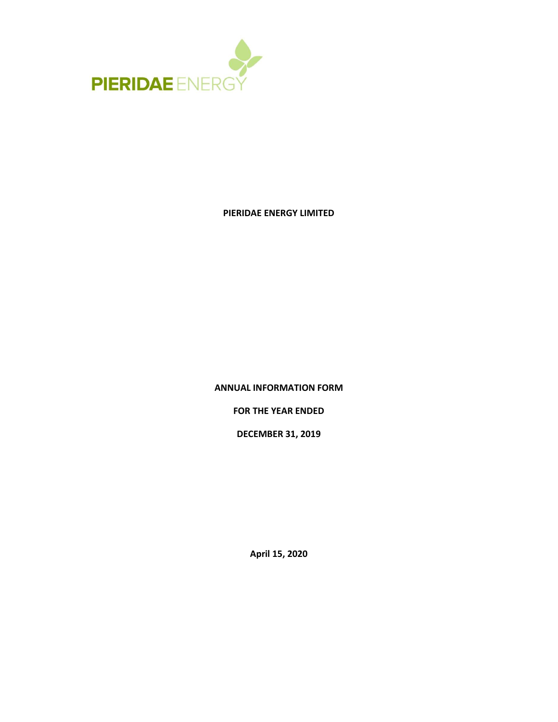

# **PIERIDAE ENERGY LIMITED**

**ANNUAL INFORMATION FORM**

**FOR THE YEAR ENDED**

**DECEMBER 31, 2019**

**April 15, 2020**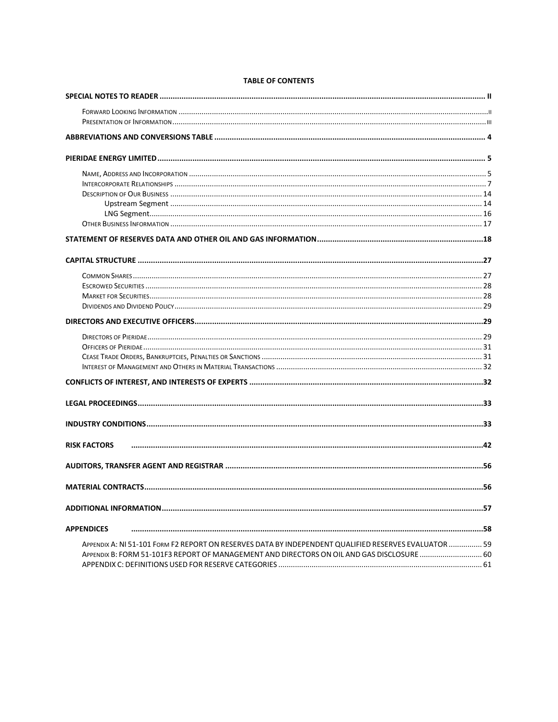| <b>RISK FACTORS</b><br><b>APPENDICES</b><br>APPENDIX A: NI 51-101 FORM F2 REPORT ON RESERVES DATA BY INDEPENDENT QUALIFIED RESERVES EVALUATOR  59<br>APPENDIX B: FORM 51-101F3 REPORT OF MANAGEMENT AND DIRECTORS ON OIL AND GAS DISCLOSURE  60 |  |
|-------------------------------------------------------------------------------------------------------------------------------------------------------------------------------------------------------------------------------------------------|--|
|                                                                                                                                                                                                                                                 |  |
|                                                                                                                                                                                                                                                 |  |
|                                                                                                                                                                                                                                                 |  |
|                                                                                                                                                                                                                                                 |  |
|                                                                                                                                                                                                                                                 |  |
|                                                                                                                                                                                                                                                 |  |
|                                                                                                                                                                                                                                                 |  |
|                                                                                                                                                                                                                                                 |  |
|                                                                                                                                                                                                                                                 |  |
|                                                                                                                                                                                                                                                 |  |
|                                                                                                                                                                                                                                                 |  |
|                                                                                                                                                                                                                                                 |  |
|                                                                                                                                                                                                                                                 |  |
|                                                                                                                                                                                                                                                 |  |
|                                                                                                                                                                                                                                                 |  |
|                                                                                                                                                                                                                                                 |  |
|                                                                                                                                                                                                                                                 |  |
|                                                                                                                                                                                                                                                 |  |
|                                                                                                                                                                                                                                                 |  |
|                                                                                                                                                                                                                                                 |  |
|                                                                                                                                                                                                                                                 |  |
|                                                                                                                                                                                                                                                 |  |
|                                                                                                                                                                                                                                                 |  |
|                                                                                                                                                                                                                                                 |  |
|                                                                                                                                                                                                                                                 |  |
|                                                                                                                                                                                                                                                 |  |
|                                                                                                                                                                                                                                                 |  |
|                                                                                                                                                                                                                                                 |  |
|                                                                                                                                                                                                                                                 |  |
|                                                                                                                                                                                                                                                 |  |
|                                                                                                                                                                                                                                                 |  |
|                                                                                                                                                                                                                                                 |  |
|                                                                                                                                                                                                                                                 |  |
|                                                                                                                                                                                                                                                 |  |

# **TABLE OF CONTENTS**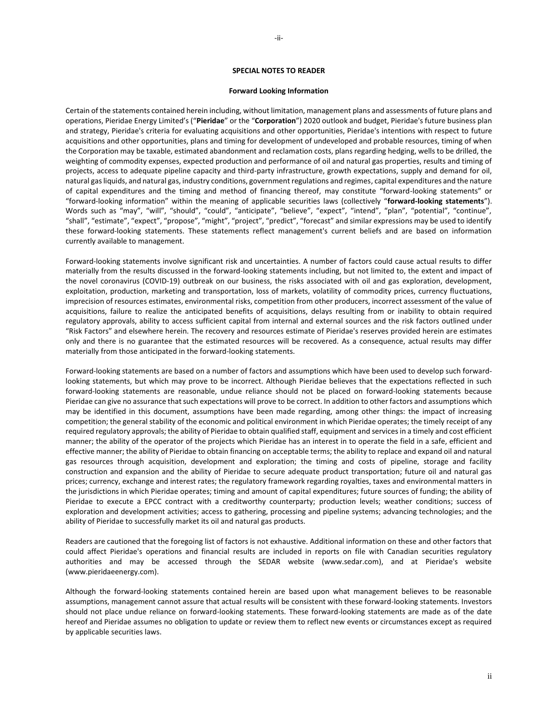### **SPECIAL NOTES TO READER**

#### **Forward Looking Information**

<span id="page-2-1"></span><span id="page-2-0"></span>Certain of the statements contained herein including, without limitation, management plans and assessments of future plans and operations, Pieridae Energy Limited's ("**Pieridae**" or the "**Corporation**") 2020 outlook and budget, Pieridae's future business plan and strategy, Pieridae's criteria for evaluating acquisitions and other opportunities, Pieridae's intentions with respect to future acquisitions and other opportunities, plans and timing for development of undeveloped and probable resources, timing of when the Corporation may be taxable, estimated abandonment and reclamation costs, plans regarding hedging, wells to be drilled, the weighting of commodity expenses, expected production and performance of oil and natural gas properties, results and timing of projects, access to adequate pipeline capacity and third-party infrastructure, growth expectations, supply and demand for oil, natural gas liquids, and natural gas, industry conditions, government regulations and regimes, capital expenditures and the nature of capital expenditures and the timing and method of financing thereof, may constitute "forward-looking statements" or "forward-looking information" within the meaning of applicable securities laws (collectively "**forward-looking statements**"). Words such as "may", "will", "should", "could", "anticipate", "believe", "expect", "intend", "plan", "potential", "continue", "shall", "estimate", "expect", "propose", "might", "project", "predict", "forecast" and similar expressions may be used to identify these forward-looking statements. These statements reflect management's current beliefs and are based on information currently available to management.

Forward-looking statements involve significant risk and uncertainties. A number of factors could cause actual results to differ materially from the results discussed in the forward-looking statements including, but not limited to, the extent and impact of the novel coronavirus (COVID-19) outbreak on our business, the risks associated with oil and gas exploration, development, exploitation, production, marketing and transportation, loss of markets, volatility of commodity prices, currency fluctuations, imprecision of resources estimates, environmental risks, competition from other producers, incorrect assessment of the value of acquisitions, failure to realize the anticipated benefits of acquisitions, delays resulting from or inability to obtain required regulatory approvals, ability to access sufficient capital from internal and external sources and the risk factors outlined under "Risk Factors" and elsewhere herein. The recovery and resources estimate of Pieridae's reserves provided herein are estimates only and there is no guarantee that the estimated resources will be recovered. As a consequence, actual results may differ materially from those anticipated in the forward-looking statements.

Forward-looking statements are based on a number of factors and assumptions which have been used to develop such forwardlooking statements, but which may prove to be incorrect. Although Pieridae believes that the expectations reflected in such forward-looking statements are reasonable, undue reliance should not be placed on forward-looking statements because Pieridae can give no assurance that such expectations will prove to be correct. In addition to other factors and assumptions which may be identified in this document, assumptions have been made regarding, among other things: the impact of increasing competition; the general stability of the economic and political environment in which Pieridae operates; the timely receipt of any required regulatory approvals; the ability of Pieridae to obtain qualified staff, equipment and services in a timely and cost efficient manner; the ability of the operator of the projects which Pieridae has an interest in to operate the field in a safe, efficient and effective manner; the ability of Pieridae to obtain financing on acceptable terms; the ability to replace and expand oil and natural gas resources through acquisition, development and exploration; the timing and costs of pipeline, storage and facility construction and expansion and the ability of Pieridae to secure adequate product transportation; future oil and natural gas prices; currency, exchange and interest rates; the regulatory framework regarding royalties, taxes and environmental matters in the jurisdictions in which Pieridae operates; timing and amount of capital expenditures; future sources of funding; the ability of Pieridae to execute a EPCC contract with a creditworthy counterparty; production levels; weather conditions; success of exploration and development activities; access to gathering, processing and pipeline systems; advancing technologies; and the ability of Pieridae to successfully market its oil and natural gas products.

Readers are cautioned that the foregoing list of factors is not exhaustive. Additional information on these and other factors that could affect Pieridae's operations and financial results are included in reports on file with Canadian securities regulatory authorities and may be accessed through the SEDAR website (www.sedar.com), and at Pieridae's website (www.pieridaeenergy.com).

Although the forward-looking statements contained herein are based upon what management believes to be reasonable assumptions, management cannot assure that actual results will be consistent with these forward-looking statements. Investors should not place undue reliance on forward-looking statements. These forward-looking statements are made as of the date hereof and Pieridae assumes no obligation to update or review them to reflect new events or circumstances except as required by applicable securities laws.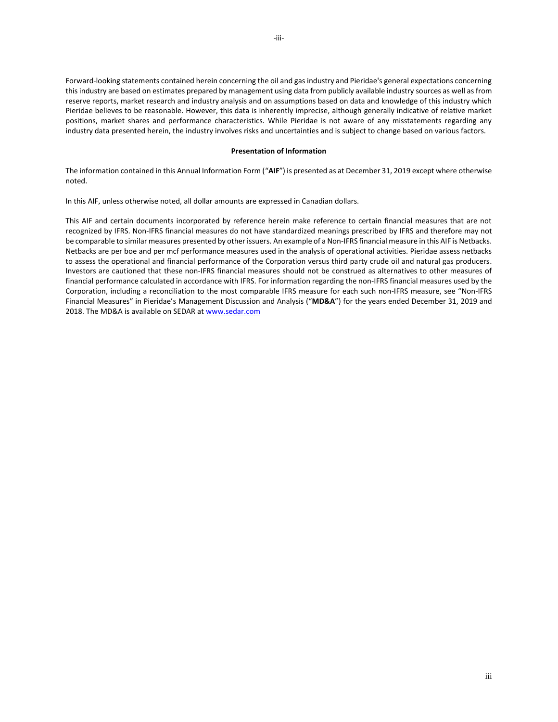Forward-looking statements contained herein concerning the oil and gas industry and Pieridae's general expectations concerning this industry are based on estimates prepared by management using data from publicly available industry sources as well as from reserve reports, market research and industry analysis and on assumptions based on data and knowledge of this industry which Pieridae believes to be reasonable. However, this data is inherently imprecise, although generally indicative of relative market positions, market shares and performance characteristics. While Pieridae is not aware of any misstatements regarding any industry data presented herein, the industry involves risks and uncertainties and is subject to change based on various factors.

### **Presentation of Information**

<span id="page-3-0"></span>The information contained in this Annual Information Form ("**AIF**") is presented as at December 31, 2019 except where otherwise noted.

In this AIF, unless otherwise noted, all dollar amounts are expressed in Canadian dollars.

This AIF and certain documents incorporated by reference herein make reference to certain financial measures that are not recognized by IFRS. Non-IFRS financial measures do not have standardized meanings prescribed by IFRS and therefore may not be comparable to similar measures presented by other issuers. An example of a Non-IFRS financial measure in this AIF is Netbacks. Netbacks are per boe and per mcf performance measures used in the analysis of operational activities. Pieridae assess netbacks to assess the operational and financial performance of the Corporation versus third party crude oil and natural gas producers. Investors are cautioned that these non-IFRS financial measures should not be construed as alternatives to other measures of financial performance calculated in accordance with IFRS. For information regarding the non-IFRS financial measures used by the Corporation, including a reconciliation to the most comparable IFRS measure for each such non-IFRS measure, see "Non-IFRS Financial Measures" in Pieridae's Management Discussion and Analysis ("**MD&A**") for the years ended December 31, 2019 and 2018. The MD&A is available on SEDAR at [www.sedar.com](http://www.sedar.com/)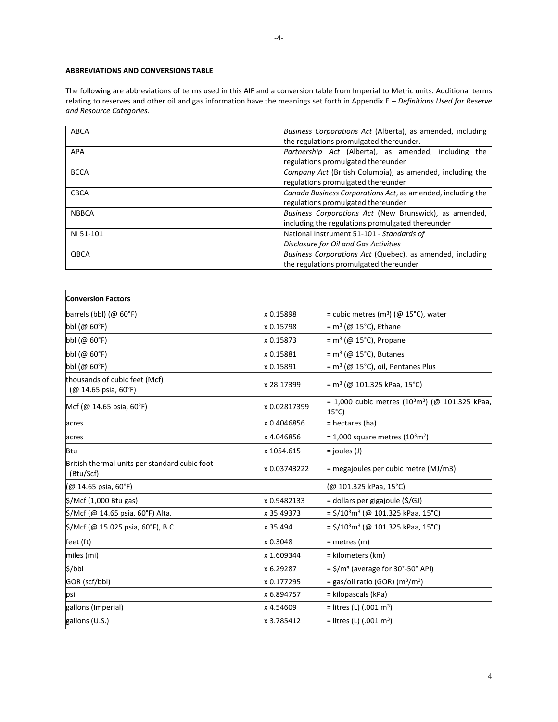# <span id="page-4-0"></span>**ABBREVIATIONS AND CONVERSIONS TABLE**

The following are abbreviations of terms used in this AIF and a conversion table from Imperial to Metric units. Additional terms relating to reserves and other oil and gas information have the meanings set forth in Appendix E – *Definitions Used for Reserve and Resource Categories*.

| ABCA         | Business Corporations Act (Alberta), as amended, including<br>the regulations promulgated thereunder.      |  |  |  |  |  |
|--------------|------------------------------------------------------------------------------------------------------------|--|--|--|--|--|
| <b>APA</b>   | Partnership Act (Alberta), as amended, including the<br>regulations promulgated thereunder                 |  |  |  |  |  |
| <b>BCCA</b>  | Company Act (British Columbia), as amended, including the<br>regulations promulgated thereunder            |  |  |  |  |  |
| <b>CBCA</b>  | Canada Business Corporations Act, as amended, including the<br>regulations promulgated thereunder          |  |  |  |  |  |
| <b>NBBCA</b> | Business Corporations Act (New Brunswick), as amended,<br>including the regulations promulgated thereunder |  |  |  |  |  |
| NI 51-101    | National Instrument 51-101 - Standards of<br>Disclosure for Oil and Gas Activities                         |  |  |  |  |  |
| QBCA         | Business Corporations Act (Quebec), as amended, including<br>the regulations promulgated thereunder        |  |  |  |  |  |

| <b>Conversion Factors</b>                                  |              |                                                                                  |
|------------------------------------------------------------|--------------|----------------------------------------------------------------------------------|
| barrels (bbl) $(\varnothing 60^{\circ}F)$                  | x 0.15898    | = cubic metres (m <sup>3</sup> ) (@ 15°C), water                                 |
| bbl (@ 60°F)                                               | x 0.15798    | = m <sup>3</sup> (@ 15°C), Ethane                                                |
| bbl (@ 60°F)                                               | x 0.15873    | = m <sup>3</sup> (@ 15°C), Propane                                               |
| bbl (@ 60°F)                                               | x 0.15881    | = m <sup>3</sup> (@ 15°C), Butanes                                               |
| bbl (@ 60°F)                                               | x 0.15891    | $=$ m <sup>3</sup> (@ 15°C), oil, Pentanes Plus                                  |
| thousands of cubic feet (Mcf)<br>$(Q$ 14.65 psia, 60°F)    | x 28.17399   | = m3 (@ 101.325 kPaa, 15°C)                                                      |
| Mcf (@ 14.65 psia, 60°F)                                   | x 0.02817399 | = 1,000 cubic metres (10 <sup>3</sup> m <sup>3</sup> ) (@ 101.325 kPaa,<br>15°C) |
| acres                                                      | x 0.4046856  | = hectares (ha)                                                                  |
| acres                                                      | x 4.046856   | $= 1,000$ square metres (10 <sup>3</sup> m <sup>2</sup> )                        |
| Btu                                                        | x 1054.615   | $=$ joules (J)                                                                   |
| British thermal units per standard cubic foot<br>(Btu/Scf) | x 0.03743222 | = megajoules per cubic metre (MJ/m3)                                             |
| (@ 14.65 psia, 60°F)                                       |              | (@ 101.325 kPaa, 15°C)                                                           |
| $\frac{1}{2}$ /Mcf (1,000 Btu gas)                         | x 0.9482133  | = dollars per gigajoule (\$/GJ)                                                  |
| \$/Mcf (@ 14.65 psia, 60°F) Alta.                          | x 35.49373   | = \$/10 <sup>3</sup> m <sup>3</sup> (@ 101.325 kPaa, 15°C)                       |
| \$/Mcf (@ 15.025 psia, 60°F), B.C.                         | x 35.494     | = \$/10 <sup>3</sup> m <sup>3</sup> (@ 101.325 kPaa, 15°C)                       |
| feet (ft)                                                  | x 0.3048     | = metres (m)                                                                     |
| miles (mi)                                                 | x 1.609344   | = kilometers (km)                                                                |
| \$/bbl                                                     | x 6.29287    | $=$ \$/m <sup>3</sup> (average for 30°-50° API)                                  |
| GOR (scf/bbl)                                              | x 0.177295   | $=$ gas/oil ratio (GOR) (m $3/m3$ )                                              |
| lpsi                                                       | x 6.894757   | = kilopascals (kPa)                                                              |
| gallons (Imperial)                                         | x 4.54609    | = litres (L) (.001 m <sup>3</sup> )                                              |
| gallons (U.S.)                                             | x 3.785412   | = litres (L) (.001 m <sup>3</sup> )                                              |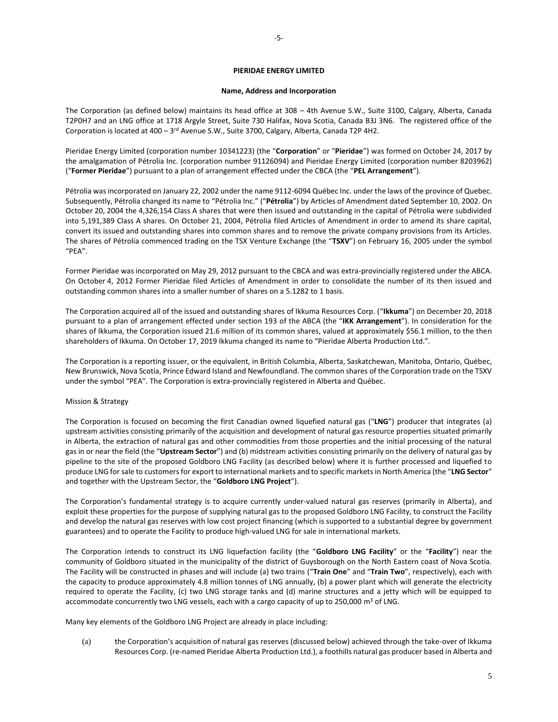## **PIERIDAE ENERGY LIMITED**

### **Name, Address and Incorporation**

<span id="page-5-1"></span><span id="page-5-0"></span>The Corporation (as defined below) maintains its head office at 308 – 4th Avenue S.W., Suite 3100, Calgary, Alberta, Canada T2P0H7 and an LNG office at 1718 Argyle Street, Suite 730 Halifax, Nova Scotia, Canada B3J 3N6. The registered office of the Corporation is located at 400 – 3<sup>rd</sup> Avenue S.W., Suite 3700, Calgary, Alberta, Canada T2P 4H2.

Pieridae Energy Limited (corporation number 10341223) (the "**Corporation**" or "**Pieridae**") was formed on October 24, 2017 by the amalgamation of Pétrolia Inc. (corporation number 91126094) and Pieridae Energy Limited (corporation number 8203962) ("**Former Pieridae**") pursuant to a plan of arrangement effected under the CBCA (the "**PEL Arrangement**").

Pétrolia was incorporated on January 22, 2002 under the name 9112-6094 Québec Inc. under the laws of the province of Quebec. Subsequently, Pétrolia changed its name to "Pétrolia Inc." ("**Pétrolia**") by Articles of Amendment dated September 10, 2002. On October 20, 2004 the 4,326,154 Class A shares that were then issued and outstanding in the capital of Pétrolia were subdivided into 5,191,389 Class A shares. On October 21, 2004, Pétrolia filed Articles of Amendment in order to amend its share capital, convert its issued and outstanding shares into common shares and to remove the private company provisions from its Articles. The shares of Pétrolia commenced trading on the TSX Venture Exchange (the "**TSXV**") on February 16, 2005 under the symbol "PEA".

Former Pieridae was incorporated on May 29, 2012 pursuant to the CBCA and was extra-provincially registered under the ABCA. On October 4, 2012 Former Pieridae filed Articles of Amendment in order to consolidate the number of its then issued and outstanding common shares into a smaller number of shares on a 5.1282 to 1 basis.

The Corporation acquired all of the issued and outstanding shares of Ikkuma Resources Corp. ("**Ikkuma**") on December 20, 2018 pursuant to a plan of arrangement effected under section 193 of the ABCA (the "**IKK Arrangement**"). In consideration for the shares of Ikkuma, the Corporation issued 21.6 million of its common shares, valued at approximately \$56.1 million, to the then shareholders of Ikkuma. On October 17, 2019 Ikkuma changed its name to "Pieridae Alberta Production Ltd.".

The Corporation is a reporting issuer, or the equivalent, in British Columbia, Alberta, Saskatchewan, Manitoba, Ontario, Québec, New Brunswick, Nova Scotia, Prince Edward Island and Newfoundland. The common shares of the Corporation trade on the TSXV under the symbol "PEA". The Corporation is extra-provincially registered in Alberta and Québec.

## Mission & Strategy

The Corporation is focused on becoming the first Canadian owned liquefied natural gas ("**LNG**") producer that integrates (a) upstream activities consisting primarily of the acquisition and development of natural gas resource properties situated primarily in Alberta, the extraction of natural gas and other commodities from those properties and the initial processing of the natural gas in or near the field (the "**Upstream Sector**") and (b) midstream activities consisting primarily on the delivery of natural gas by pipeline to the site of the proposed Goldboro LNG Facility (as described below) where it is further processed and liquefied to produce LNG for sale to customers for export to international markets and to specific markets in North America (the "**LNG Sector**" and together with the Upstream Sector, the "**Goldboro LNG Project**").

The Corporation's fundamental strategy is to acquire currently under-valued natural gas reserves (primarily in Alberta), and exploit these properties for the purpose of supplying natural gas to the proposed Goldboro LNG Facility, to construct the Facility and develop the natural gas reserves with low cost project financing (which is supported to a substantial degree by government guarantees) and to operate the Facility to produce high-valued LNG for sale in international markets.

The Corporation intends to construct its LNG liquefaction facility (the "**Goldboro LNG Facility**" or the "**Facility**") near the community of Goldboro situated in the municipality of the district of Guysborough on the North Eastern coast of Nova Scotia. The Facility will be constructed in phases and will include (a) two trains ("**Train One**" and "**Train Two**", respectively), each with the capacity to produce approximately 4.8 million tonnes of LNG annually, (b) a power plant which will generate the electricity required to operate the Facility, (c) two LNG storage tanks and (d) marine structures and a jetty which will be equipped to accommodate concurrently two LNG vessels, each with a cargo capacity of up to 250,000 m<sup>3</sup> of LNG.

Many key elements of the Goldboro LNG Project are already in place including:

(a) the Corporation's acquisition of natural gas reserves (discussed below) achieved through the take-over of Ikkuma Resources Corp. (re-named Pieridae Alberta Production Ltd.), a foothills natural gas producer based in Alberta and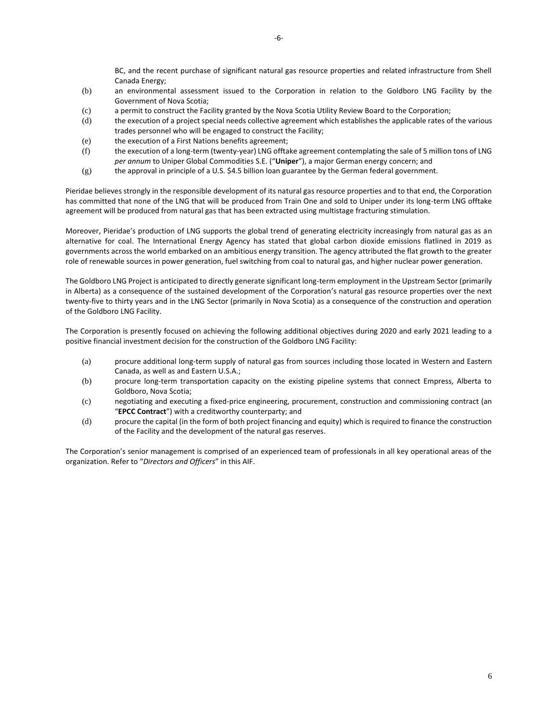-6-

BC, and the recent purchase of significant natural gas resource properties and related infrastructure from Shell Canada Energy;

- (b) an environmental assessment issued to the Corporation in relation to the Goldboro LNG Facility by the Government of Nova Scotia;
- (c) a permit to construct the Facility granted by the Nova Scotia Utility Review Board to the Corporation;
- (d) the execution of a project special needs collective agreement which establishes the applicable rates of the various trades personnel who will be engaged to construct the Facility;
- (e) the execution of a First Nations benefits agreement;
- (f) the execution of a long-term (twenty-year) LNG offtake agreement contemplating the sale of 5 million tons of LNG *per annum* to Uniper Global Commodities S.E. ("**Uniper**"), a major German energy concern; and
- (g) the approval in principle of a U.S. \$4.5 billion loan guarantee by the German federal government.

Pieridae believes strongly in the responsible development of its natural gas resource properties and to that end, the Corporation has committed that none of the LNG that will be produced from Train One and sold to Uniper under its long-term LNG offtake agreement will be produced from natural gas that has been extracted using multistage fracturing stimulation.

Moreover, Pieridae's production of LNG supports the global trend of generating electricity increasingly from natural gas as an alternative for coal. The International Energy Agency has stated that global carbon dioxide emissions flatlined in 2019 as governments across the world embarked on an ambitious energy transition. The agency attributed the flat growth to the greater role of renewable sources in power generation, fuel switching from coal to natural gas, and higher nuclear power generation.

The Goldboro LNG Project is anticipated to directly generate significant long-term employment in the Upstream Sector (primarily in Alberta) as a consequence of the sustained development of the Corporation's natural gas resource properties over the next twenty-five to thirty years and in the LNG Sector (primarily in Nova Scotia) as a consequence of the construction and operation of the Goldboro LNG Facility.

The Corporation is presently focused on achieving the following additional objectives during 2020 and early 2021 leading to a positive financial investment decision for the construction of the Goldboro LNG Facility:

- (a) procure additional long-term supply of natural gas from sources including those located in Western and Eastern Canada, as well as and Eastern U.S.A.;
- (b) procure long-term transportation capacity on the existing pipeline systems that connect Empress, Alberta to Goldboro, Nova Scotia;
- (c) negotiating and executing a fixed-price engineering, procurement, construction and commissioning contract (an "**EPCC Contract**") with a creditworthy counterparty; and
- (d) procure the capital (in the form of both project financing and equity) which is required to finance the construction of the Facility and the development of the natural gas reserves.

The Corporation's senior management is comprised of an experienced team of professionals in all key operational areas of the organization. Refer to "*Directors and Officers*" in this AIF.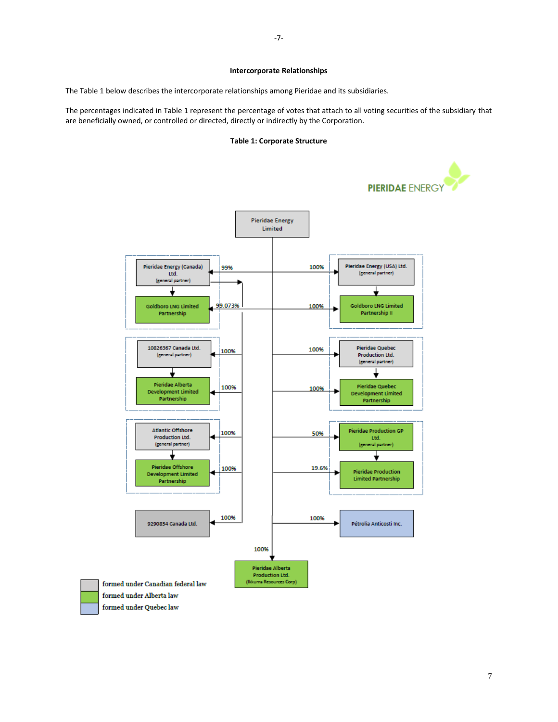## **Intercorporate Relationships**

<span id="page-7-0"></span>The Table 1 below describes the intercorporate relationships among Pieridae and its subsidiaries.

The percentages indicated in Table 1 represent the percentage of votes that attach to all voting securities of the subsidiary that are beneficially owned, or controlled or directed, directly or indirectly by the Corporation.

## **Table 1: Corporate Structure**

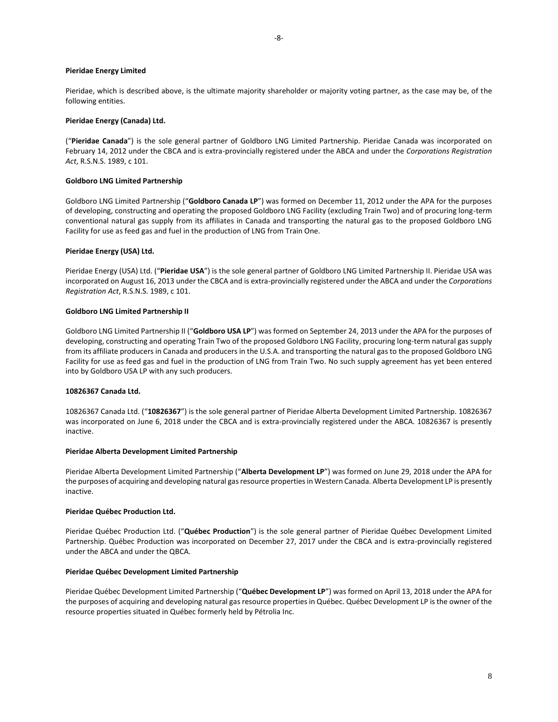### **Pieridae Energy Limited**

Pieridae, which is described above, is the ultimate majority shareholder or majority voting partner, as the case may be, of the following entities.

### **Pieridae Energy (Canada) Ltd.**

("**Pieridae Canada**") is the sole general partner of Goldboro LNG Limited Partnership. Pieridae Canada was incorporated on February 14, 2012 under the CBCA and is extra-provincially registered under the ABCA and under the *Corporations Registration Act*, R.S.N.S. 1989, c 101.

### **Goldboro LNG Limited Partnership**

Goldboro LNG Limited Partnership ("**Goldboro Canada LP**") was formed on December 11, 2012 under the APA for the purposes of developing, constructing and operating the proposed Goldboro LNG Facility (excluding Train Two) and of procuring long-term conventional natural gas supply from its affiliates in Canada and transporting the natural gas to the proposed Goldboro LNG Facility for use as feed gas and fuel in the production of LNG from Train One.

### **Pieridae Energy (USA) Ltd.**

Pieridae Energy (USA) Ltd. ("**Pieridae USA**") is the sole general partner of Goldboro LNG Limited Partnership II. Pieridae USA was incorporated on August 16, 2013 under the CBCA and is extra-provincially registered under the ABCA and under the *Corporations Registration Act*, R.S.N.S. 1989, c 101.

### **Goldboro LNG Limited Partnership II**

Goldboro LNG Limited Partnership II ("**Goldboro USA LP**") was formed on September 24, 2013 under the APA for the purposes of developing, constructing and operating Train Two of the proposed Goldboro LNG Facility, procuring long-term natural gas supply from its affiliate producers in Canada and producers in the U.S.A. and transporting the natural gas to the proposed Goldboro LNG Facility for use as feed gas and fuel in the production of LNG from Train Two. No such supply agreement has yet been entered into by Goldboro USA LP with any such producers.

## **10826367 Canada Ltd.**

10826367 Canada Ltd. ("**10826367**") is the sole general partner of Pieridae Alberta Development Limited Partnership. 10826367 was incorporated on June 6, 2018 under the CBCA and is extra-provincially registered under the ABCA. 10826367 is presently inactive.

## **Pieridae Alberta Development Limited Partnership**

Pieridae Alberta Development Limited Partnership ("**Alberta Development LP**") was formed on June 29, 2018 under the APA for the purposes of acquiring and developing natural gas resource properties in Western Canada. Alberta Development LP is presently inactive.

## **Pieridae Québec Production Ltd.**

Pieridae Québec Production Ltd. ("**Québec Production**") is the sole general partner of Pieridae Québec Development Limited Partnership. Québec Production was incorporated on December 27, 2017 under the CBCA and is extra-provincially registered under the ABCA and under the QBCA.

## **Pieridae Québec Development Limited Partnership**

Pieridae Québec Development Limited Partnership ("**Québec Development LP**") was formed on April 13, 2018 under the APA for the purposes of acquiring and developing natural gas resource properties in Québec. Québec Development LP is the owner of the resource properties situated in Québec formerly held by Pétrolia Inc.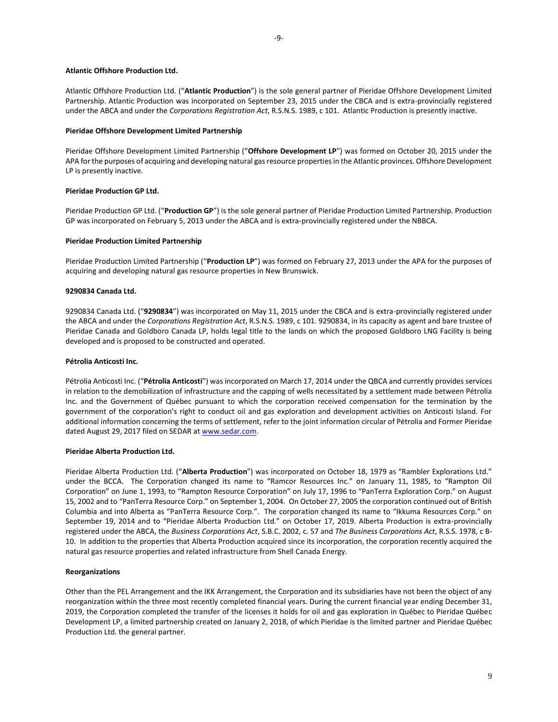### **Atlantic Offshore Production Ltd.**

Atlantic Offshore Production Ltd. ("**Atlantic Production**") is the sole general partner of Pieridae Offshore Development Limited Partnership. Atlantic Production was incorporated on September 23, 2015 under the CBCA and is extra-provincially registered under the ABCA and under the *Corporations Registration Act*, R.S.N.S. 1989, c 101. Atlantic Production is presently inactive.

### **Pieridae Offshore Development Limited Partnership**

Pieridae Offshore Development Limited Partnership ("**Offshore Development LP**") was formed on October 20, 2015 under the APA for the purposes of acquiring and developing natural gas resource properties in the Atlantic provinces. Offshore Development LP is presently inactive.

## **Pieridae Production GP Ltd.**

Pieridae Production GP Ltd. ("**Production GP**") is the sole general partner of Pieridae Production Limited Partnership. Production GP was incorporated on February 5, 2013 under the ABCA and is extra-provincially registered under the NBBCA.

#### **Pieridae Production Limited Partnership**

Pieridae Production Limited Partnership ("**Production LP**") was formed on February 27, 2013 under the APA for the purposes of acquiring and developing natural gas resource properties in New Brunswick.

## **9290834 Canada Ltd.**

9290834 Canada Ltd. ("**9290834**") was incorporated on May 11, 2015 under the CBCA and is extra-provincially registered under the ABCA and under the *Corporations Registration Act*, R.S.N.S. 1989, c 101. 9290834, in its capacity as agent and bare trustee of Pieridae Canada and Goldboro Canada LP, holds legal title to the lands on which the proposed Goldboro LNG Facility is being developed and is proposed to be constructed and operated.

## **Pétrolia Anticosti Inc.**

Pétrolia Anticosti Inc. ("**Pétrolia Anticosti**") was incorporated on March 17, 2014 under the QBCA and currently provides services in relation to the demobilization of infrastructure and the capping of wells necessitated by a settlement made between Pétrolia Inc. and the Government of Québec pursuant to which the corporation received compensation for the termination by the government of the corporation's right to conduct oil and gas exploration and development activities on Anticosti Island. For additional information concerning the terms of settlement, refer to the joint information circular of Pétrolia and Former Pieridae dated August 29, 2017 filed on SEDAR at www.sedar.com.

## **Pieridae Alberta Production Ltd.**

Pieridae Alberta Production Ltd. ("**Alberta Production**") was incorporated on October 18, 1979 as "Rambler Explorations Ltd." under the BCCA. The Corporation changed its name to "Ramcor Resources Inc." on January 11, 1985, to "Rampton Oil Corporation" on June 1, 1993, to "Rampton Resource Corporation" on July 17, 1996 to "PanTerra Exploration Corp." on August 15, 2002 and to "PanTerra Resource Corp." on September 1, 2004. On October 27, 2005 the corporation continued out of British Columbia and into Alberta as "PanTerra Resource Corp.". The corporation changed its name to "Ikkuma Resources Corp." on September 19, 2014 and to "Pieridae Alberta Production Ltd." on October 17, 2019. Alberta Production is extra-provincially registered under the ABCA, the *Business Corporations Act*, S.B.C. 2002, c. 57 and *The Business Corporations Act*, R.S.S. 1978, c B-10. In addition to the properties that Alberta Production acquired since its incorporation, the corporation recently acquired the natural gas resource properties and related infrastructure from Shell Canada Energy.

## **Reorganizations**

Other than the PEL Arrangement and the IKK Arrangement, the Corporation and its subsidiaries have not been the object of any reorganization within the three most recently completed financial years. During the current financial year ending December 31, 2019, the Corporation completed the transfer of the licenses it holds for oil and gas exploration in Québec to Pieridae Québec Development LP, a limited partnership created on January 2, 2018, of which Pieridae is the limited partner and Pieridae Québec Production Ltd. the general partner.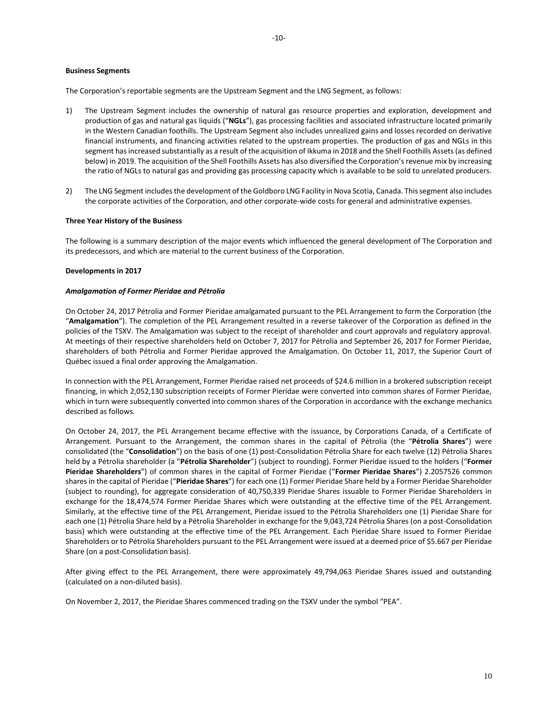### **Business Segments**

The Corporation's reportable segments are the Upstream Segment and the LNG Segment, as follows:

- 1) The Upstream Segment includes the ownership of natural gas resource properties and exploration, development and production of gas and natural gas liquids ("**NGLs**"), gas processing facilities and associated infrastructure located primarily in the Western Canadian foothills. The Upstream Segment also includes unrealized gains and losses recorded on derivative financial instruments, and financing activities related to the upstream properties. The production of gas and NGLs in this segment has increased substantially as a result of the acquisition of Ikkuma in 2018 and the Shell Foothills Assets (as defined below) in 2019. The acquisition of the Shell Foothills Assets has also diversified the Corporation's revenue mix by increasing the ratio of NGLs to natural gas and providing gas processing capacity which is available to be sold to unrelated producers.
- 2) The LNG Segment includes the development of the Goldboro LNG Facility in Nova Scotia, Canada. This segment also includes the corporate activities of the Corporation, and other corporate-wide costs for general and administrative expenses.

### **Three Year History of the Business**

The following is a summary description of the major events which influenced the general development of The Corporation and its predecessors, and which are material to the current business of the Corporation.

### **Developments in 2017**

### *Amalgamation of Former Pieridae and Pétrolia*

On October 24, 2017 Pétrolia and Former Pieridae amalgamated pursuant to the PEL Arrangement to form the Corporation (the "**Amalgamation**"). The completion of the PEL Arrangement resulted in a reverse takeover of the Corporation as defined in the policies of the TSXV. The Amalgamation was subject to the receipt of shareholder and court approvals and regulatory approval. At meetings of their respective shareholders held on October 7, 2017 for Pétrolia and September 26, 2017 for Former Pieridae, shareholders of both Pétrolia and Former Pieridae approved the Amalgamation. On October 11, 2017, the Superior Court of Québec issued a final order approving the Amalgamation.

In connection with the PEL Arrangement, Former Pieridae raised net proceeds of \$24.6 million in a brokered subscription receipt financing, in which 2,052,130 subscription receipts of Former Pieridae were converted into common shares of Former Pieridae, which in turn were subsequently converted into common shares of the Corporation in accordance with the exchange mechanics described as follows.

On October 24, 2017, the PEL Arrangement became effective with the issuance, by Corporations Canada, of a Certificate of Arrangement. Pursuant to the Arrangement, the common shares in the capital of Pétrolia (the "**Pétrolia Shares**") were consolidated (the "**Consolidation**") on the basis of one (1) post-Consolidation Pétrolia Share for each twelve (12) Pétrolia Shares held by a Pétrolia shareholder (a "**Pétrolia Shareholder**") (subject to rounding). Former Pieridae issued to the holders ("**Former Pieridae Shareholders**") of common shares in the capital of Former Pieridae ("**Former Pieridae Shares**") 2.2057526 common shares in the capital of Pieridae ("**Pieridae Shares**") for each one (1) Former Pieridae Share held by a Former Pieridae Shareholder (subject to rounding), for aggregate consideration of 40,750,339 Pieridae Shares issuable to Former Pieridae Shareholders in exchange for the 18,474,574 Former Pieridae Shares which were outstanding at the effective time of the PEL Arrangement. Similarly, at the effective time of the PEL Arrangement, Pieridae issued to the Pétrolia Shareholders one (1) Pieridae Share for each one (1) Pétrolia Share held by a Pétrolia Shareholder in exchange for the 9,043,724 Pétrolia Shares (on a post-Consolidation basis) which were outstanding at the effective time of the PEL Arrangement. Each Pieridae Share issued to Former Pieridae Shareholders or to Pétrolia Shareholders pursuant to the PEL Arrangement were issued at a deemed price of \$5.667 per Pieridae Share (on a post-Consolidation basis).

After giving effect to the PEL Arrangement, there were approximately 49,794,063 Pieridae Shares issued and outstanding (calculated on a non-diluted basis).

On November 2, 2017, the Pieridae Shares commenced trading on the TSXV under the symbol "PEA".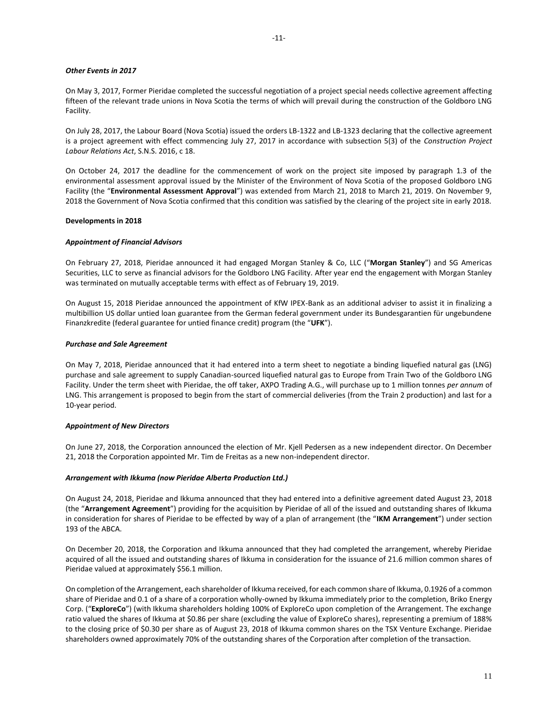## *Other Events in 2017*

On May 3, 2017, Former Pieridae completed the successful negotiation of a project special needs collective agreement affecting fifteen of the relevant trade unions in Nova Scotia the terms of which will prevail during the construction of the Goldboro LNG Facility.

On July 28, 2017, the Labour Board (Nova Scotia) issued the orders LB-1322 and LB-1323 declaring that the collective agreement is a project agreement with effect commencing July 27, 2017 in accordance with subsection 5(3) of the *Construction Project Labour Relations Act*, S.N.S. 2016, c 18.

On October 24, 2017 the deadline for the commencement of work on the project site imposed by paragraph 1.3 of the environmental assessment approval issued by the Minister of the Environment of Nova Scotia of the proposed Goldboro LNG Facility (the "**Environmental Assessment Approval**") was extended from March 21, 2018 to March 21, 2019. On November 9, 2018 the Government of Nova Scotia confirmed that this condition was satisfied by the clearing of the project site in early 2018.

### **Developments in 2018**

## *Appointment of Financial Advisors*

On February 27, 2018, Pieridae announced it had engaged Morgan Stanley & Co, LLC ("**Morgan Stanley**") and SG Americas Securities, LLC to serve as financial advisors for the Goldboro LNG Facility. After year end the engagement with Morgan Stanley was terminated on mutually acceptable terms with effect as of February 19, 2019.

On August 15, 2018 Pieridae announced the appointment of KfW IPEX-Bank as an additional adviser to assist it in finalizing a multibillion US dollar untied loan guarantee from the German federal government under its Bundesgarantien für ungebundene Finanzkredite (federal guarantee for untied finance credit) program (the "**UFK**").

### *Purchase and Sale Agreement*

On May 7, 2018, Pieridae announced that it had entered into a term sheet to negotiate a binding liquefied natural gas (LNG) purchase and sale agreement to supply Canadian-sourced liquefied natural gas to Europe from Train Two of the Goldboro LNG Facility. Under the term sheet with Pieridae, the off taker, AXPO Trading A.G., will purchase up to 1 million tonnes *per annum* of LNG. This arrangement is proposed to begin from the start of commercial deliveries (from the Train 2 production) and last for a 10-year period.

## *Appointment of New Directors*

On June 27, 2018, the Corporation announced the election of Mr. Kjell Pedersen as a new independent director. On December 21, 2018 the Corporation appointed Mr. Tim de Freitas as a new non-independent director.

#### *Arrangement with Ikkuma (now Pieridae Alberta Production Ltd.)*

On August 24, 2018, Pieridae and Ikkuma announced that they had entered into a definitive agreement dated August 23, 2018 (the "**Arrangement Agreement**") providing for the acquisition by Pieridae of all of the issued and outstanding shares of Ikkuma in consideration for shares of Pieridae to be effected by way of a plan of arrangement (the "**IKM Arrangement**") under section 193 of the ABCA.

On December 20, 2018, the Corporation and Ikkuma announced that they had completed the arrangement, whereby Pieridae acquired of all the issued and outstanding shares of Ikkuma in consideration for the issuance of 21.6 million common shares of Pieridae valued at approximately \$56.1 million.

On completion of the Arrangement, each shareholder of Ikkuma received, for each common share of Ikkuma, 0.1926 of a common share of Pieridae and 0.1 of a share of a corporation wholly-owned by Ikkuma immediately prior to the completion, Briko Energy Corp. ("**ExploreCo**") (with Ikkuma shareholders holding 100% of ExploreCo upon completion of the Arrangement. The exchange ratio valued the shares of Ikkuma at \$0.86 per share (excluding the value of ExploreCo shares), representing a premium of 188% to the closing price of \$0.30 per share as of August 23, 2018 of Ikkuma common shares on the TSX Venture Exchange. Pieridae shareholders owned approximately 70% of the outstanding shares of the Corporation after completion of the transaction.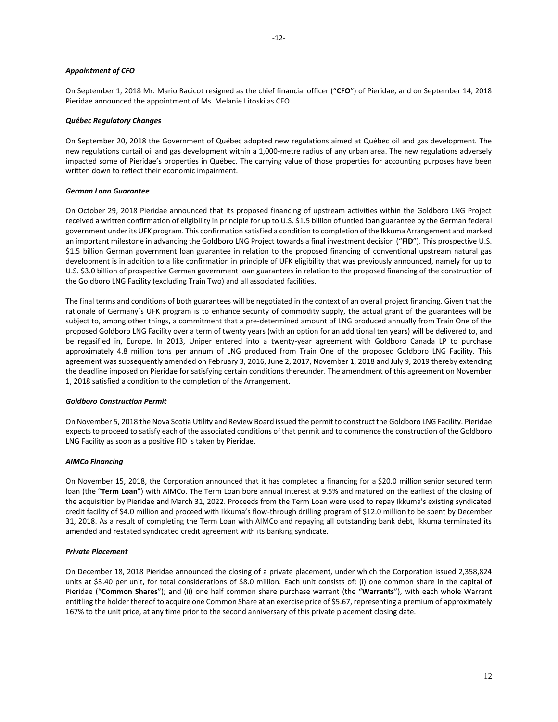### *Appointment of CFO*

On September 1, 2018 Mr. Mario Racicot resigned as the chief financial officer ("**CFO**") of Pieridae, and on September 14, 2018 Pieridae announced the appointment of Ms. Melanie Litoski as CFO.

### *Québec Regulatory Changes*

On September 20, 2018 the Government of Québec adopted new regulations aimed at Québec oil and gas development. The new regulations curtail oil and gas development within a 1,000-metre radius of any urban area. The new regulations adversely impacted some of Pieridae's properties in Québec. The carrying value of those properties for accounting purposes have been written down to reflect their economic impairment.

### *German Loan Guarantee*

On October 29, 2018 Pieridae announced that its proposed financing of upstream activities within the Goldboro LNG Project received a written confirmation of eligibility in principle for up to U.S. \$1.5 billion of untied loan guarantee by the German federal government under its UFK program. This confirmation satisfied a condition to completion of the Ikkuma Arrangement and marked an important milestone in advancing the Goldboro LNG Project towards a final investment decision ("**FID**"). This prospective U.S. \$1.5 billion German government loan guarantee in relation to the proposed financing of conventional upstream natural gas development is in addition to a like confirmation in principle of UFK eligibility that was previously announced, namely for up to U.S. \$3.0 billion of prospective German government loan guarantees in relation to the proposed financing of the construction of the Goldboro LNG Facility (excluding Train Two) and all associated facilities.

The final terms and conditions of both guarantees will be negotiated in the context of an overall project financing. Given that the rationale of Germany´s UFK program is to enhance security of commodity supply, the actual grant of the guarantees will be subject to, among other things, a commitment that a pre-determined amount of LNG produced annually from Train One of the proposed Goldboro LNG Facility over a term of twenty years (with an option for an additional ten years) will be delivered to, and be regasified in, Europe. In 2013, Uniper entered into a twenty-year agreement with Goldboro Canada LP to purchase approximately 4.8 million tons per annum of LNG produced from Train One of the proposed Goldboro LNG Facility. This agreement was subsequently amended on February 3, 2016, June 2, 2017, November 1, 2018 and July 9, 2019 thereby extending the deadline imposed on Pieridae for satisfying certain conditions thereunder. The amendment of this agreement on November 1, 2018 satisfied a condition to the completion of the Arrangement.

#### *Goldboro Construction Permit*

On November 5, 2018 the Nova Scotia Utility and Review Board issued the permit to construct the Goldboro LNG Facility. Pieridae expects to proceed to satisfy each of the associated conditions of that permit and to commence the construction of the Goldboro LNG Facility as soon as a positive FID is taken by Pieridae.

### *AIMCo Financing*

On November 15, 2018, the Corporation announced that it has completed a financing for a \$20.0 million senior secured term loan (the "**Term Loan**") with AIMCo. The Term Loan bore annual interest at 9.5% and matured on the earliest of the closing of the acquisition by Pieridae and March 31, 2022. Proceeds from the Term Loan were used to repay Ikkuma's existing syndicated credit facility of \$4.0 million and proceed with Ikkuma's flow-through drilling program of \$12.0 million to be spent by December 31, 2018. As a result of completing the Term Loan with AIMCo and repaying all outstanding bank debt, Ikkuma terminated its amended and restated syndicated credit agreement with its banking syndicate.

#### *Private Placement*

On December 18, 2018 Pieridae announced the closing of a private placement, under which the Corporation issued 2,358,824 units at \$3.40 per unit, for total considerations of \$8.0 million. Each unit consists of: (i) one common share in the capital of Pieridae ("**Common Shares**"); and (ii) one half common share purchase warrant (the "**Warrants**"), with each whole Warrant entitling the holder thereof to acquire one Common Share at an exercise price of \$5.67, representing a premium of approximately 167% to the unit price, at any time prior to the second anniversary of this private placement closing date.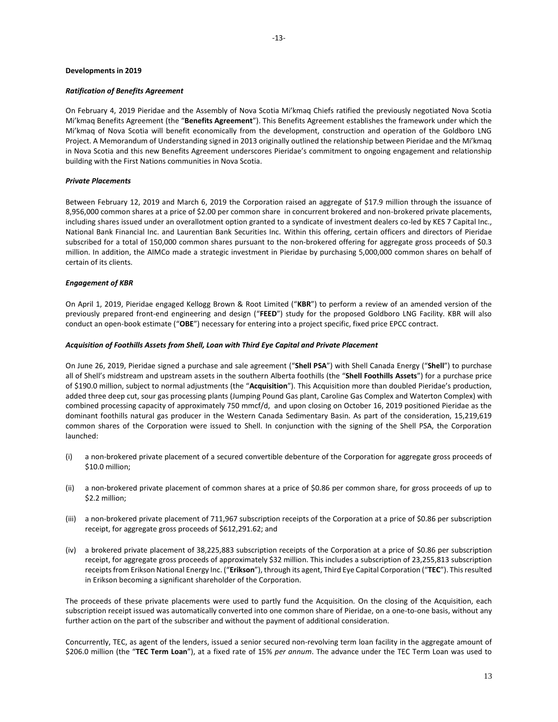### **Developments in 2019**

### *Ratification of Benefits Agreement*

On February 4, 2019 Pieridae and the Assembly of Nova Scotia Mi'kmaq Chiefs ratified the previously negotiated Nova Scotia Mi'kmaq Benefits Agreement (the "**Benefits Agreement**"). This Benefits Agreement establishes the framework under which the Mi'kmaq of Nova Scotia will benefit economically from the development, construction and operation of the Goldboro LNG Project. A Memorandum of Understanding signed in 2013 originally outlined the relationship between Pieridae and the Mi'kmaq in Nova Scotia and this new Benefits Agreement underscores Pieridae's commitment to ongoing engagement and relationship building with the First Nations communities in Nova Scotia.

## *Private Placements*

Between February 12, 2019 and March 6, 2019 the Corporation raised an aggregate of \$17.9 million through the issuance of 8,956,000 common shares at a price of \$2.00 per common share in concurrent brokered and non-brokered private placements, including shares issued under an overallotment option granted to a syndicate of investment dealers co-led by KES 7 Capital Inc., National Bank Financial Inc. and Laurentian Bank Securities Inc. Within this offering, certain officers and directors of Pieridae subscribed for a total of 150,000 common shares pursuant to the non-brokered offering for aggregate gross proceeds of \$0.3 million. In addition, the AIMCo made a strategic investment in Pieridae by purchasing 5,000,000 common shares on behalf of certain of its clients.

### *Engagement of KBR*

On April 1, 2019, Pieridae engaged Kellogg Brown & Root Limited ("**KBR**") to perform a review of an amended version of the previously prepared front-end engineering and design ("**FEED**") study for the proposed Goldboro LNG Facility. KBR will also conduct an open-book estimate ("**OBE**") necessary for entering into a project specific, fixed price EPCC contract.

#### *Acquisition of Foothills Assets from Shell, Loan with Third Eye Capital and Private Placement*

On June 26, 2019, Pieridae signed a purchase and sale agreement ("**Shell PSA**") with Shell Canada Energy ("**Shell**") to purchase all of Shell's midstream and upstream assets in the southern Alberta foothills (the "**Shell Foothills Assets**") for a purchase price of \$190.0 million, subject to normal adjustments (the "**Acquisition**"). This Acquisition more than doubled Pieridae's production, added three deep cut, sour gas processing plants (Jumping Pound Gas plant, Caroline Gas Complex and Waterton Complex) with combined processing capacity of approximately 750 mmcf/d, and upon closing on October 16, 2019 positioned Pieridae as the dominant foothills natural gas producer in the Western Canada Sedimentary Basin. As part of the consideration, 15,219,619 common shares of the Corporation were issued to Shell. In conjunction with the signing of the Shell PSA, the Corporation launched:

- (i) a non-brokered private placement of a secured convertible debenture of the Corporation for aggregate gross proceeds of \$10.0 million;
- (ii) a non-brokered private placement of common shares at a price of \$0.86 per common share, for gross proceeds of up to \$2.2 million;
- (iii) a non-brokered private placement of 711,967 subscription receipts of the Corporation at a price of \$0.86 per subscription receipt, for aggregate gross proceeds of \$612,291.62; and
- (iv) a brokered private placement of 38,225,883 subscription receipts of the Corporation at a price of \$0.86 per subscription receipt, for aggregate gross proceeds of approximately \$32 million. This includes a subscription of 23,255,813 subscription receipts from Erikson National Energy Inc. ("**Erikson**"), through its agent, Third Eye Capital Corporation ("**TEC**"). This resulted in Erikson becoming a significant shareholder of the Corporation.

The proceeds of these private placements were used to partly fund the Acquisition*.* On the closing of the Acquisition, each subscription receipt issued was automatically converted into one common share of Pieridae, on a one-to-one basis, without any further action on the part of the subscriber and without the payment of additional consideration.

Concurrently, TEC, as agent of the lenders, issued a senior secured non-revolving term loan facility in the aggregate amount of \$206.0 million (the "**TEC Term Loan**"), at a fixed rate of 15% *per annum*. The advance under the TEC Term Loan was used to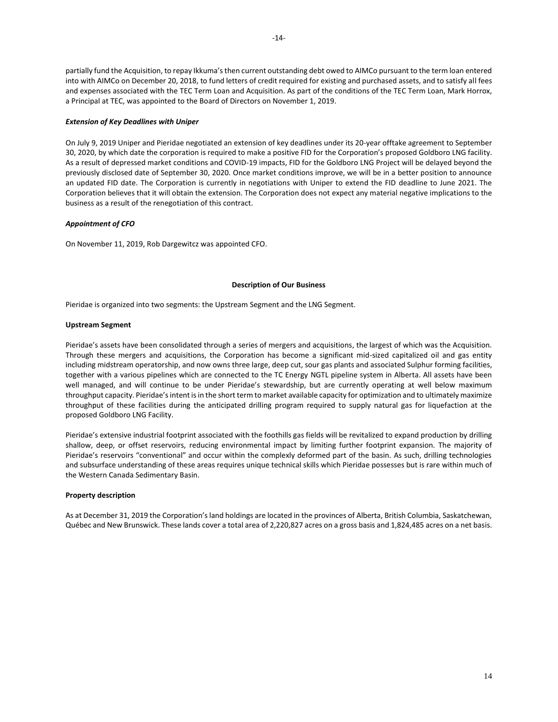partially fund the Acquisition, to repay Ikkuma's then current outstanding debt owed to AIMCo pursuant to the term loan entered into with AIMCo on December 20, 2018, to fund letters of credit required for existing and purchased assets, and to satisfy all fees and expenses associated with the TEC Term Loan and Acquisition. As part of the conditions of the TEC Term Loan, Mark Horrox, a Principal at TEC, was appointed to the Board of Directors on November 1, 2019.

## *Extension of Key Deadlines with Uniper*

On July 9, 2019 Uniper and Pieridae negotiated an extension of key deadlines under its 20-year offtake agreement to September 30, 2020, by which date the corporation is required to make a positive FID for the Corporation's proposed Goldboro LNG facility. As a result of depressed market conditions and COVID-19 impacts, FID for the Goldboro LNG Project will be delayed beyond the previously disclosed date of September 30, 2020. Once market conditions improve, we will be in a better position to announce an updated FID date. The Corporation is currently in negotiations with Uniper to extend the FID deadline to June 2021. The Corporation believes that it will obtain the extension. The Corporation does not expect any material negative implications to the business as a result of the renegotiation of this contract.

## *Appointment of CFO*

On November 11, 2019, Rob Dargewitcz was appointed CFO.

### **Description of Our Business**

<span id="page-14-0"></span>Pieridae is organized into two segments: the Upstream Segment and the LNG Segment.

#### <span id="page-14-1"></span>**Upstream Segment**

Pieridae's assets have been consolidated through a series of mergers and acquisitions, the largest of which was the Acquisition. Through these mergers and acquisitions, the Corporation has become a significant mid-sized capitalized oil and gas entity including midstream operatorship, and now owns three large, deep cut, sour gas plants and associated Sulphur forming facilities, together with a various pipelines which are connected to the TC Energy NGTL pipeline system in Alberta. All assets have been well managed, and will continue to be under Pieridae's stewardship, but are currently operating at well below maximum throughput capacity. Pieridae's intent isin the short term to market available capacity for optimization and to ultimately maximize throughput of these facilities during the anticipated drilling program required to supply natural gas for liquefaction at the proposed Goldboro LNG Facility.

Pieridae's extensive industrial footprint associated with the foothills gas fields will be revitalized to expand production by drilling shallow, deep, or offset reservoirs, reducing environmental impact by limiting further footprint expansion. The majority of Pieridae's reservoirs "conventional" and occur within the complexly deformed part of the basin. As such, drilling technologies and subsurface understanding of these areas requires unique technical skills which Pieridae possesses but is rare within much of the Western Canada Sedimentary Basin.

### **Property description**

As at December 31, 2019 the Corporation's land holdings are located in the provinces of Alberta, British Columbia, Saskatchewan, Québec and New Brunswick. These lands cover a total area of 2,220,827 acres on a gross basis and 1,824,485 acres on a net basis.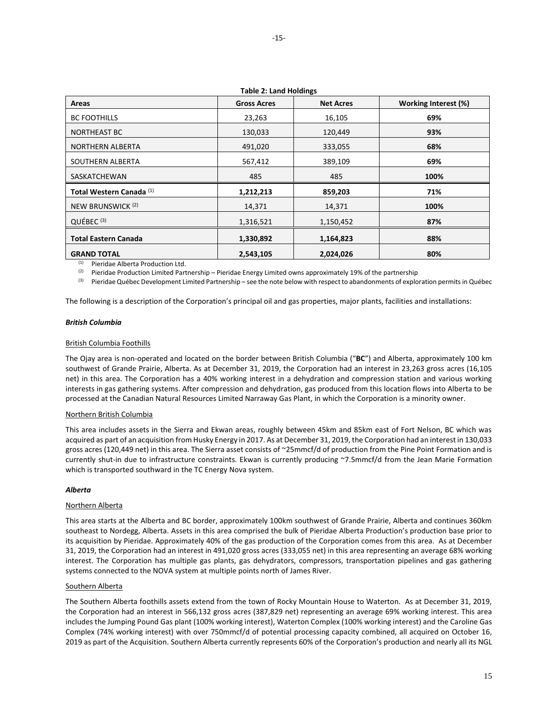|                                     | Table 2. Latiu Holdings |                  |                      |
|-------------------------------------|-------------------------|------------------|----------------------|
| Areas                               | <b>Gross Acres</b>      | <b>Net Acres</b> | Working Interest (%) |
| <b>BC FOOTHILLS</b>                 | 23,263                  | 16,105           | 69%                  |
| <b>NORTHEAST BC</b>                 | 130,033                 | 120,449          | 93%                  |
| <b>NORTHERN ALBERTA</b>             | 491,020                 | 333,055          | 68%                  |
| SOUTHERN ALBERTA                    | 567,412                 | 389,109          | 69%                  |
| SASKATCHEWAN                        | 485                     | 485              | 100%                 |
| Total Western Canada <sup>(1)</sup> | 1,212,213               | 859,203          | 71%                  |
| NEW BRUNSWICK <sup>(2)</sup>        | 14,371                  | 14,371           | 100%                 |
| QUÉBEC <sup>(3)</sup>               | 1,316,521               | 1,150,452        | 87%                  |
| <b>Total Eastern Canada</b>         | 1,330,892               | 1,164,823        | 88%                  |
| <b>GRAND TOTAL</b>                  | 2,543,105               | 2,024,026        | 80%                  |

**Table 2: Land Holdings**

(1) Pieridae Alberta Production Ltd.

<sup>(2)</sup> Pieridae Production Limited Partnership – Pieridae Energy Limited owns approximately 19% of the partnership

<sup>(3)</sup> Pieridae Québec Development Limited Partnership – see the note below with respect to abandonments of exploration permits in Québec

The following is a description of the Corporation's principal oil and gas properties, major plants, facilities and installations:

### *British Columbia*

#### British Columbia Foothills

The Ojay area is non-operated and located on the border between British Columbia ("**BC**") and Alberta, approximately 100 km southwest of Grande Prairie, Alberta. As at December 31, 2019, the Corporation had an interest in 23,263 gross acres (16,105 net) in this area. The Corporation has a 40% working interest in a dehydration and compression station and various working interests in gas gathering systems. After compression and dehydration, gas produced from this location flows into Alberta to be processed at the Canadian Natural Resources Limited Narraway Gas Plant, in which the Corporation is a minority owner.

#### Northern British Columbia

This area includes assets in the Sierra and Ekwan areas, roughly between 45km and 85km east of Fort Nelson, BC which was acquired as part of an acquisition from Husky Energy in 2017. As at December 31, 2019, the Corporation had an interest in 130,033 gross acres (120,449 net) in this area. The Sierra asset consists of ~25mmcf/d of production from the Pine Point Formation and is currently shut-in due to infrastructure constraints. Ekwan is currently producing ~7.5mmcf/d from the Jean Marie Formation which is transported southward in the TC Energy Nova system.

#### *Alberta*

#### Northern Alberta

This area starts at the Alberta and BC border, approximately 100km southwest of Grande Prairie, Alberta and continues 360km southeast to Nordegg, Alberta. Assets in this area comprised the bulk of Pieridae Alberta Production's production base prior to its acquisition by Pieridae. Approximately 40% of the gas production of the Corporation comes from this area. As at December 31, 2019, the Corporation had an interest in 491,020 gross acres (333,055 net) in this area representing an average 68% working interest. The Corporation has multiple gas plants, gas dehydrators, compressors, transportation pipelines and gas gathering systems connected to the NOVA system at multiple points north of James River.

#### Southern Alberta

The Southern Alberta foothills assets extend from the town of Rocky Mountain House to Waterton. As at December 31, 2019, the Corporation had an interest in 566,132 gross acres (387,829 net) representing an average 69% working interest. This area includes the Jumping Pound Gas plant (100% working interest), Waterton Complex (100% working interest) and the Caroline Gas Complex (74% working interest) with over 750mmcf/d of potential processing capacity combined, all acquired on October 16, 2019 as part of the Acquisition. Southern Alberta currently represents 60% of the Corporation's production and nearly all its NGL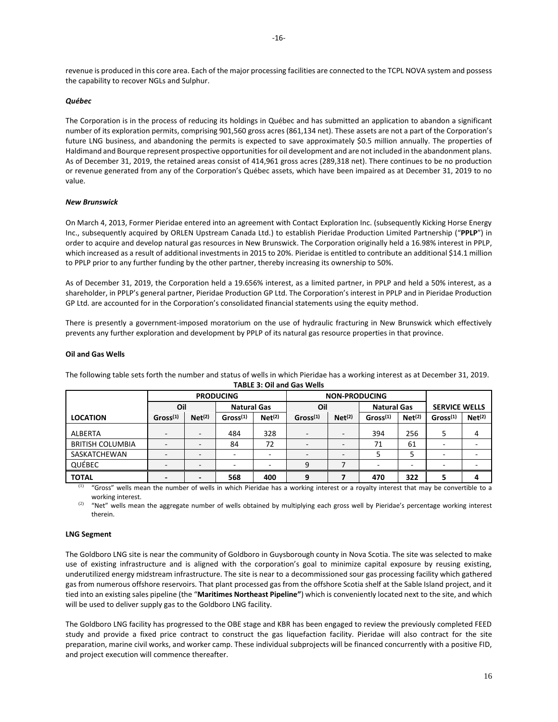revenue is produced in this core area. Each of the major processing facilities are connected to the TCPL NOVA system and possess the capability to recover NGLs and Sulphur.

### *Québec*

The Corporation is in the process of reducing its holdings in Québec and has submitted an application to abandon a significant number of its exploration permits, comprising 901,560 gross acres (861,134 net). These assets are not a part of the Corporation's future LNG business, and abandoning the permits is expected to save approximately \$0.5 million annually. The properties of Haldimand and Bourque represent prospective opportunities for oil development and are not included in the abandonment plans. As of December 31, 2019, the retained areas consist of 414,961 gross acres (289,318 net). There continues to be no production or revenue generated from any of the Corporation's Québec assets, which have been impaired as at December 31, 2019 to no value.

#### *New Brunswick*

On March 4, 2013, Former Pieridae entered into an agreement with Contact Exploration Inc. (subsequently Kicking Horse Energy Inc., subsequently acquired by ORLEN Upstream Canada Ltd.) to establish Pieridae Production Limited Partnership ("**PPLP**") in order to acquire and develop natural gas resources in New Brunswick. The Corporation originally held a 16.98% interest in PPLP, which increased as a result of additional investments in 2015 to 20%. Pieridae is entitled to contribute an additional \$14.1 million to PPLP prior to any further funding by the other partner, thereby increasing its ownership to 50%.

As of December 31, 2019, the Corporation held a 19.656% interest, as a limited partner, in PPLP and held a 50% interest, as a shareholder, in PPLP's general partner, Pieridae Production GP Ltd. The Corporation's interest in PPLP and in Pieridae Production GP Ltd. are accounted for in the Corporation's consolidated financial statements using the equity method.

There is presently a government-imposed moratorium on the use of hydraulic fracturing in New Brunswick which effectively prevents any further exploration and development by PPLP of its natural gas resource properties in that province.

#### **Oil and Gas Wells**

|                         | <b>PRODUCING</b>         |                          |                      |                    | <b>NON-PRODUCING</b>     |                    |                      |                    |                      |                    |
|-------------------------|--------------------------|--------------------------|----------------------|--------------------|--------------------------|--------------------|----------------------|--------------------|----------------------|--------------------|
|                         | Oil                      |                          | <b>Natural Gas</b>   |                    | Oil                      |                    | <b>Natural Gas</b>   |                    | <b>SERVICE WELLS</b> |                    |
| <b>LOCATION</b>         | Gross <sup>(1)</sup>     | Net <sup>(2)</sup>       | Gross <sup>(1)</sup> | Net <sup>(2)</sup> | Gross <sup>(1)</sup>     | Net <sup>(2)</sup> | Gross <sup>(1)</sup> | Net <sup>(2)</sup> | Gross <sup>(1)</sup> | Net <sup>(2)</sup> |
| ALBERTA                 | $\overline{\phantom{a}}$ | $\overline{\phantom{0}}$ | 484                  | 328                | $\overline{\phantom{a}}$ |                    | 394                  | 256                | 5                    |                    |
| <b>BRITISH COLUMBIA</b> |                          | $\overline{\phantom{0}}$ | 84                   | 72                 | ٠                        |                    | 71                   | 61                 |                      |                    |
| SASKATCHEWAN            |                          | $\overline{\phantom{0}}$ |                      |                    | $\overline{\phantom{0}}$ |                    |                      |                    |                      |                    |
| QUÉBEC                  |                          |                          |                      |                    | 9                        |                    |                      |                    |                      |                    |
| <b>TOTAL</b>            |                          |                          | 568                  | 400                | 9                        |                    | 470                  | 322                |                      |                    |

The following table sets forth the number and status of wells in which Pieridae has a working interest as at December 31, 2019. **TABLE 3: Oil and Gas Wells** 

(1) "Gross" wells mean the number of wells in which Pieridae has a working interest or a royalty interest that may be convertible to a working interest.

 $(2)$  "Net" wells mean the aggregate number of wells obtained by multiplying each gross well by Pieridae's percentage working interest therein.

#### <span id="page-16-0"></span>**LNG Segment**

The Goldboro LNG site is near the community of Goldboro in Guysborough county in Nova Scotia. The site was selected to make use of existing infrastructure and is aligned with the corporation's goal to minimize capital exposure by reusing existing, underutilized energy midstream infrastructure. The site is near to a decommissioned sour gas processing facility which gathered gas from numerous offshore reservoirs. That plant processed gas from the offshore Scotia shelf at the Sable Island project, and it tied into an existing sales pipeline (the "**Maritimes Northeast Pipeline"**) which is conveniently located next to the site, and which will be used to deliver supply gas to the Goldboro LNG facility.

The Goldboro LNG facility has progressed to the OBE stage and KBR has been engaged to review the previously completed FEED study and provide a fixed price contract to construct the gas liquefaction facility. Pieridae will also contract for the site preparation, marine civil works, and worker camp. These individual subprojects will be financed concurrently with a positive FID, and project execution will commence thereafter.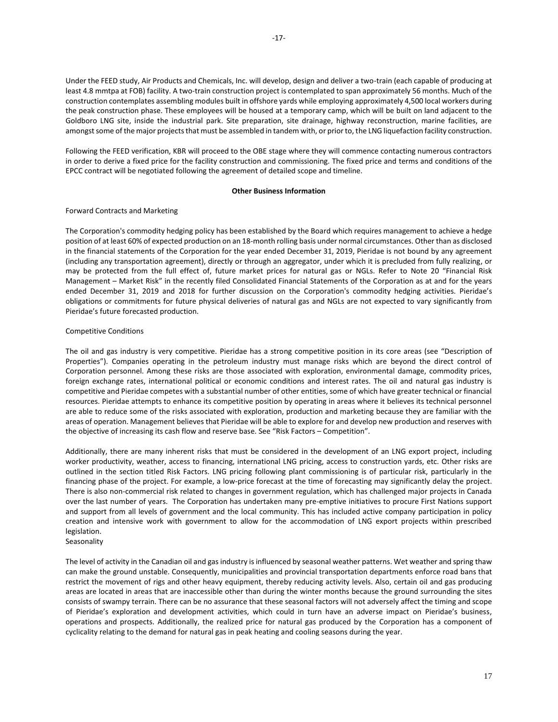Under the FEED study, Air Products and Chemicals, Inc. will develop, design and deliver a two-train (each capable of producing at least 4.8 mmtpa at FOB) facility. A two-train construction project is contemplated to span approximately 56 months. Much of the construction contemplates assembling modules built in offshore yards while employing approximately 4,500 local workers during the peak construction phase. These employees will be housed at a temporary camp, which will be built on land adjacent to the Goldboro LNG site, inside the industrial park. Site preparation, site drainage, highway reconstruction, marine facilities, are amongst some of the major projects that must be assembled in tandem with, or prior to, the LNG liquefaction facility construction.

Following the FEED verification, KBR will proceed to the OBE stage where they will commence contacting numerous contractors in order to derive a fixed price for the facility construction and commissioning. The fixed price and terms and conditions of the EPCC contract will be negotiated following the agreement of detailed scope and timeline.

## **Other Business Information**

## <span id="page-17-0"></span>Forward Contracts and Marketing

The Corporation's commodity hedging policy has been established by the Board which requires management to achieve a hedge position of at least 60% of expected production on an 18-month rolling basis under normal circumstances. Other than as disclosed in the financial statements of the Corporation for the year ended December 31, 2019, Pieridae is not bound by any agreement (including any transportation agreement), directly or through an aggregator, under which it is precluded from fully realizing, or may be protected from the full effect of, future market prices for natural gas or NGLs. Refer to Note 20 "Financial Risk Management – Market Risk" in the recently filed Consolidated Financial Statements of the Corporation as at and for the years ended December 31, 2019 and 2018 for further discussion on the Corporation's commodity hedging activities. Pieridae's obligations or commitments for future physical deliveries of natural gas and NGLs are not expected to vary significantly from Pieridae's future forecasted production.

## Competitive Conditions

The oil and gas industry is very competitive. Pieridae has a strong competitive position in its core areas (see "Description of Properties"). Companies operating in the petroleum industry must manage risks which are beyond the direct control of Corporation personnel. Among these risks are those associated with exploration, environmental damage, commodity prices, foreign exchange rates, international political or economic conditions and interest rates. The oil and natural gas industry is competitive and Pieridae competes with a substantial number of other entities, some of which have greater technical or financial resources. Pieridae attempts to enhance its competitive position by operating in areas where it believes its technical personnel are able to reduce some of the risks associated with exploration, production and marketing because they are familiar with the areas of operation. Management believes that Pieridae will be able to explore for and develop new production and reserves with the objective of increasing its cash flow and reserve base. See "Risk Factors – Competition".

Additionally, there are many inherent risks that must be considered in the development of an LNG export project, including worker productivity, weather, access to financing, international LNG pricing, access to construction yards, etc. Other risks are outlined in the section titled Risk Factors. LNG pricing following plant commissioning is of particular risk, particularly in the financing phase of the project. For example, a low-price forecast at the time of forecasting may significantly delay the project. There is also non-commercial risk related to changes in government regulation, which has challenged major projects in Canada over the last number of years. The Corporation has undertaken many pre-emptive initiatives to procure First Nations support and support from all levels of government and the local community. This has included active company participation in policy creation and intensive work with government to allow for the accommodation of LNG export projects within prescribed legislation.

## Seasonality

The level of activity in the Canadian oil and gas industry is influenced by seasonal weather patterns. Wet weather and spring thaw can make the ground unstable. Consequently, municipalities and provincial transportation departments enforce road bans that restrict the movement of rigs and other heavy equipment, thereby reducing activity levels. Also, certain oil and gas producing areas are located in areas that are inaccessible other than during the winter months because the ground surrounding the sites consists of swampy terrain. There can be no assurance that these seasonal factors will not adversely affect the timing and scope of Pieridae's exploration and development activities, which could in turn have an adverse impact on Pieridae's business, operations and prospects. Additionally, the realized price for natural gas produced by the Corporation has a component of cyclicality relating to the demand for natural gas in peak heating and cooling seasons during the year.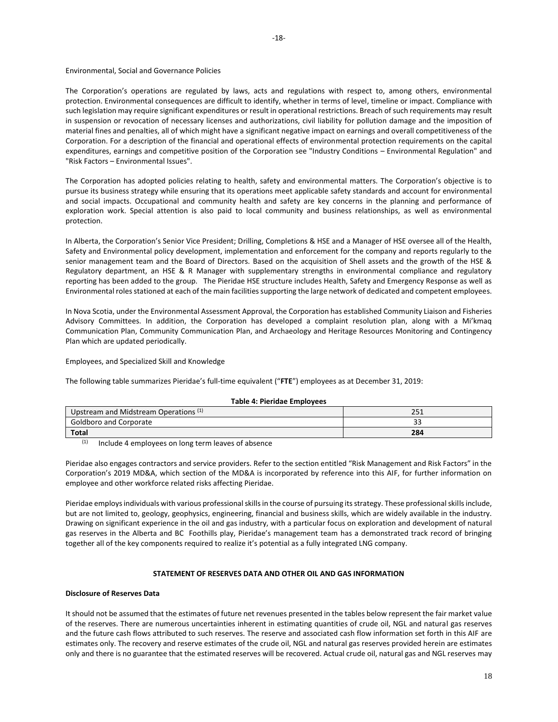### Environmental, Social and Governance Policies

The Corporation's operations are regulated by laws, acts and regulations with respect to, among others, environmental protection. Environmental consequences are difficult to identify, whether in terms of level, timeline or impact. Compliance with such legislation may require significant expenditures or result in operational restrictions. Breach of such requirements may result in suspension or revocation of necessary licenses and authorizations, civil liability for pollution damage and the imposition of material fines and penalties, all of which might have a significant negative impact on earnings and overall competitiveness of the Corporation. For a description of the financial and operational effects of environmental protection requirements on the capital expenditures, earnings and competitive position of the Corporation see "Industry Conditions – Environmental Regulation" and "Risk Factors – Environmental Issues".

The Corporation has adopted policies relating to health, safety and environmental matters. The Corporation's objective is to pursue its business strategy while ensuring that its operations meet applicable safety standards and account for environmental and social impacts. Occupational and community health and safety are key concerns in the planning and performance of exploration work. Special attention is also paid to local community and business relationships, as well as environmental protection.

In Alberta, the Corporation's Senior Vice President; Drilling, Completions & HSE and a Manager of HSE oversee all of the Health, Safety and Environmental policy development, implementation and enforcement for the company and reports regularly to the senior management team and the Board of Directors. Based on the acquisition of Shell assets and the growth of the HSE & Regulatory department, an HSE & R Manager with supplementary strengths in environmental compliance and regulatory reporting has been added to the group. The Pieridae HSE structure includes Health, Safety and Emergency Response as well as Environmental roles stationed at each of the main facilities supporting the large network of dedicated and competent employees.

In Nova Scotia, under the Environmental Assessment Approval, the Corporation has established Community Liaison and Fisheries Advisory Committees. In addition, the Corporation has developed a complaint resolution plan, along with a Mi'kmaq Communication Plan, Community Communication Plan, and Archaeology and Heritage Resources Monitoring and Contingency Plan which are updated periodically.

Employees, and Specialized Skill and Knowledge

The following table summarizes Pieridae's full-time equivalent ("**FTE**") employees as at December 31, 2019:

| Upstream and Midstream Operations <sup>(1)</sup> | $\mathbf{r}$<br>ᇰᇰᆂ |
|--------------------------------------------------|---------------------|
| <b>Goldboro and Corporate</b>                    | --                  |
| <b>Total</b>                                     | 284                 |

#### **Table 4: Pieridae Employees**

 $(1)$  Include 4 employees on long term leaves of absence

Pieridae also engages contractors and service providers. Refer to the section entitled "Risk Management and Risk Factors" in the Corporation's 2019 MD&A, which section of the MD&A is incorporated by reference into this AIF, for further information on employee and other workforce related risks affecting Pieridae.

Pieridae employs individuals with various professional skills in the course of pursuing its strategy. These professional skills include, but are not limited to, geology, geophysics, engineering, financial and business skills, which are widely available in the industry. Drawing on significant experience in the oil and gas industry, with a particular focus on exploration and development of natural gas reserves in the Alberta and BC Foothills play, Pieridae's management team has a demonstrated track record of bringing together all of the key components required to realize it's potential as a fully integrated LNG company.

## **STATEMENT OF RESERVES DATA AND OTHER OIL AND GAS INFORMATION**

### <span id="page-18-0"></span>**Disclosure of Reserves Data**

It should not be assumed that the estimates of future net revenues presented in the tables below represent the fair market value of the reserves. There are numerous uncertainties inherent in estimating quantities of crude oil, NGL and natural gas reserves and the future cash flows attributed to such reserves. The reserve and associated cash flow information set forth in this AIF are estimates only. The recovery and reserve estimates of the crude oil, NGL and natural gas reserves provided herein are estimates only and there is no guarantee that the estimated reserves will be recovered. Actual crude oil, natural gas and NGL reserves may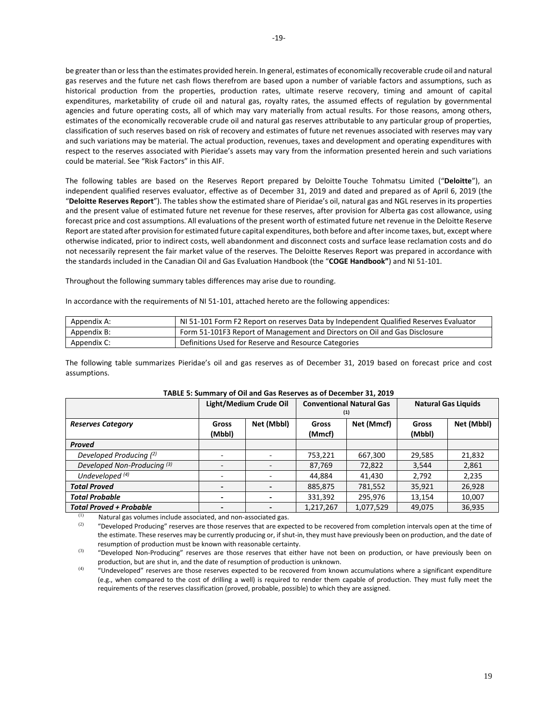be greater than or less than the estimates provided herein. In general, estimates of economically recoverable crude oil and natural gas reserves and the future net cash flows therefrom are based upon a number of variable factors and assumptions, such as historical production from the properties, production rates, ultimate reserve recovery, timing and amount of capital expenditures, marketability of crude oil and natural gas, royalty rates, the assumed effects of regulation by governmental agencies and future operating costs, all of which may vary materially from actual results. For those reasons, among others, estimates of the economically recoverable crude oil and natural gas reserves attributable to any particular group of properties, classification of such reserves based on risk of recovery and estimates of future net revenues associated with reserves may vary and such variations may be material. The actual production, revenues, taxes and development and operating expenditures with respect to the reserves associated with Pieridae's assets may vary from the information presented herein and such variations could be material. See "Risk Factors" in this AIF.

The following tables are based on the Reserves Report prepared by Deloitte Touche Tohmatsu Limited ("**Deloitte**"), an independent qualified reserves evaluator, effective as of December 31, 2019 and dated and prepared as of April 6, 2019 (the "**Deloitte Reserves Report**"). The tables show the estimated share of Pieridae's oil, natural gas and NGL reserves in its properties and the present value of estimated future net revenue for these reserves, after provision for Alberta gas cost allowance, using forecast price and cost assumptions. All evaluations of the present worth of estimated future net revenue in the Deloitte Reserve Report are stated after provision for estimated future capital expenditures, both before and after income taxes, but, except where otherwise indicated, prior to indirect costs, well abandonment and disconnect costs and surface lease reclamation costs and do not necessarily represent the fair market value of the reserves. The Deloitte Reserves Report was prepared in accordance with the standards included in the Canadian Oil and Gas Evaluation Handbook (the "**COGE Handbook"**) and NI 51-101.

Throughout the following summary tables differences may arise due to rounding.

In accordance with the requirements of NI 51-101, attached hereto are the following appendices:

| Appendix A: | NI 51-101 Form F2 Report on reserves Data by Independent Qualified Reserves Evaluator |
|-------------|---------------------------------------------------------------------------------------|
| Appendix B: | Form 51-101F3 Report of Management and Directors on Oil and Gas Disclosure            |
| Appendix C: | Definitions Used for Reserve and Resource Categories                                  |

The following table summarizes Pieridae's oil and gas reserves as of December 31, 2019 based on forecast price and cost assumptions.

|                                        |                          | Light/Medium Crude Oil<br><b>Conventional Natural Gas</b><br>(1) |           |            | <b>Natural Gas Liquids</b> |            |  |
|----------------------------------------|--------------------------|------------------------------------------------------------------|-----------|------------|----------------------------|------------|--|
| <b>Reserves Category</b>               | Gross<br>(Mbbl)          | Net (Mbbl)                                                       |           | Net (Mmcf) | Gross<br>(Mbbl)            | Net (Mbbl) |  |
| Proved                                 |                          |                                                                  |           |            |                            |            |  |
| Developed Producing (2)                | $\overline{\phantom{0}}$ |                                                                  | 753,221   | 667,300    | 29,585                     | 21,832     |  |
| Developed Non-Producing <sup>(3)</sup> | $\overline{\phantom{a}}$ | $\overline{\phantom{a}}$                                         | 87,769    | 72,822     | 3,544                      | 2,861      |  |
| Undeveloped <sup>(4)</sup>             |                          |                                                                  | 44,884    | 41,430     | 2,792                      | 2,235      |  |
| <b>Total Proved</b>                    | $\overline{\phantom{0}}$ |                                                                  | 885,875   | 781,552    | 35,921                     | 26,928     |  |
| <b>Total Probable</b>                  | $\overline{\phantom{0}}$ |                                                                  | 331,392   | 295,976    | 13,154                     | 10,007     |  |
| <b>Total Proved + Probable</b>         |                          |                                                                  | 1,217,267 | 1,077,529  | 49,075                     | 36,935     |  |

## **TABLE 5: Summary of Oil and Gas Reserves as of December 31, 2019**

(1) Natural gas volumes include associated, and non-associated gas.<br> $\frac{1}{2}$  "Doveloped Broducing" resonses are these resonses that are experiently

(2) "Developed Producing" reserves are those reserves that are expected to be recovered from completion intervals open at the time of the estimate. These reserves may be currently producing or, if shut-in, they must have previously been on production, and the date of resumption of production must be known with reasonable certainty.

<sup>(3)</sup> "Developed Non-Producing" reserves are those reserves that either have not been on production, or have previously been on production, but are shut in, and the date of resumption of production is unknown.

(4) "Undeveloped" reserves are those reserves expected to be recovered from known accumulations where a significant expenditure (e.g., when compared to the cost of drilling a well) is required to render them capable of production. They must fully meet the requirements of the reserves classification (proved, probable, possible) to which they are assigned.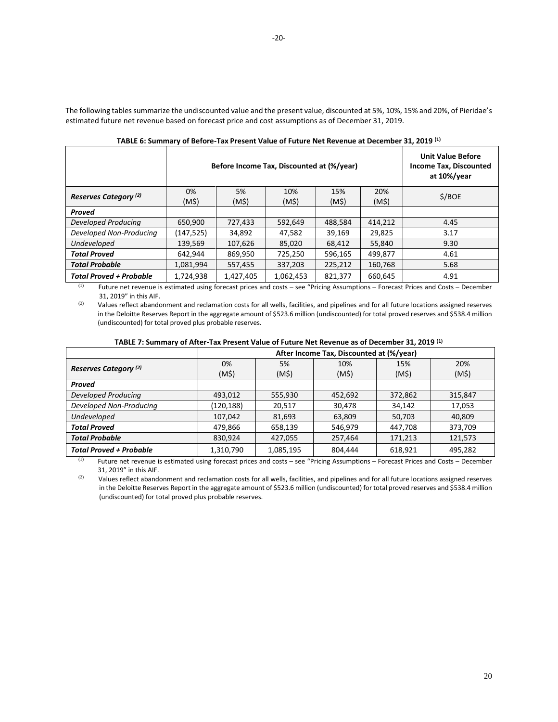The following tables summarize the undiscounted value and the present value, discounted at 5%, 10%, 15% and 20%, of Pieridae's estimated future net revenue based on forecast price and cost assumptions as of December 31, 2019.

| TADLE 0. JUINNA I DI DETOIC TUATTICJENI VUNC OF FUNDIC NEVENIGE UI DECENNER JE, EULJ |                                           |                                                                          |                     |                     |                     |        |  |
|--------------------------------------------------------------------------------------|-------------------------------------------|--------------------------------------------------------------------------|---------------------|---------------------|---------------------|--------|--|
|                                                                                      | Before Income Tax, Discounted at (%/year) | <b>Unit Value Before</b><br><b>Income Tax, Discounted</b><br>at 10%/year |                     |                     |                     |        |  |
| Reserves Category <sup>(2)</sup>                                                     | 0%<br>(M\$)                               | 5%<br>$(M\hat{S})$                                                       | 10%<br>$(M\hat{S})$ | 15%<br>$(M\hat{S})$ | 20%<br>$(M\hat{S})$ | \$/BOE |  |
| Proved                                                                               |                                           |                                                                          |                     |                     |                     |        |  |
| Developed Producing                                                                  | 650.900                                   | 727,433                                                                  | 592.649             | 488.584             | 414.212             | 4.45   |  |
| Developed Non-Producing                                                              | (147, 525)                                | 34.892                                                                   | 47.582              | 39.169              | 29,825              | 3.17   |  |
| Undeveloped                                                                          | 139,569                                   | 107,626                                                                  | 85,020              | 68,412              | 55,840              | 9.30   |  |
| <b>Total Proved</b>                                                                  | 642.944                                   | 869,950                                                                  | 725,250             | 596,165             | 499.877             | 4.61   |  |
| <b>Total Probable</b>                                                                | 1,081,994                                 | 557,455                                                                  | 337,203             | 225,212             | 160,768             | 5.68   |  |
| <b>Total Proved + Probable</b>                                                       | 1,724,938                                 | 1,427,405                                                                | 1,062,453           | 821,377             | 660,645             | 4.91   |  |

**TABLE 6: Summary of Before-Tax Present Value of Future Net Revenue at December 31, 2019 (1)**

(1) Future net revenue is estimated using forecast prices and costs – see "Pricing Assumptions – Forecast Prices and Costs – December 31, 2019" in this AIF.

 $(2)$  Values reflect abandonment and reclamation costs for all wells, facilities, and pipelines and for all future locations assigned reserves in the Deloitte Reserves Report in the aggregate amount of \$523.6 million (undiscounted) for total proved reserves and \$538.4 million (undiscounted) for total proved plus probable reserves.

|  |  |  | TABLE 7: Summary of After-Tax Present Value of Future Net Revenue as of December 31, 2019 (1) |  |
|--|--|--|-----------------------------------------------------------------------------------------------|--|
|--|--|--|-----------------------------------------------------------------------------------------------|--|

|                                  | After Income Tax, Discounted at (%/year) |              |              |              |         |  |  |  |
|----------------------------------|------------------------------------------|--------------|--------------|--------------|---------|--|--|--|
| Reserves Category <sup>(2)</sup> | 0%                                       | 5%           | 10%          | 15%          | 20%     |  |  |  |
|                                  | (M\$)                                    | $(M\hat{S})$ | $(M\hat{S})$ | $(M\hat{S})$ | (M\$)   |  |  |  |
| Proved                           |                                          |              |              |              |         |  |  |  |
| Developed Producing              | 493,012                                  | 555,930      | 452,692      | 372,862      | 315,847 |  |  |  |
| Developed Non-Producing          | (120,188)                                | 20,517       | 30,478       | 34,142       | 17,053  |  |  |  |
| Undeveloped                      | 107,042                                  | 81,693       | 63,809       | 50,703       | 40,809  |  |  |  |
| <b>Total Proved</b>              | 479,866                                  | 658,139      | 546,979      | 447,708      | 373,709 |  |  |  |
| <b>Total Probable</b>            | 830.924                                  | 427,055      | 257,464      | 171.213      | 121,573 |  |  |  |
| <b>Total Proved + Probable</b>   | 1,310,790                                | 1,085,195    | 804,444      | 618,921      | 495,282 |  |  |  |

(1) Future net revenue is estimated using forecast prices and costs – see "Pricing Assumptions – Forecast Prices and Costs – December 31, 2019" in this AIF.

(2) Values reflect abandonment and reclamation costs for all wells, facilities, and pipelines and for all future locations assigned reserves in the Deloitte Reserves Report in the aggregate amount of \$523.6 million (undiscounted) for total proved reserves and \$538.4 million (undiscounted) for total proved plus probable reserves.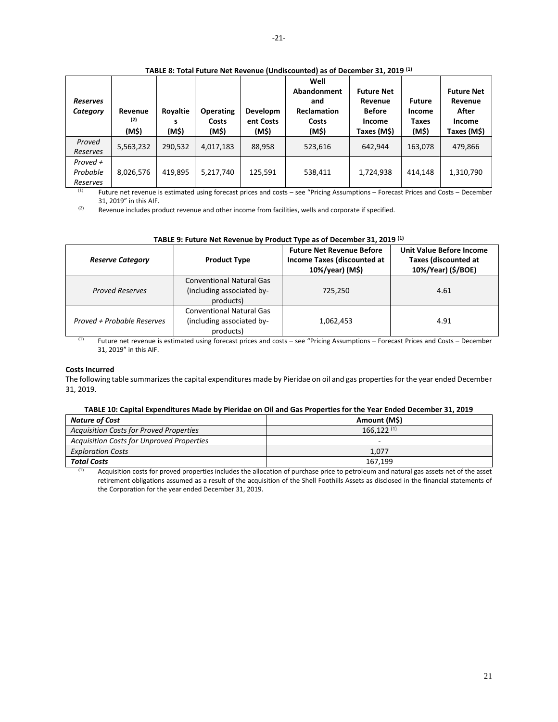| <b>Reserves</b><br>Category      | Revenue<br>(2)<br>(M\$) | Royaltie<br>s<br>(M\$) | <b>Operating</b><br>Costs<br>(M\$) | <b>Developm</b><br>ent Costs<br>(M\$) | Well<br>Abandonment<br>and<br><b>Reclamation</b><br>Costs<br>(M\$) | <b>Future Net</b><br>Revenue<br><b>Before</b><br>Income<br>Taxes (M\$) | <b>Future</b><br>Income<br><b>Taxes</b><br>(M\$) | <b>Future Net</b><br>Revenue<br>After<br>Income<br>Taxes (M\$) |
|----------------------------------|-------------------------|------------------------|------------------------------------|---------------------------------------|--------------------------------------------------------------------|------------------------------------------------------------------------|--------------------------------------------------|----------------------------------------------------------------|
| Proved<br>Reserves               | 5,563,232               | 290,532                | 4,017,183                          | 88,958                                | 523,616                                                            | 642.944                                                                | 163,078                                          | 479,866                                                        |
| Proved +<br>Probable<br>Reserves | 8,026,576               | 419,895                | 5,217,740                          | 125,591                               | 538,411                                                            | 1,724,938                                                              | 414.148                                          | 1,310,790                                                      |

**TABLE 8: Total Future Net Revenue (Undiscounted) as of December 31, 2019 (1)**

(1) Future net revenue is estimated using forecast prices and costs – see "Pricing Assumptions – Forecast Prices and Costs – December 31, 2019" in this AIF.

 $(2)$  Revenue includes product revenue and other income from facilities, wells and corporate if specified.

| <b>Reserve Category</b>    | <b>Product Type</b>                                                       | <b>Future Net Revenue Before</b><br>Income Taxes (discounted at<br>10%/year) (M\$) | <b>Unit Value Before Income</b><br><b>Taxes (discounted at</b><br>10%/Year) (\$/BOE) |
|----------------------------|---------------------------------------------------------------------------|------------------------------------------------------------------------------------|--------------------------------------------------------------------------------------|
| <b>Proved Reserves</b>     | <b>Conventional Natural Gas</b><br>(including associated by-<br>products) | 725,250                                                                            | 4.61                                                                                 |
| Proved + Probable Reserves | <b>Conventional Natural Gas</b><br>(including associated by-<br>products) | 1,062,453                                                                          | 4.91                                                                                 |

## **TABLE 9: Future Net Revenue by Product Type as of December 31, 2019 (1)**

(1) Future net revenue is estimated using forecast prices and costs – see "Pricing Assumptions – Forecast Prices and Costs – December 31, 2019" in this AIF.

## **Costs Incurred**

The following table summarizes the capital expenditures made by Pieridae on oil and gas properties for the year ended December 31, 2019.

## **TABLE 10: Capital Expenditures Made by Pieridae on Oil and Gas Properties for the Year Ended December 31, 2019**

| Nature of Cost                                   | Amount (M\$) |
|--------------------------------------------------|--------------|
| Acquisition Costs for Proved Properties          | 166.122(1)   |
| <b>Acquisition Costs for Unproved Properties</b> |              |
| <b>Exploration Costs</b>                         | 1.077        |
| <b>Total Costs</b>                               | 167.199      |

(1) Acquisition costs for proved properties includes the allocation of purchase price to petroleum and natural gas assets net of the asset retirement obligations assumed as a result of the acquisition of the Shell Foothills Assets as disclosed in the financial statements of the Corporation for the year ended December 31, 2019.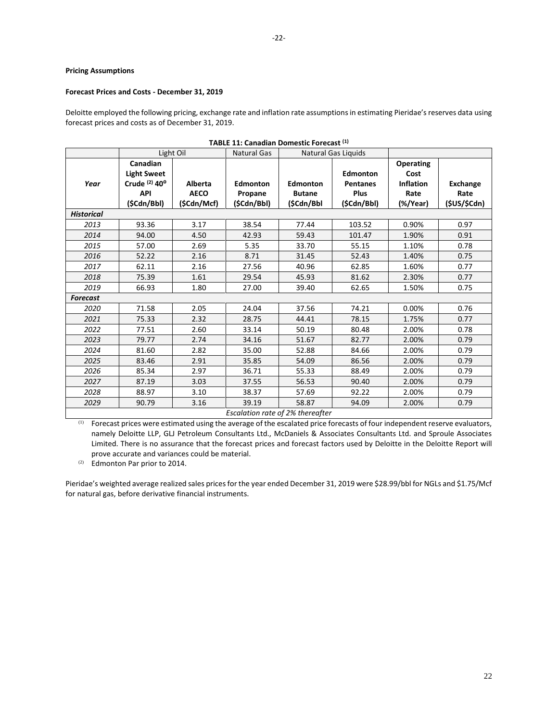## **Pricing Assumptions**

## **Forecast Prices and Costs - December 31, 2019**

Deloitte employed the following pricing, exchange rate and inflation rate assumptions in estimating Pieridae's reserves data using forecast prices and costs as of December 31, 2019.

|                   |                           |                | TADLL 11. Canadian Domestic Forecast : |                 |                     |                  |                 |
|-------------------|---------------------------|----------------|----------------------------------------|-----------------|---------------------|------------------|-----------------|
|                   |                           | Light Oil      | <b>Natural Gas</b>                     |                 | Natural Gas Liquids |                  |                 |
|                   | Canadian                  |                |                                        |                 |                     | <b>Operating</b> |                 |
|                   | <b>Light Sweet</b>        |                |                                        |                 | Edmonton            | Cost             |                 |
| Year              | Crude (2) 40 <sup>o</sup> | <b>Alberta</b> | <b>Edmonton</b>                        | <b>Edmonton</b> | <b>Pentanes</b>     | <b>Inflation</b> | <b>Exchange</b> |
|                   | <b>API</b>                | <b>AECO</b>    | Propane                                | <b>Butane</b>   | <b>Plus</b>         | Rate             | Rate            |
|                   | (\$Cdn/Bbl)               | (\$Cdn/Mcf)    | (\$Cdn/Bbl)                            | (\$Cdn/Bbl      | (\$Cdn/Bbl)         | (%/Year)         | (\$US/\$Cdn)    |
| <b>Historical</b> |                           |                |                                        |                 |                     |                  |                 |
| 2013              | 93.36                     | 3.17           | 38.54                                  | 77.44           | 103.52              | 0.90%            | 0.97            |
| 2014              | 94.00                     | 4.50           | 42.93                                  | 59.43           | 101.47              | 1.90%            | 0.91            |
| 2015              | 57.00                     | 2.69           | 5.35                                   | 33.70           | 55.15               | 1.10%            | 0.78            |
| 2016              | 52.22                     | 2.16           | 8.71                                   | 31.45           | 52.43               | 1.40%            | 0.75            |
| 2017              | 62.11                     | 2.16           | 27.56                                  | 40.96           | 62.85               | 1.60%            | 0.77            |
| 2018              | 75.39                     | 1.61           | 29.54                                  | 45.93           | 81.62               | 2.30%            | 0.77            |
| 2019              | 66.93                     | 1.80           | 27.00                                  | 39.40           | 62.65               | 1.50%            | 0.75            |
| <b>Forecast</b>   |                           |                |                                        |                 |                     |                  |                 |
| 2020              | 71.58                     | 2.05           | 24.04                                  | 37.56           | 74.21               | 0.00%            | 0.76            |
| 2021              | 75.33                     | 2.32           | 28.75                                  | 44.41           | 78.15               | 1.75%            | 0.77            |
| 2022              | 77.51                     | 2.60           | 33.14                                  | 50.19           | 80.48               | 2.00%            | 0.78            |
| 2023              | 79.77                     | 2.74           | 34.16                                  | 51.67           | 82.77               | 2.00%            | 0.79            |
| 2024              | 81.60                     | 2.82           | 35.00                                  | 52.88           | 84.66               | 2.00%            | 0.79            |
| 2025              | 83.46                     | 2.91           | 35.85                                  | 54.09           | 86.56               | 2.00%            | 0.79            |
| 2026              | 85.34                     | 2.97           | 36.71                                  | 55.33           | 88.49               | 2.00%            | 0.79            |
| 2027              | 87.19                     | 3.03           | 37.55                                  | 56.53           | 90.40               | 2.00%            | 0.79            |
| 2028              | 88.97                     | 3.10           | 38.37                                  | 57.69           | 92.22               | 2.00%            | 0.79            |
| 2029              | 90.79                     | 3.16           | 39.19                                  | 58.87           | 94.09               | 2.00%            | 0.79            |
|                   |                           |                | Escalation rate of 2% thereafter       |                 |                     |                  |                 |

| TABLE 11: Canadian Domestic Forecast (1) |  |  |  |
|------------------------------------------|--|--|--|
|------------------------------------------|--|--|--|

(1) Forecast prices were estimated using the average of the escalated price forecasts of four independent reserve evaluators, namely Deloitte LLP, GLJ Petroleum Consultants Ltd., McDaniels & Associates Consultants Ltd. and Sproule Associates Limited. There is no assurance that the forecast prices and forecast factors used by Deloitte in the Deloitte Report will prove accurate and variances could be material.

(2) Edmonton Par prior to 2014.

Pieridae's weighted average realized sales prices for the year ended December 31, 2019 were \$28.99/bbl for NGLs and \$1.75/Mcf for natural gas, before derivative financial instruments.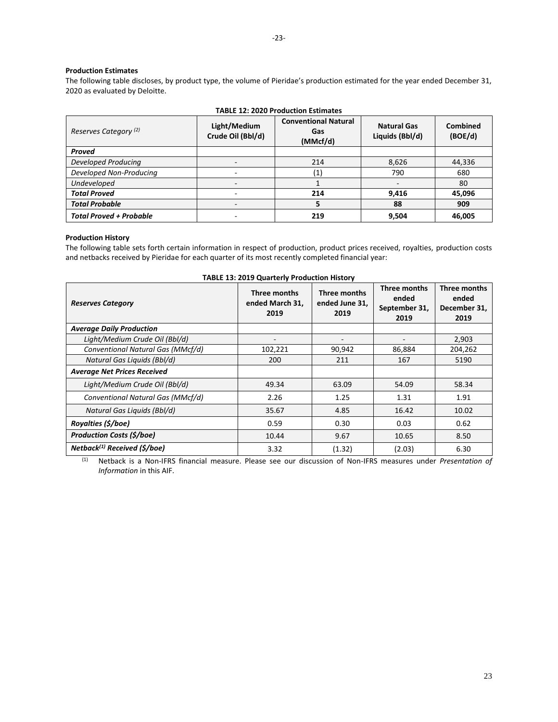## **Production Estimates**

The following table discloses, by product type, the volume of Pieridae's production estimated for the year ended December 31, 2020 as evaluated by Deloitte.

| <b>TABLE 12: 2020 Production Estimates</b> |                                   |                                                |                                       |                     |  |
|--------------------------------------------|-----------------------------------|------------------------------------------------|---------------------------------------|---------------------|--|
| Reserves Category <sup>(2)</sup>           | Light/Medium<br>Crude Oil (Bbl/d) | <b>Conventional Natural</b><br>Gas<br>(MMcf/d) | <b>Natural Gas</b><br>Liquids (Bbl/d) | Combined<br>(BOE/d) |  |
| <b>Proved</b>                              |                                   |                                                |                                       |                     |  |
| Developed Producing                        |                                   | 214                                            | 8,626                                 | 44,336              |  |
| Developed Non-Producing                    |                                   | $\left( 1\right)$                              | 790                                   | 680                 |  |
| Undeveloped                                |                                   |                                                |                                       | 80                  |  |
| <b>Total Proved</b>                        |                                   | 214                                            | 9,416                                 | 45,096              |  |
| <b>Total Probable</b>                      |                                   | 5                                              | 88                                    | 909                 |  |
| <b>Total Proved + Probable</b>             |                                   | 219                                            | 9,504                                 | 46,005              |  |

## **Production History**

The following table sets forth certain information in respect of production, product prices received, royalties, production costs and netbacks received by Pieridae for each quarter of its most recently completed financial year:

| <b>TABLE 13: 2019 Quarterly Production History</b> |                                         |                                        |                                                |                                               |  |
|----------------------------------------------------|-----------------------------------------|----------------------------------------|------------------------------------------------|-----------------------------------------------|--|
| <b>Reserves Category</b>                           | Three months<br>ended March 31,<br>2019 | Three months<br>ended June 31,<br>2019 | Three months<br>ended<br>September 31,<br>2019 | Three months<br>ended<br>December 31,<br>2019 |  |
| <b>Average Daily Production</b>                    |                                         |                                        |                                                |                                               |  |
| Light/Medium Crude Oil (Bbl/d)                     |                                         | ٠                                      |                                                | 2,903                                         |  |
| Conventional Natural Gas (MMcf/d)                  | 102,221                                 | 90,942                                 | 86,884                                         | 204,262                                       |  |
| Natural Gas Liquids (Bbl/d)                        | 200                                     | 211                                    | 167                                            | 5190                                          |  |
| <b>Average Net Prices Received</b>                 |                                         |                                        |                                                |                                               |  |
| Light/Medium Crude Oil (Bbl/d)                     | 49.34                                   | 63.09                                  | 54.09                                          | 58.34                                         |  |
| Conventional Natural Gas (MMcf/d)                  | 2.26                                    | 1.25                                   | 1.31                                           | 1.91                                          |  |
| Natural Gas Liquids (Bbl/d)                        | 35.67                                   | 4.85                                   | 16.42                                          | 10.02                                         |  |
| Royalties (\$/boe)                                 | 0.59                                    | 0.30                                   | 0.03                                           | 0.62                                          |  |
| <b>Production Costs (\$/boe)</b>                   | 10.44                                   | 9.67                                   | 10.65                                          | 8.50                                          |  |
| $Netback(1) Received (\frac{\xi}{\log \xi})$       | 3.32                                    | (1.32)                                 | (2.03)                                         | 6.30                                          |  |

(1) Netback is a Non-IFRS financial measure. Please see our discussion of Non-IFRS measures under *Presentation of Information* in this AIF.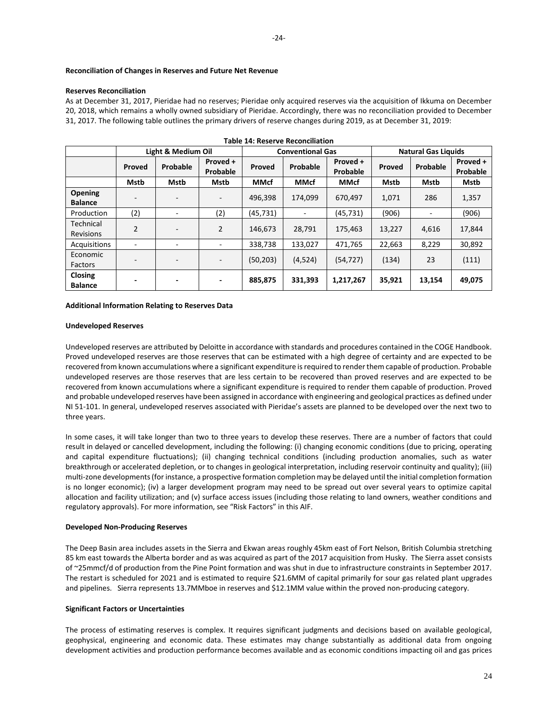### **Reconciliation of Changes in Reserves and Future Net Revenue**

### **Reserves Reconciliation**

As at December 31, 2017, Pieridae had no reserves; Pieridae only acquired reserves via the acquisition of Ikkuma on December 20, 2018, which remains a wholly owned subsidiary of Pieridae. Accordingly, there was no reconciliation provided to December 31, 2017. The following table outlines the primary drivers of reserve changes during 2019, as at December 31, 2019:

|                                  | <b>Table 14: Reserve Reconciliation</b> |                    |                          |             |                         |                      |                            |          |                      |
|----------------------------------|-----------------------------------------|--------------------|--------------------------|-------------|-------------------------|----------------------|----------------------------|----------|----------------------|
|                                  |                                         | Light & Medium Oil |                          |             | <b>Conventional Gas</b> |                      | <b>Natural Gas Liquids</b> |          |                      |
|                                  | Proved                                  | Probable           | Proved +<br>Probable     | Proved      | Probable                | Proved +<br>Probable | Proved                     | Probable | Proved +<br>Probable |
|                                  | Mstb                                    | Mstb               | Mstb                     | <b>MMcf</b> | <b>MMcf</b>             | <b>MMcf</b>          | Mstb                       | Mstb     | Mstb                 |
| Opening<br><b>Balance</b>        | $\overline{\phantom{0}}$                |                    | $\overline{\phantom{a}}$ | 496,398     | 174.099                 | 670,497              | 1,071                      | 286      | 1,357                |
| Production                       | (2)                                     | -                  | (2)                      | (45, 731)   | ۰                       | (45, 731)            | (906)                      | -        | (906)                |
| Technical<br><b>Revisions</b>    | $\overline{2}$                          |                    | 2                        | 146,673     | 28,791                  | 175,463              | 13,227                     | 4,616    | 17,844               |
| Acquisitions                     |                                         |                    |                          | 338,738     | 133,027                 | 471,765              | 22,663                     | 8,229    | 30,892               |
| Economic<br>Factors              |                                         |                    |                          | (50, 203)   | (4,524)                 | (54, 727)            | (134)                      | 23       | (111)                |
| <b>Closing</b><br><b>Balance</b> | $\overline{\phantom{0}}$                |                    |                          | 885,875     | 331,393                 | 1,217,267            | 35,921                     | 13,154   | 49,075               |

## **Additional Information Relating to Reserves Data**

#### **Undeveloped Reserves**

Undeveloped reserves are attributed by Deloitte in accordance with standards and procedures contained in the COGE Handbook. Proved undeveloped reserves are those reserves that can be estimated with a high degree of certainty and are expected to be recovered from known accumulations where a significant expenditure is required to render them capable of production. Probable undeveloped reserves are those reserves that are less certain to be recovered than proved reserves and are expected to be recovered from known accumulations where a significant expenditure is required to render them capable of production. Proved and probable undeveloped reserves have been assigned in accordance with engineering and geological practices as defined under NI 51-101. In general, undeveloped reserves associated with Pieridae's assets are planned to be developed over the next two to three years.

In some cases, it will take longer than two to three years to develop these reserves. There are a number of factors that could result in delayed or cancelled development, including the following: (i) changing economic conditions (due to pricing, operating and capital expenditure fluctuations); (ii) changing technical conditions (including production anomalies, such as water breakthrough or accelerated depletion, or to changes in geological interpretation, including reservoir continuity and quality); (iii) multi-zone developments (for instance, a prospective formation completion may be delayed until the initial completion formation is no longer economic); (iv) a larger development program may need to be spread out over several years to optimize capital allocation and facility utilization; and (v) surface access issues (including those relating to land owners, weather conditions and regulatory approvals). For more information, see "Risk Factors" in this AIF.

### **Developed Non-Producing Reserves**

The Deep Basin area includes assets in the Sierra and Ekwan areas roughly 45km east of Fort Nelson, British Columbia stretching 85 km east towards the Alberta border and as was acquired as part of the 2017 acquisition from Husky. The Sierra asset consists of ~25mmcf/d of production from the Pine Point formation and was shut in due to infrastructure constraints in September 2017. The restart is scheduled for 2021 and is estimated to require \$21.6MM of capital primarily for sour gas related plant upgrades and pipelines. Sierra represents 13.7MMboe in reserves and \$12.1MM value within the proved non-producing category.

#### **Significant Factors or Uncertainties**

The process of estimating reserves is complex. It requires significant judgments and decisions based on available geological, geophysical, engineering and economic data. These estimates may change substantially as additional data from ongoing development activities and production performance becomes available and as economic conditions impacting oil and gas prices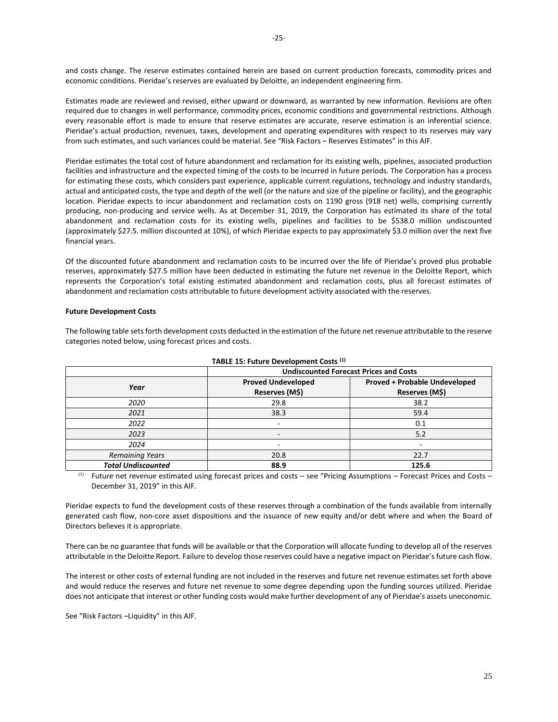economic conditions. Pieridae's reserves are evaluated by Deloitte, an independent engineering firm.

Estimates made are reviewed and revised, either upward or downward, as warranted by new information. Revisions are often required due to changes in well performance, commodity prices, economic conditions and governmental restrictions. Although every reasonable effort is made to ensure that reserve estimates are accurate, reserve estimation is an inferential science. Pieridae's actual production, revenues, taxes, development and operating expenditures with respect to its reserves may vary from such estimates, and such variances could be material. See "Risk Factors – Reserves Estimates" in this AIF.

Pieridae estimates the total cost of future abandonment and reclamation for its existing wells, pipelines, associated production facilities and infrastructure and the expected timing of the costs to be incurred in future periods. The Corporation has a process for estimating these costs, which considers past experience, applicable current regulations, technology and industry standards, actual and anticipated costs, the type and depth of the well (or the nature and size of the pipeline or facility), and the geographic location. Pieridae expects to incur abandonment and reclamation costs on 1190 gross (918 net) wells, comprising currently producing, non-producing and service wells. As at December 31, 2019, the Corporation has estimated its share of the total abandonment and reclamation costs for its existing wells, pipelines and facilities to be \$538.0 million undiscounted (approximately \$27.5. million discounted at 10%), of which Pieridae expects to pay approximately \$3.0 million over the next five financial years.

Of the discounted future abandonment and reclamation costs to be incurred over the life of Pieridae's proved plus probable reserves, approximately \$27.5 million have been deducted in estimating the future net revenue in the Deloitte Report, which represents the Corporation's total existing estimated abandonment and reclamation costs, plus all forecast estimates of abandonment and reclamation costs attributable to future development activity associated with the reserves.

## **Future Development Costs**

The following table sets forth development costs deducted in the estimation of the future net revenue attributable to the reserve categories noted below, using forecast prices and costs.

|                           | <b>Undiscounted Forecast Prices and Costs</b> |                                                        |  |  |
|---------------------------|-----------------------------------------------|--------------------------------------------------------|--|--|
| Year                      | <b>Proved Undeveloped</b><br>Reserves (M\$)   | <b>Proved + Probable Undeveloped</b><br>Reserves (M\$) |  |  |
| 2020                      | 29.8                                          | 38.2                                                   |  |  |
| 2021                      | 38.3                                          | 59.4                                                   |  |  |
| 2022                      | -                                             | 0.1                                                    |  |  |
| 2023                      | ٠                                             | 5.2                                                    |  |  |
| 2024                      |                                               |                                                        |  |  |
| <b>Remaining Years</b>    | 20.8                                          | 22.7                                                   |  |  |
| <b>Total Undiscounted</b> | 88.9                                          | 125.6                                                  |  |  |

**TABLE 15: Future Development Costs (1)**

(1) Future net revenue estimated using forecast prices and costs – see "Pricing Assumptions – Forecast Prices and Costs – December 31, 2019" in this AIF.

Pieridae expects to fund the development costs of these reserves through a combination of the funds available from internally generated cash flow, non-core asset dispositions and the issuance of new equity and/or debt where and when the Board of Directors believes it is appropriate.

There can be no guarantee that funds will be available or that the Corporation will allocate funding to develop all of the reserves attributable in the Deloitte Report. Failure to develop those reserves could have a negative impact on Pieridae's future cash flow.

The interest or other costs of external funding are not included in the reserves and future net revenue estimates set forth above and would reduce the reserves and future net revenue to some degree depending upon the funding sources utilized. Pieridae does not anticipate that interest or other funding costs would make further development of any of Pieridae's assets uneconomic.

See "Risk Factors –Liquidity" in this AIF.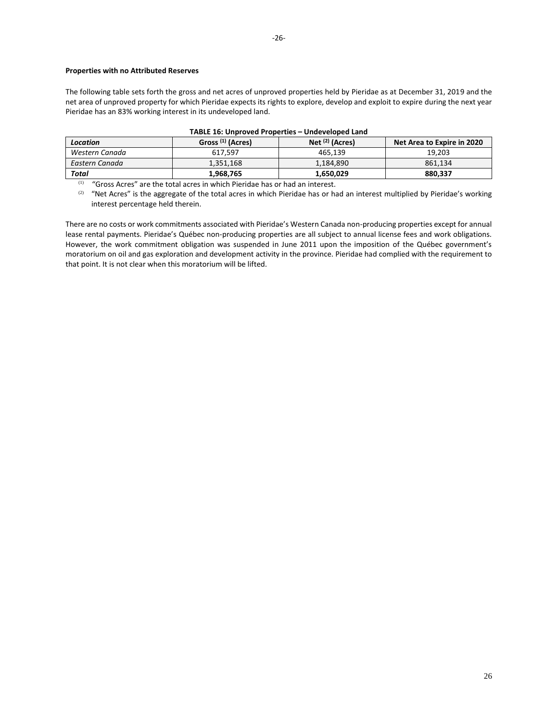# **Properties with no Attributed Reserves**

The following table sets forth the gross and net acres of unproved properties held by Pieridae as at December 31, 2019 and the net area of unproved property for which Pieridae expects its rights to explore, develop and exploit to expire during the next year Pieridae has an 83% working interest in its undeveloped land.

| <b>PRODUCTORUM CATTLE</b> |                              |                            |                            |  |  |
|---------------------------|------------------------------|----------------------------|----------------------------|--|--|
| <b>Location</b>           | Gross <sup>(1)</sup> (Acres) | Net <sup>(2)</sup> (Acres) | Net Area to Expire in 2020 |  |  |
| Western Canada            | 617.597                      | 465.139                    | 19.203                     |  |  |
| Eastern Canada            | 1.351.168                    | 1.184.890                  | 861.134                    |  |  |
| Total                     | 1.968.765                    | 1.650.029                  | 880.337                    |  |  |

## **TABLE 16: Unproved Properties – Undeveloped Land**

 $(1)$  "Gross Acres" are the total acres in which Pieridae has or had an interest.

(2) "Net Acres" is the aggregate of the total acres in which Pieridae has or had an interest multiplied by Pieridae's working interest percentage held therein.

There are no costs or work commitments associated with Pieridae's Western Canada non-producing properties except for annual lease rental payments. Pieridae's Québec non-producing properties are all subject to annual license fees and work obligations. However, the work commitment obligation was suspended in June 2011 upon the imposition of the Québec government's moratorium on oil and gas exploration and development activity in the province. Pieridae had complied with the requirement to that point. It is not clear when this moratorium will be lifted.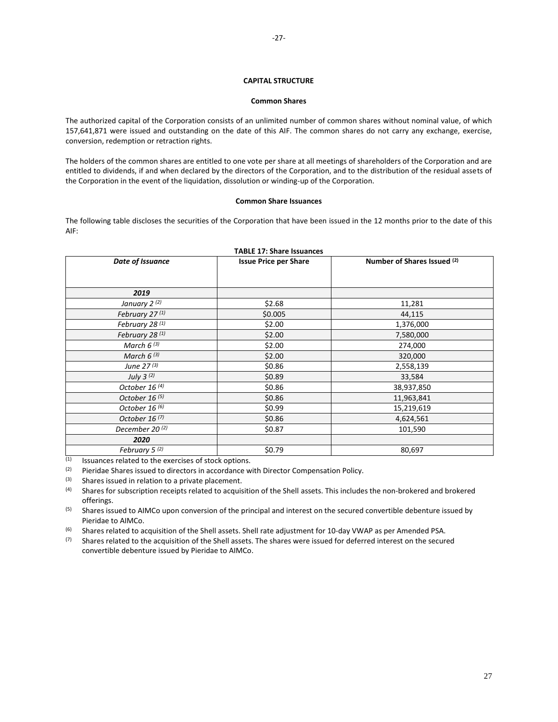## **CAPITAL STRUCTURE**

### **Common Shares**

<span id="page-27-1"></span><span id="page-27-0"></span>The authorized capital of the Corporation consists of an unlimited number of common shares without nominal value, of which 157,641,871 were issued and outstanding on the date of this AIF. The common shares do not carry any exchange, exercise, conversion, redemption or retraction rights.

The holders of the common shares are entitled to one vote per share at all meetings of shareholders of the Corporation and are entitled to dividends, if and when declared by the directors of the Corporation, and to the distribution of the residual assets of the Corporation in the event of the liquidation, dissolution or winding-up of the Corporation.

## **Common Share Issuances**

The following table discloses the securities of the Corporation that have been issued in the 12 months prior to the date of this AIF:

| Date of Issuance           | <b>Issue Price per Share</b> | Number of Shares Issued (2) |
|----------------------------|------------------------------|-----------------------------|
|                            |                              |                             |
| 2019                       |                              |                             |
| January 2 <sup>(2)</sup>   | \$2.68                       | 11,281                      |
| February 27 <sup>(1)</sup> | \$0.005                      | 44,115                      |
| February 28 (1)            | \$2.00                       | 1,376,000                   |
| February 28 <sup>(1)</sup> | \$2.00                       | 7,580,000                   |
| March $6^{(3)}$            | \$2.00                       | 274,000                     |
| March $6^{(3)}$            | \$2.00                       | 320,000                     |
| June 27 (3)                | \$0.86                       | 2,558,139                   |
| July $3^{(2)}$             | \$0.89                       | 33,584                      |
| October 16 <sup>(4)</sup>  | \$0.86                       | 38,937,850                  |
| October 16 <sup>(5)</sup>  | \$0.86                       | 11,963,841                  |
| October 16 <sup>(6)</sup>  | \$0.99                       | 15,219,619                  |
| October 16 <sup>(7)</sup>  | \$0.86                       | 4,624,561                   |
| December 20 <sup>(2)</sup> | \$0.87                       | 101,590                     |
| 2020                       |                              |                             |
| February 5 <sup>(2)</sup>  | \$0.79                       | 80,697                      |

**TABLE 17: Share Issuances**

 $(1)$  Issuances related to the exercises of stock options.

(2) Pieridae Shares issued to directors in accordance with Director Compensation Policy.<br>(3) Shares issued in relation to a private placement

Shares issued in relation to a private placement.

(4) Shares for subscription receipts related to acquisition of the Shell assets. This includes the non-brokered and brokered offerings.

<sup>(5)</sup> Shares issued to AIMCo upon conversion of the principal and interest on the secured convertible debenture issued by Pieridae to AIMCo.

(6) Shares related to acquisition of the Shell assets. Shell rate adjustment for 10-day VWAP as per Amended PSA.<br>(7) Shares related to the acquisition of the Shell assets. The shares were issued for deferred interest on t

Shares related to the acquisition of the Shell assets. The shares were issued for deferred interest on the secured convertible debenture issued by Pieridae to AIMCo.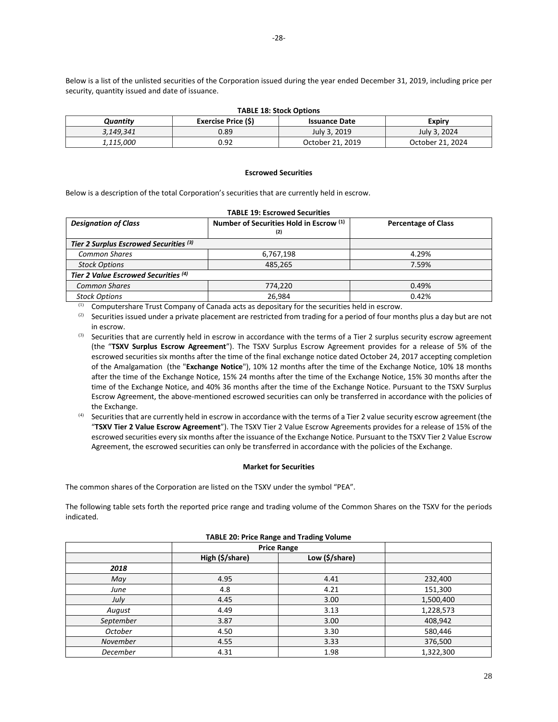Below is a list of the unlisted securities of the Corporation issued during the year ended December 31, 2019, including price per security, quantity issued and date of issuance.

| Quantitv         | Exercise Price (\$) | <b>IMPLE 10. JUULA UPUUIIS</b><br><b>Issuance Date</b> | Expiry           |
|------------------|---------------------|--------------------------------------------------------|------------------|
| 3,149,341        | 0.89                | July 3, 2019                                           | July 3, 2024     |
| <i>1,115,000</i> | 0.92                | October 21, 2019                                       | October 21. 2024 |

**TABLE 18: Stock Options**

#### **Escrowed Securities**

<span id="page-28-0"></span>Below is a description of the total Corporation's securities that are currently held in escrow.

| <b>TABLE 19: Escrowed Securities</b>   |                            |       |  |  |
|----------------------------------------|----------------------------|-------|--|--|
| <b>Designation of Class</b>            | <b>Percentage of Class</b> |       |  |  |
| Tier 2 Surplus Escrowed Securities (3) |                            |       |  |  |
| <b>Common Shares</b>                   | 6,767,198                  | 4.29% |  |  |
| <b>Stock Options</b>                   | 485,265                    | 7.59% |  |  |
| Tier 2 Value Escrowed Securities (4)   |                            |       |  |  |
| <b>Common Shares</b>                   | 774,220                    | 0.49% |  |  |
| <b>Stock Options</b>                   | 26,984                     | 0.42% |  |  |

(1) Computershare Trust Company of Canada acts as depositary for the securities held in escrow.

 $(2)$  Securities issued under a private placement are restricted from trading for a period of four months plus a day but are not in escrow.

(3) Securities that are currently held in escrow in accordance with the terms of a Tier 2 surplus security escrow agreement (the "**TSXV Surplus Escrow Agreement**"). The TSXV Surplus Escrow Agreement provides for a release of 5% of the escrowed securities six months after the time of the final exchange notice dated October 24, 2017 accepting completion of the Amalgamation (the "**Exchange Notice**"), 10% 12 months after the time of the Exchange Notice, 10% 18 months after the time of the Exchange Notice, 15% 24 months after the time of the Exchange Notice, 15% 30 months after the time of the Exchange Notice, and 40% 36 months after the time of the Exchange Notice. Pursuant to the TSXV Surplus Escrow Agreement, the above-mentioned escrowed securities can only be transferred in accordance with the policies of the Exchange.

(4) Securities that are currently held in escrow in accordance with the terms of a Tier 2 value security escrow agreement (the "**TSXV Tier 2 Value Escrow Agreement**"). The TSXV Tier 2 Value Escrow Agreements provides for a release of 15% of the escrowed securities every six months after the issuance of the Exchange Notice. Pursuant to the TSXV Tier 2 Value Escrow Agreement, the escrowed securities can only be transferred in accordance with the policies of the Exchange.

## **Market for Securities**

<span id="page-28-1"></span>The common shares of the Corporation are listed on the TSXV under the symbol "PEA".

The following table sets forth the reported price range and trading volume of the Common Shares on the TSXV for the periods indicated.

| ັ<br>$\tilde{\phantom{a}}$ |                                   |      |           |  |  |
|----------------------------|-----------------------------------|------|-----------|--|--|
|                            | <b>Price Range</b>                |      |           |  |  |
|                            | High (\$/share)<br>Low (\$/share) |      |           |  |  |
| 2018                       |                                   |      |           |  |  |
| May                        | 4.95                              | 4.41 | 232,400   |  |  |
| June                       | 4.8                               | 4.21 | 151,300   |  |  |
| July                       | 4.45                              | 3.00 | 1,500,400 |  |  |
| August                     | 4.49                              | 3.13 | 1,228,573 |  |  |
| September                  | 3.87                              | 3.00 | 408,942   |  |  |
| October                    | 4.50                              | 3.30 | 580,446   |  |  |
| November                   | 4.55                              | 3.33 | 376,500   |  |  |
| December                   | 4.31                              | 1.98 | 1,322,300 |  |  |

### **TABLE 20: Price Range and Trading Volume**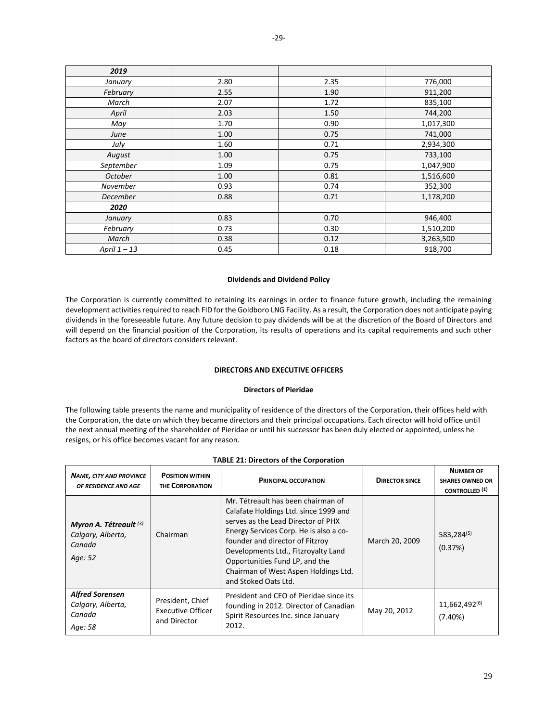| 2019            |      |      |           |  |
|-----------------|------|------|-----------|--|
| January         | 2.80 | 2.35 | 776,000   |  |
| February        | 2.55 | 1.90 | 911,200   |  |
| March           | 2.07 | 1.72 | 835,100   |  |
| April           | 2.03 | 1.50 | 744,200   |  |
| May             | 1.70 | 0.90 | 1,017,300 |  |
| June            | 1.00 | 0.75 | 741,000   |  |
| July            | 1.60 | 0.71 | 2,934,300 |  |
| August          | 1.00 | 0.75 | 733,100   |  |
| September       | 1.09 | 0.75 | 1,047,900 |  |
| October         | 1.00 | 0.81 | 1,516,600 |  |
| November        | 0.93 | 0.74 | 352,300   |  |
| <b>December</b> | 0.88 | 0.71 | 1,178,200 |  |
| 2020            |      |      |           |  |
| January         | 0.83 | 0.70 | 946,400   |  |
| February        | 0.73 | 0.30 | 1,510,200 |  |
| March           | 0.38 | 0.12 | 3,263,500 |  |
| April $1 - 13$  | 0.45 | 0.18 | 918,700   |  |

## **Dividends and Dividend Policy**

<span id="page-29-0"></span>The Corporation is currently committed to retaining its earnings in order to finance future growth, including the remaining development activities required to reach FID for the Goldboro LNG Facility. As a result, the Corporation does not anticipate paying dividends in the foreseeable future. Any future decision to pay dividends will be at the discretion of the Board of Directors and will depend on the financial position of the Corporation, its results of operations and its capital requirements and such other factors as the board of directors considers relevant.

## **DIRECTORS AND EXECUTIVE OFFICERS**

## **Directors of Pieridae**

<span id="page-29-2"></span><span id="page-29-1"></span>The following table presents the name and municipality of residence of the directors of the Corporation, their offices held with the Corporation, the date on which they became directors and their principal occupations. Each director will hold office until the next annual meeting of the shareholder of Pieridae or until his successor has been duly elected or appointed, unless he resigns, or his office becomes vacant for any reason.

| <b>NAME, CITY AND PROVINCE</b><br>OF RESIDENCE AND AGE                      | <b>POSITION WITHIN</b><br><b>THE CORPORATION</b>             | <b>PRINCIPAL OCCUPATION</b><br><b>DIRECTOR SINCE</b>                                                                                                                                                                                                                                                                                    |                | <b>NUMBER OF</b><br><b>SHARES OWNED OR</b><br><b>CONTROLLED</b> <sup>(1)</sup> |
|-----------------------------------------------------------------------------|--------------------------------------------------------------|-----------------------------------------------------------------------------------------------------------------------------------------------------------------------------------------------------------------------------------------------------------------------------------------------------------------------------------------|----------------|--------------------------------------------------------------------------------|
| Myron A. Tétreault <sup>(3)</sup><br>Calgary, Alberta,<br>Canada<br>Age: 52 | Chairman                                                     | Mr. Tétreault has been chairman of<br>Calafate Holdings Ltd. since 1999 and<br>serves as the Lead Director of PHX<br>Energy Services Corp. He is also a co-<br>founder and director of Fitzroy<br>Developments Ltd., Fitzroyalty Land<br>Opportunities Fund LP, and the<br>Chairman of West Aspen Holdings Ltd.<br>and Stoked Oats Ltd. | March 20, 2009 | 583,284(5)<br>(0.37%)                                                          |
| <b>Alfred Sorensen</b><br>Calgary, Alberta,<br>Canada<br>Age: 58            | President, Chief<br><b>Executive Officer</b><br>and Director | President and CEO of Pieridae since its<br>founding in 2012. Director of Canadian<br>Spirit Resources Inc. since January<br>2012.                                                                                                                                                                                                       | May 20, 2012   | 11,662,492(6)<br>(7.40%)                                                       |

#### **TABLE 21: Directors of the Corporation**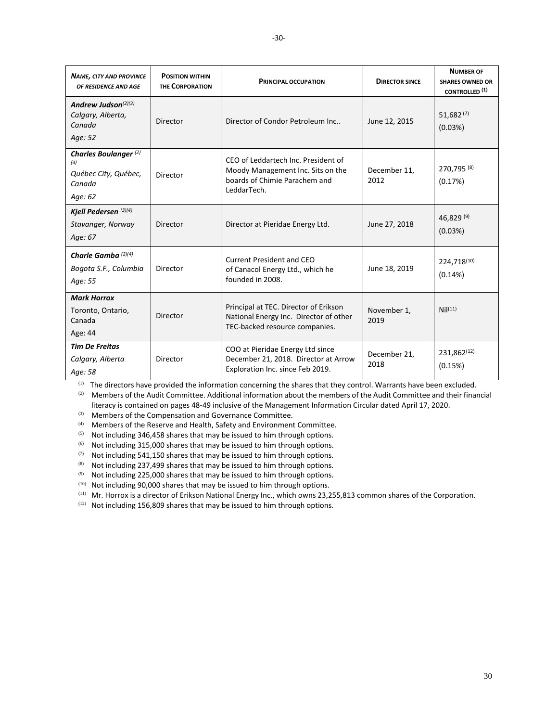| <b>NAME, CITY AND PROVINCE</b><br>OF RESIDENCE AND AGE                               | <b>POSITION WITHIN</b><br><b>THE CORPORATION</b> | <b>PRINCIPAL OCCUPATION</b>                                                                                              | <b>DIRECTOR SINCE</b> | <b>NUMBER OF</b><br><b>SHARES OWNED OR</b><br><b>CONTROLLED</b> <sup>(1)</sup> |
|--------------------------------------------------------------------------------------|--------------------------------------------------|--------------------------------------------------------------------------------------------------------------------------|-----------------------|--------------------------------------------------------------------------------|
| Andrew Judson $(2)(3)$<br>Calgary, Alberta,<br>Canada<br>Age: 52                     | Director                                         | Director of Condor Petroleum Inc                                                                                         | June 12, 2015         | $51,682^{(7)}$<br>(0.03%)                                                      |
| Charles Boulanger <sup>(2)</sup><br>(4)<br>Québec City, Québec,<br>Canada<br>Age: 62 | Director                                         | CEO of Leddartech Inc. President of<br>Moody Management Inc. Sits on the<br>boards of Chimie Parachem and<br>LeddarTech. | December 11,<br>2012  | 270,795 (8)<br>(0.17%)                                                         |
| Kjell Pedersen <sup>(3)(4)</sup><br>Stavanger, Norway<br>Age: 67                     | Director                                         | Director at Pieridae Energy Ltd.                                                                                         | June 27, 2018         | 46,829 (9)<br>(0.03%)                                                          |
| Charle Gamba <sup>(2)(4)</sup><br>Bogota S.F., Columbia<br>Age: 55                   | Director                                         | <b>Current President and CEO</b><br>of Canacol Energy Ltd., which he<br>founded in 2008.                                 | June 18, 2019         | 224,718(10)<br>(0.14%)                                                         |
| <b>Mark Horrox</b><br>Toronto, Ontario,<br>Canada<br>Age: 44                         | Director                                         | Principal at TEC. Director of Erikson<br>National Energy Inc. Director of other<br>TEC-backed resource companies.        | November 1,<br>2019   | Nil <sup>(11)</sup>                                                            |
| <b>Tim De Freitas</b><br>Calgary, Alberta<br>Age: 58                                 | Director                                         | COO at Pieridae Energy Ltd since<br>December 21, 2018. Director at Arrow<br>Exploration Inc. since Feb 2019.             | December 21,<br>2018  | 231,862(12)<br>(0.15%)                                                         |

(1) The directors have provided the information concerning the shares that they control. Warrants have been excluded.

(2) Members of the Audit Committee. Additional information about the members of the Audit Committee and their financial literacy is contained on pages 48-49 inclusive of the Management Information Circular dated April 17, 2020.

(3) Members of the Compensation and Governance Committee.

(4) Members of the Reserve and Health, Safety and Environment Committee.

 $(5)$  Not including 346,458 shares that may be issued to him through options.

(6) Not including 315,000 shares that may be issued to him through options.

(7) Not including 541,150 shares that may be issued to him through options.

(8) Not including 237,499 shares that may be issued to him through options.

 $(9)$  Not including 225,000 shares that may be issued to him through options.

 $(10)$  Not including 90,000 shares that may be issued to him through options.

(11) Mr. Horrox is a director of Erikson National Energy Inc., which owns 23,255,813 common shares of the Corporation.

 $(12)$  Not including 156,809 shares that may be issued to him through options.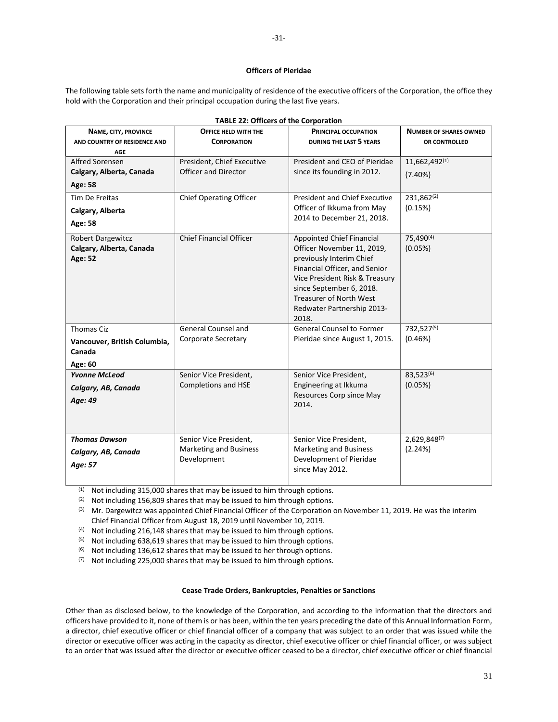## **Officers of Pieridae**

<span id="page-31-0"></span>The following table sets forth the name and municipality of residence of the executive officers of the Corporation, the office they hold with the Corporation and their principal occupation during the last five years.

|                              | ADLL 22. OTHERS OF THE COLDOI BUILD |                                      |                               |
|------------------------------|-------------------------------------|--------------------------------------|-------------------------------|
| NAME, CITY, PROVINCE         | OFFICE HELD WITH THE                | <b>PRINCIPAL OCCUPATION</b>          | <b>NUMBER OF SHARES OWNED</b> |
| AND COUNTRY OF RESIDENCE AND | <b>CORPORATION</b>                  | <b>DURING THE LAST 5 YEARS</b>       | OR CONTROLLED                 |
| <b>AGE</b>                   |                                     |                                      |                               |
| Alfred Sorensen              | President, Chief Executive          | President and CEO of Pieridae        | 11,662,492(1)                 |
| Calgary, Alberta, Canada     | <b>Officer and Director</b>         | since its founding in 2012.          | (7.40%)                       |
| Age: 58                      |                                     |                                      |                               |
| <b>Tim De Freitas</b>        | <b>Chief Operating Officer</b>      | <b>President and Chief Executive</b> | 231,862(2)                    |
| Calgary, Alberta             |                                     | Officer of Ikkuma from May           | (0.15%)                       |
| Age: 58                      |                                     | 2014 to December 21, 2018.           |                               |
|                              |                                     |                                      |                               |
| <b>Robert Dargewitcz</b>     | <b>Chief Financial Officer</b>      | Appointed Chief Financial            | 75,490(4)                     |
| Calgary, Alberta, Canada     |                                     | Officer November 11, 2019,           | (0.05%)                       |
| Age: 52                      |                                     | previously Interim Chief             |                               |
|                              |                                     | Financial Officer, and Senior        |                               |
|                              |                                     | Vice President Risk & Treasury       |                               |
|                              |                                     | since September 6, 2018.             |                               |
|                              |                                     | <b>Treasurer of North West</b>       |                               |
|                              |                                     | Redwater Partnership 2013-           |                               |
|                              |                                     | 2018.                                |                               |
| <b>Thomas Ciz</b>            | <b>General Counsel and</b>          | <b>General Counsel to Former</b>     | 732,527(5)                    |
| Vancouver, British Columbia, | Corporate Secretary                 | Pieridae since August 1, 2015.       | (0.46%)                       |
| Canada                       |                                     |                                      |                               |
|                              |                                     |                                      |                               |
| Age: 60                      |                                     |                                      |                               |
| <b>Yvonne McLeod</b>         | Senior Vice President,              | Senior Vice President,               | 83,523(6)                     |
| Calgary, AB, Canada          | Completions and HSE                 | Engineering at Ikkuma                | (0.05%)                       |
| Age: 49                      |                                     | Resources Corp since May             |                               |
|                              |                                     | 2014.                                |                               |
|                              |                                     |                                      |                               |
|                              |                                     |                                      |                               |
| <b>Thomas Dawson</b>         | Senior Vice President,              | Senior Vice President,               | 2,629,848(7)                  |
| Calgary, AB, Canada          | <b>Marketing and Business</b>       | <b>Marketing and Business</b>        | (2.24%)                       |
| Age: 57                      | Development                         | Development of Pieridae              |                               |
|                              |                                     | since May 2012.                      |                               |

**TABLE 22: Officers of the Corporation**

 $(1)$  Not including 315,000 shares that may be issued to him through options.

(2) Not including 156,809 shares that may be issued to him through options.

(3) Mr. Dargewitcz was appointed Chief Financial Officer of the Corporation on November 11, 2019. He was the interim Chief Financial Officer from August 18, 2019 until November 10, 2019.

(4) Not including 216,148 shares that may be issued to him through options.

(5) Not including 638,619 shares that may be issued to him through options.

(6) Not including 136,612 shares that may be issued to her through options.

(7) Not including 225,000 shares that may be issued to him through options.

## **Cease Trade Orders, Bankruptcies, Penalties or Sanctions**

<span id="page-31-1"></span>Other than as disclosed below, to the knowledge of the Corporation, and according to the information that the directors and officers have provided to it, none of them is or has been, within the ten years preceding the date of this Annual Information Form, a director, chief executive officer or chief financial officer of a company that was subject to an order that was issued while the director or executive officer was acting in the capacity as director, chief executive officer or chief financial officer, or was subject to an order that was issued after the director or executive officer ceased to be a director, chief executive officer or chief financial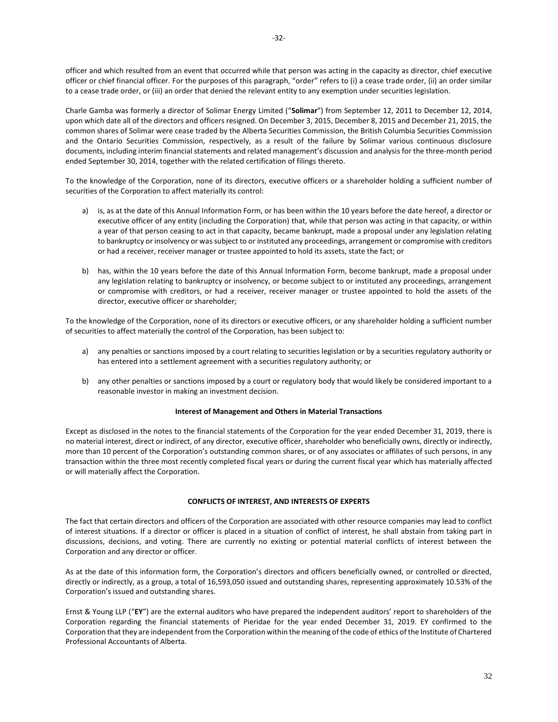officer and which resulted from an event that occurred while that person was acting in the capacity as director, chief executive officer or chief financial officer. For the purposes of this paragraph, "order" refers to (i) a cease trade order, (ii) an order similar to a cease trade order, or (iii) an order that denied the relevant entity to any exemption under securities legislation.

Charle Gamba was formerly a director of Solimar Energy Limited ("**Solimar**") from September 12, 2011 to December 12, 2014, upon which date all of the directors and officers resigned. On December 3, 2015, December 8, 2015 and December 21, 2015, the common shares of Solimar were cease traded by the Alberta Securities Commission, the British Columbia Securities Commission and the Ontario Securities Commission, respectively, as a result of the failure by Solimar various continuous disclosure documents, including interim financial statements and related management's discussion and analysis for the three-month period ended September 30, 2014, together with the related certification of filings thereto.

To the knowledge of the Corporation, none of its directors, executive officers or a shareholder holding a sufficient number of securities of the Corporation to affect materially its control:

- a) is, as at the date of this Annual Information Form, or has been within the 10 years before the date hereof, a director or executive officer of any entity (including the Corporation) that, while that person was acting in that capacity, or within a year of that person ceasing to act in that capacity, became bankrupt, made a proposal under any legislation relating to bankruptcy or insolvency or was subject to or instituted any proceedings, arrangement or compromise with creditors or had a receiver, receiver manager or trustee appointed to hold its assets, state the fact; or
- b) has, within the 10 years before the date of this Annual Information Form, become bankrupt, made a proposal under any legislation relating to bankruptcy or insolvency, or become subject to or instituted any proceedings, arrangement or compromise with creditors, or had a receiver, receiver manager or trustee appointed to hold the assets of the director, executive officer or shareholder;

To the knowledge of the Corporation, none of its directors or executive officers, or any shareholder holding a sufficient number of securities to affect materially the control of the Corporation, has been subject to:

- a) any penalties or sanctions imposed by a court relating to securities legislation or by a securities regulatory authority or has entered into a settlement agreement with a securities regulatory authority; or
- b) any other penalties or sanctions imposed by a court or regulatory body that would likely be considered important to a reasonable investor in making an investment decision.

## **Interest of Management and Others in Material Transactions**

<span id="page-32-0"></span>Except as disclosed in the notes to the financial statements of the Corporation for the year ended December 31, 2019, there is no material interest, direct or indirect, of any director, executive officer, shareholder who beneficially owns, directly or indirectly, more than 10 percent of the Corporation's outstanding common shares, or of any associates or affiliates of such persons, in any transaction within the three most recently completed fiscal years or during the current fiscal year which has materially affected or will materially affect the Corporation.

### **CONFLICTS OF INTEREST, AND INTERESTS OF EXPERTS**

<span id="page-32-1"></span>The fact that certain directors and officers of the Corporation are associated with other resource companies may lead to conflict of interest situations. If a director or officer is placed in a situation of conflict of interest, he shall abstain from taking part in discussions, decisions, and voting. There are currently no existing or potential material conflicts of interest between the Corporation and any director or officer.

As at the date of this information form, the Corporation's directors and officers beneficially owned, or controlled or directed, directly or indirectly, as a group, a total of 16,593,050 issued and outstanding shares, representing approximately 10.53% of the Corporation's issued and outstanding shares.

Ernst & Young LLP ("**EY**") are the external auditors who have prepared the independent auditors' report to shareholders of the Corporation regarding the financial statements of Pieridae for the year ended December 31, 2019. EY confirmed to the Corporation that they are independent from the Corporation within the meaning of the code of ethics of the Institute of Chartered Professional Accountants of Alberta.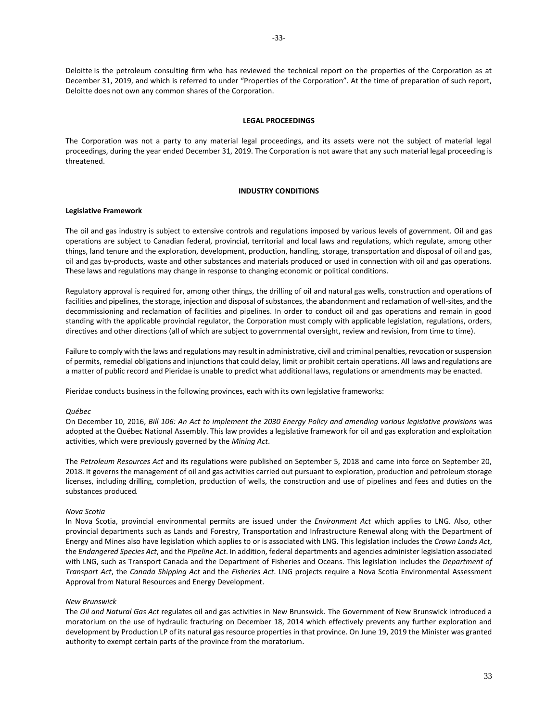Deloitte is the petroleum consulting firm who has reviewed the technical report on the properties of the Corporation as at December 31, 2019, and which is referred to under "Properties of the Corporation". At the time of preparation of such report, Deloitte does not own any common shares of the Corporation.

## **LEGAL PROCEEDINGS**

<span id="page-33-0"></span>The Corporation was not a party to any material legal proceedings, and its assets were not the subject of material legal proceedings, during the year ended December 31, 2019. The Corporation is not aware that any such material legal proceeding is threatened.

### **INDUSTRY CONDITIONS**

### <span id="page-33-1"></span>**Legislative Framework**

The oil and gas industry is subject to extensive controls and regulations imposed by various levels of government. Oil and gas operations are subject to Canadian federal, provincial, territorial and local laws and regulations, which regulate, among other things, land tenure and the exploration, development, production, handling, storage, transportation and disposal of oil and gas, oil and gas by-products, waste and other substances and materials produced or used in connection with oil and gas operations. These laws and regulations may change in response to changing economic or political conditions.

Regulatory approval is required for, among other things, the drilling of oil and natural gas wells, construction and operations of facilities and pipelines, the storage, injection and disposal of substances, the abandonment and reclamation of well-sites, and the decommissioning and reclamation of facilities and pipelines. In order to conduct oil and gas operations and remain in good standing with the applicable provincial regulator, the Corporation must comply with applicable legislation, regulations, orders, directives and other directions (all of which are subject to governmental oversight, review and revision, from time to time).

Failure to comply with the laws and regulations may result in administrative, civil and criminal penalties, revocation or suspension of permits, remedial obligations and injunctions that could delay, limit or prohibit certain operations. All laws and regulations are a matter of public record and Pieridae is unable to predict what additional laws, regulations or amendments may be enacted.

Pieridae conducts business in the following provinces, each with its own legislative frameworks:

## *Québec*

On December 10, 2016, *Bill 106: An Act to implement the 2030 Energy Policy and amending various legislative provisions* was adopted at the Québec National Assembly. This law provides a legislative framework for oil and gas exploration and exploitation activities, which were previously governed by the *Mining Act*.

The *Petroleum Resources Act* and its regulations were published on September 5, 2018 and came into force on September 20, 2018. It governs the management of oil and gas activities carried out pursuant to exploration, production and petroleum storage licenses, including drilling, completion, production of wells, the construction and use of pipelines and fees and duties on the substances produced*.*

#### *Nova Scotia*

In Nova Scotia, provincial environmental permits are issued under the *Environment Act* which applies to LNG. Also, other provincial departments such as Lands and Forestry, Transportation and Infrastructure Renewal along with the Department of Energy and Mines also have legislation which applies to or is associated with LNG. This legislation includes the *Crown Lands Act*, the *Endangered Species Act*, and the *Pipeline Act*. In addition, federal departments and agencies administer legislation associated with LNG, such as Transport Canada and the Department of Fisheries and Oceans. This legislation includes the *Department of Transport Act*, the *Canada Shipping Act* and the *Fisheries Act*. LNG projects require a Nova Scotia Environmental Assessment Approval from Natural Resources and Energy Development.

#### *New Brunswick*

The *Oil and Natural Gas Act* regulates oil and gas activities in New Brunswick. The Government of New Brunswick introduced a moratorium on the use of hydraulic fracturing on December 18, 2014 which effectively prevents any further exploration and development by Production LP of its natural gas resource properties in that province. On June 19, 2019 the Minister was granted authority to exempt certain parts of the province from the moratorium.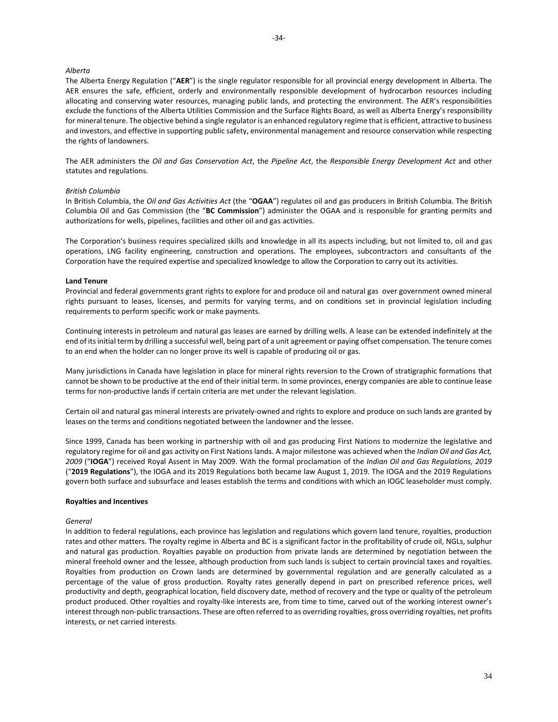## *Alberta*

The Alberta Energy Regulation ("**AER**") is the single regulator responsible for all provincial energy development in Alberta. The AER ensures the safe, efficient, orderly and environmentally responsible development of hydrocarbon resources including allocating and conserving water resources, managing public lands, and protecting the environment. The AER's responsibilities exclude the functions of the Alberta Utilities Commission and the Surface Rights Board, as well as Alberta Energy's responsibility for mineral tenure. The objective behind a single regulator is an enhanced regulatory regime that is efficient, attractive to business and investors, and effective in supporting public safety, environmental management and resource conservation while respecting the rights of landowners.

The AER administers the *Oil and Gas Conservation Act*, the *Pipeline Act*, the *Responsible Energy Development Act* and other statutes and regulations.

### *British Columbia*

In British Columbia, the *Oil and Gas Activities Act* (the "**OGAA**") regulates oil and gas producers in British Columbia. The British Columbia Oil and Gas Commission (the "**BC Commission**") administer the OGAA and is responsible for granting permits and authorizations for wells, pipelines, facilities and other oil and gas activities.

The Corporation's business requires specialized skills and knowledge in all its aspects including, but not limited to, oil and gas operations, LNG facility engineering, construction and operations. The employees, subcontractors and consultants of the Corporation have the required expertise and specialized knowledge to allow the Corporation to carry out its activities.

### **Land Tenure**

Provincial and federal governments grant rights to explore for and produce oil and natural gas over government owned mineral rights pursuant to leases, licenses, and permits for varying terms, and on conditions set in provincial legislation including requirements to perform specific work or make payments.

Continuing interests in petroleum and natural gas leases are earned by drilling wells. A lease can be extended indefinitely at the end of its initial term by drilling a successful well, being part of a unit agreement or paying offset compensation. The tenure comes to an end when the holder can no longer prove its well is capable of producing oil or gas.

Many jurisdictions in Canada have legislation in place for mineral rights reversion to the Crown of stratigraphic formations that cannot be shown to be productive at the end of their initial term. In some provinces, energy companies are able to continue lease terms for non-productive lands if certain criteria are met under the relevant legislation.

Certain oil and natural gas mineral interests are privately-owned and rights to explore and produce on such lands are granted by leases on the terms and conditions negotiated between the landowner and the lessee.

Since 1999, Canada has been working in partnership with oil and gas producing First Nations to modernize the legislative and regulatory regime for oil and gas activity on First Nations lands. A major milestone was achieved when the *Indian Oil and Gas Act, 2009* ("**IOGA**") received Royal Assent in May 2009. With the formal proclamation of the *Indian Oil and Gas Regulations, 2019*  ("**2019 Regulations**"), the IOGA and its 2019 Regulations both became law August 1, 2019. The IOGA and the 2019 Regulations govern both surface and subsurface and leases establish the terms and conditions with which an IOGC leaseholder must comply.

#### **Royalties and Incentives**

#### *General*

In addition to federal regulations, each province has legislation and regulations which govern land tenure, royalties, production rates and other matters. The royalty regime in Alberta and BC is a significant factor in the profitability of crude oil, NGLs, sulphur and natural gas production. Royalties payable on production from private lands are determined by negotiation between the mineral freehold owner and the lessee, although production from such lands is subject to certain provincial taxes and royalties. Royalties from production on Crown lands are determined by governmental regulation and are generally calculated as a percentage of the value of gross production. Royalty rates generally depend in part on prescribed reference prices, well productivity and depth, geographical location, field discovery date, method of recovery and the type or quality of the petroleum product produced. Other royalties and royalty-like interests are, from time to time, carved out of the working interest owner's interest through non-public transactions. These are often referred to as overriding royalties, gross overriding royalties, net profits interests, or net carried interests.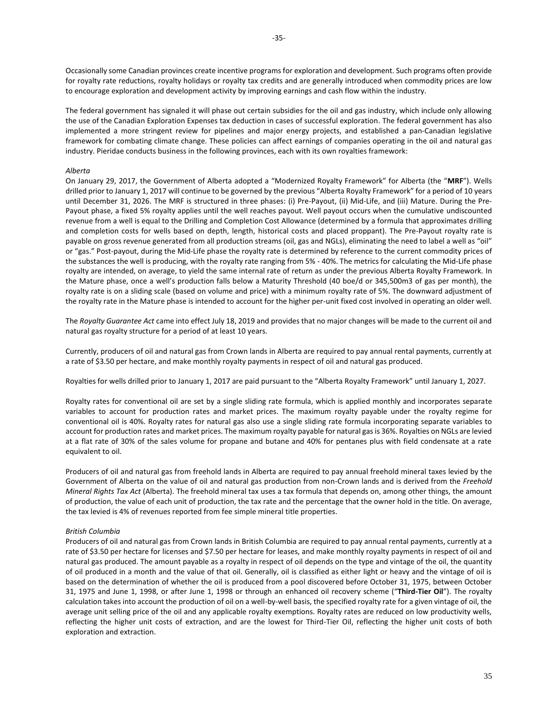Occasionally some Canadian provinces create incentive programs for exploration and development. Such programs often provide for royalty rate reductions, royalty holidays or royalty tax credits and are generally introduced when commodity prices are low to encourage exploration and development activity by improving earnings and cash flow within the industry.

The federal government has signaled it will phase out certain subsidies for the oil and gas industry, which include only allowing the use of the Canadian Exploration Expenses tax deduction in cases of successful exploration. The federal government has also implemented a more stringent review for pipelines and major energy projects, and established a pan-Canadian legislative framework for combating climate change. These policies can affect earnings of companies operating in the oil and natural gas industry. Pieridae conducts business in the following provinces, each with its own royalties framework:

## *Alberta*

On January 29, 2017, the Government of Alberta adopted a "Modernized Royalty Framework" for Alberta (the "**MRF**"). Wells drilled prior to January 1, 2017 will continue to be governed by the previous "Alberta Royalty Framework" for a period of 10 years until December 31, 2026. The MRF is structured in three phases: (i) Pre-Payout, (ii) Mid-Life, and (iii) Mature. During the Pre-Payout phase, a fixed 5% royalty applies until the well reaches payout. Well payout occurs when the cumulative undiscounted revenue from a well is equal to the Drilling and Completion Cost Allowance (determined by a formula that approximates drilling and completion costs for wells based on depth, length, historical costs and placed proppant). The Pre-Payout royalty rate is payable on gross revenue generated from all production streams (oil, gas and NGLs), eliminating the need to label a well as "oil" or "gas." Post-payout, during the Mid-Life phase the royalty rate is determined by reference to the current commodity prices of the substances the well is producing, with the royalty rate ranging from 5% - 40%. The metrics for calculating the Mid-Life phase royalty are intended, on average, to yield the same internal rate of return as under the previous Alberta Royalty Framework. In the Mature phase, once a well's production falls below a Maturity Threshold (40 boe/d or 345,500m3 of gas per month), the royalty rate is on a sliding scale (based on volume and price) with a minimum royalty rate of 5%. The downward adjustment of the royalty rate in the Mature phase is intended to account for the higher per-unit fixed cost involved in operating an older well.

The *Royalty Guarantee Act* came into effect July 18, 2019 and provides that no major changes will be made to the current oil and natural gas royalty structure for a period of at least 10 years.

Currently, producers of oil and natural gas from Crown lands in Alberta are required to pay annual rental payments, currently at a rate of \$3.50 per hectare, and make monthly royalty payments in respect of oil and natural gas produced.

Royalties for wells drilled prior to January 1, 2017 are paid pursuant to the "Alberta Royalty Framework" until January 1, 2027.

Royalty rates for conventional oil are set by a single sliding rate formula, which is applied monthly and incorporates separate variables to account for production rates and market prices. The maximum royalty payable under the royalty regime for conventional oil is 40%. Royalty rates for natural gas also use a single sliding rate formula incorporating separate variables to account for production rates and market prices. The maximum royalty payable for natural gas is 36%. Royalties on NGLs are levied at a flat rate of 30% of the sales volume for propane and butane and 40% for pentanes plus with field condensate at a rate equivalent to oil.

Producers of oil and natural gas from freehold lands in Alberta are required to pay annual freehold mineral taxes levied by the Government of Alberta on the value of oil and natural gas production from non-Crown lands and is derived from the *Freehold Mineral Rights Tax Act* (Alberta). The freehold mineral tax uses a tax formula that depends on, among other things, the amount of production, the value of each unit of production, the tax rate and the percentage that the owner hold in the title. On average, the tax levied is 4% of revenues reported from fee simple mineral title properties.

## *British Columbia*

Producers of oil and natural gas from Crown lands in British Columbia are required to pay annual rental payments, currently at a rate of \$3.50 per hectare for licenses and \$7.50 per hectare for leases, and make monthly royalty payments in respect of oil and natural gas produced. The amount payable as a royalty in respect of oil depends on the type and vintage of the oil, the quantity of oil produced in a month and the value of that oil. Generally, oil is classified as either light or heavy and the vintage of oil is based on the determination of whether the oil is produced from a pool discovered before October 31, 1975, between October 31, 1975 and June 1, 1998, or after June 1, 1998 or through an enhanced oil recovery scheme ("**Third-Tier Oil**"). The royalty calculation takes into account the production of oil on a well-by-well basis, the specified royalty rate for a given vintage of oil, the average unit selling price of the oil and any applicable royalty exemptions. Royalty rates are reduced on low productivity wells, reflecting the higher unit costs of extraction, and are the lowest for Third-Tier Oil, reflecting the higher unit costs of both exploration and extraction.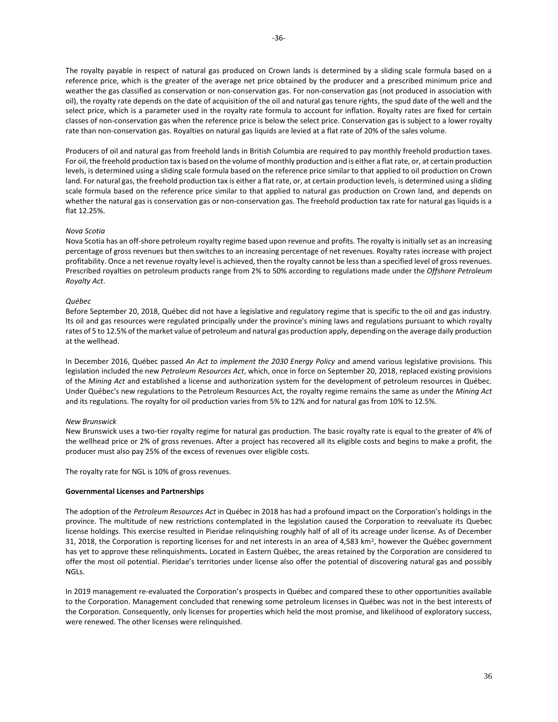The royalty payable in respect of natural gas produced on Crown lands is determined by a sliding scale formula based on a reference price, which is the greater of the average net price obtained by the producer and a prescribed minimum price and weather the gas classified as conservation or non-conservation gas. For non-conservation gas (not produced in association with oil), the royalty rate depends on the date of acquisition of the oil and natural gas tenure rights, the spud date of the well and the select price, which is a parameter used in the royalty rate formula to account for inflation. Royalty rates are fixed for certain classes of non-conservation gas when the reference price is below the select price. Conservation gas is subject to a lower royalty rate than non-conservation gas. Royalties on natural gas liquids are levied at a flat rate of 20% of the sales volume.

Producers of oil and natural gas from freehold lands in British Columbia are required to pay monthly freehold production taxes. For oil, the freehold production tax is based on the volume of monthly production and is either a flat rate, or, at certain production levels, is determined using a sliding scale formula based on the reference price similar to that applied to oil production on Crown land. For natural gas, the freehold production tax is either a flat rate, or, at certain production levels, is determined using a sliding scale formula based on the reference price similar to that applied to natural gas production on Crown land, and depends on whether the natural gas is conservation gas or non-conservation gas. The freehold production tax rate for natural gas liquids is a flat 12.25%.

## *Nova Scotia*

Nova Scotia has an off-shore petroleum royalty regime based upon revenue and profits. The royalty is initially set as an increasing percentage of gross revenues but then switches to an increasing percentage of net revenues. Royalty rates increase with project profitability. Once a net revenue royalty level is achieved, then the royalty cannot be less than a specified level of gross revenues. Prescribed royalties on petroleum products range from 2% to 50% according to regulations made under the *Offshore Petroleum Royalty Act*.

#### *Québec*

Before September 20, 2018, Québec did not have a legislative and regulatory regime that is specific to the oil and gas industry. Its oil and gas resources were regulated principally under the province's mining laws and regulations pursuant to which royalty rates of 5 to 12.5% of the market value of petroleum and natural gas production apply, depending on the average daily production at the wellhead.

In December 2016, Québec passed *An Act to implement the 2030 Energy Policy* and amend various legislative provisions. This legislation included the new *Petroleum Resources Act*, which, once in force on September 20, 2018, replaced existing provisions of the *Mining Act* and established a license and authorization system for the development of petroleum resources in Québec. Under Québec's new regulations to the Petroleum Resources Act, the royalty regime remains the same as under the *Mining Act* and its regulations. The royalty for oil production varies from 5% to 12% and for natural gas from 10% to 12.5%.

#### *New Brunswick*

New Brunswick uses a two-tier royalty regime for natural gas production. The basic royalty rate is equal to the greater of 4% of the wellhead price or 2% of gross revenues. After a project has recovered all its eligible costs and begins to make a profit, the producer must also pay 25% of the excess of revenues over eligible costs.

The royalty rate for NGL is 10% of gross revenues.

#### **Governmental Licenses and Partnerships**

The adoption of the *Petroleum Resources Act* in Québec in 2018 has had a profound impact on the Corporation's holdings in the province. The multitude of new restrictions contemplated in the legislation caused the Corporation to reevaluate its Quebec license holdings. This exercise resulted in Pieridae relinquishing roughly half of all of its acreage under license. As of December 31, 2018, the Corporation is reporting licenses for and net interests in an area of 4,583 km<sup>2</sup>, however the Québec government has yet to approve these relinquishments**.** Located in Eastern Québec, the areas retained by the Corporation are considered to offer the most oil potential. Pieridae's territories under license also offer the potential of discovering natural gas and possibly NGLs.

In 2019 management re-evaluated the Corporation's prospects in Québec and compared these to other opportunities available to the Corporation. Management concluded that renewing some petroleum licenses in Québec was not in the best interests of the Corporation. Consequently, only licenses for properties which held the most promise, and likelihood of exploratory success, were renewed. The other licenses were relinquished.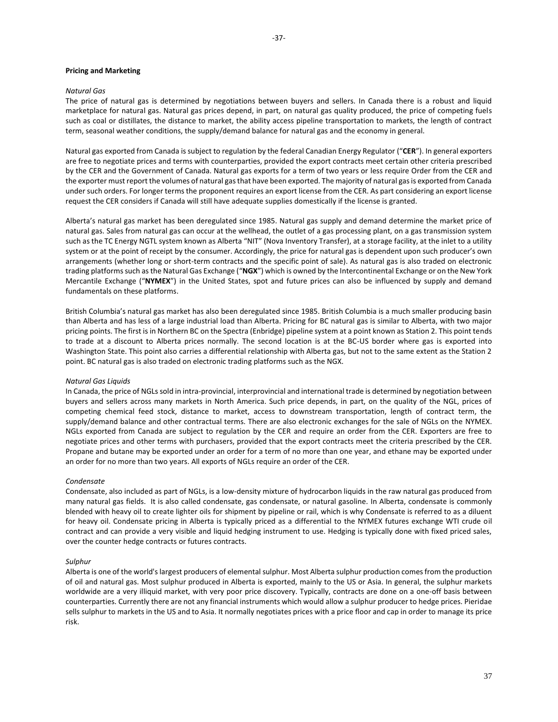### **Pricing and Marketing**

### *Natural Gas*

The price of natural gas is determined by negotiations between buyers and sellers. In Canada there is a robust and liquid marketplace for natural gas. Natural gas prices depend, in part, on natural gas quality produced, the price of competing fuels such as coal or distillates, the distance to market, the ability access pipeline transportation to markets, the length of contract term, seasonal weather conditions, the supply/demand balance for natural gas and the economy in general.

Natural gas exported from Canada is subject to regulation by the federal Canadian Energy Regulator ("**CER**"). In general exporters are free to negotiate prices and terms with counterparties, provided the export contracts meet certain other criteria prescribed by the CER and the Government of Canada. Natural gas exports for a term of two years or less require Order from the CER and the exporter must report the volumes of natural gas that have been exported. The majority of natural gas is exported from Canada under such orders. For longer terms the proponent requires an export license from the CER. As part considering an export license request the CER considers if Canada will still have adequate supplies domestically if the license is granted.

Alberta's natural gas market has been deregulated since 1985. Natural gas supply and demand determine the market price of natural gas. Sales from natural gas can occur at the wellhead, the outlet of a gas processing plant, on a gas transmission system such as the TC Energy NGTL system known as Alberta "NIT" (Nova Inventory Transfer), at a storage facility, at the inlet to a utility system or at the point of receipt by the consumer. Accordingly, the price for natural gas is dependent upon such producer's own arrangements (whether long or short-term contracts and the specific point of sale). As natural gas is also traded on electronic trading platforms such as the Natural Gas Exchange ("**NGX**") which is owned by the Intercontinental Exchange or on the New York Mercantile Exchange ("**NYMEX**") in the United States, spot and future prices can also be influenced by supply and demand fundamentals on these platforms.

British Columbia's natural gas market has also been deregulated since 1985. British Columbia is a much smaller producing basin than Alberta and has less of a large industrial load than Alberta. Pricing for BC natural gas is similar to Alberta, with two major pricing points. The first is in Northern BC on the Spectra (Enbridge) pipeline system at a point known as Station 2. This point tends to trade at a discount to Alberta prices normally. The second location is at the BC-US border where gas is exported into Washington State. This point also carries a differential relationship with Alberta gas, but not to the same extent as the Station 2 point. BC natural gas is also traded on electronic trading platforms such as the NGX.

#### *Natural Gas Liquids*

In Canada, the price of NGLs sold in intra-provincial, interprovincial and international trade is determined by negotiation between buyers and sellers across many markets in North America. Such price depends, in part, on the quality of the NGL, prices of competing chemical feed stock, distance to market, access to downstream transportation, length of contract term, the supply/demand balance and other contractual terms. There are also electronic exchanges for the sale of NGLs on the NYMEX. NGLs exported from Canada are subject to regulation by the CER and require an order from the CER. Exporters are free to negotiate prices and other terms with purchasers, provided that the export contracts meet the criteria prescribed by the CER. Propane and butane may be exported under an order for a term of no more than one year, and ethane may be exported under an order for no more than two years. All exports of NGLs require an order of the CER.

### *Condensate*

Condensate, also included as part of NGLs, is a low-density mixture of hydrocarbon liquids in the raw natural gas produced from many natural gas fields. It is also called condensate, gas condensate, or natural gasoline. In Alberta, condensate is commonly blended with heavy oil to create lighter oils for shipment by pipeline or rail, which is why Condensate is referred to as a diluent for heavy oil. Condensate pricing in Alberta is typically priced as a differential to the NYMEX futures exchange WTI crude oil contract and can provide a very visible and liquid hedging instrument to use. Hedging is typically done with fixed priced sales, over the counter hedge contracts or futures contracts.

### *Sulphur*

Alberta is one of the world's largest producers of elemental sulphur. Most Alberta sulphur production comes from the production of oil and natural gas. Most sulphur produced in Alberta is exported, mainly to the US or Asia. In general, the sulphur markets worldwide are a very illiquid market, with very poor price discovery. Typically, contracts are done on a one-off basis between counterparties. Currently there are not any financial instruments which would allow a sulphur producer to hedge prices. Pieridae sells sulphur to markets in the US and to Asia. It normally negotiates prices with a price floor and cap in order to manage its price risk.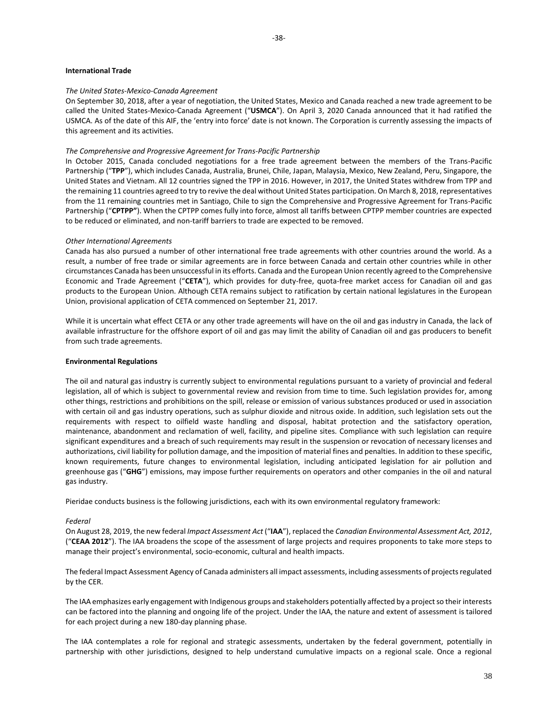### **International Trade**

### *The United States-Mexico-Canada Agreement*

On September 30, 2018, after a year of negotiation, the United States, Mexico and Canada reached a new trade agreement to be called the United States-Mexico-Canada Agreement ("**USMCA**"). On April 3, 2020 Canada announced that it had ratified the USMCA. As of the date of this AIF, the 'entry into force' date is not known. The Corporation is currently assessing the impacts of this agreement and its activities.

### *The Comprehensive and Progressive Agreement for Trans-Pacific Partnership*

In October 2015, Canada concluded negotiations for a free trade agreement between the members of the Trans-Pacific Partnership ("**TPP**"), which includes Canada, Australia, Brunei, Chile, Japan, Malaysia, Mexico, New Zealand, Peru, Singapore, the United States and Vietnam. All 12 countries signed the TPP in 2016. However, in 2017, the United States withdrew from TPP and the remaining 11 countries agreed to try to revive the deal without United States participation. On March 8, 2018, representatives from the 11 remaining countries met in Santiago, Chile to sign the Comprehensive and Progressive Agreement for Trans-Pacific Partnership ("**CPTPP"**). When the CPTPP comes fully into force, almost all tariffs between CPTPP member countries are expected to be reduced or eliminated, and non-tariff barriers to trade are expected to be removed.

### *Other International Agreements*

Canada has also pursued a number of other international free trade agreements with other countries around the world. As a result, a number of free trade or similar agreements are in force between Canada and certain other countries while in other circumstances Canada has been unsuccessful in its efforts. Canada and the European Union recently agreed to the Comprehensive Economic and Trade Agreement ("**CETA**"), which provides for duty-free, quota-free market access for Canadian oil and gas products to the European Union. Although CETA remains subject to ratification by certain national legislatures in the European Union, provisional application of CETA commenced on September 21, 2017.

While it is uncertain what effect CETA or any other trade agreements will have on the oil and gas industry in Canada, the lack of available infrastructure for the offshore export of oil and gas may limit the ability of Canadian oil and gas producers to benefit from such trade agreements.

### **Environmental Regulations**

The oil and natural gas industry is currently subject to environmental regulations pursuant to a variety of provincial and federal legislation, all of which is subject to governmental review and revision from time to time. Such legislation provides for, among other things, restrictions and prohibitions on the spill, release or emission of various substances produced or used in association with certain oil and gas industry operations, such as sulphur dioxide and nitrous oxide. In addition, such legislation sets out the requirements with respect to oilfield waste handling and disposal, habitat protection and the satisfactory operation, maintenance, abandonment and reclamation of well, facility, and pipeline sites. Compliance with such legislation can require significant expenditures and a breach of such requirements may result in the suspension or revocation of necessary licenses and authorizations, civil liability for pollution damage, and the imposition of material fines and penalties. In addition to these specific, known requirements, future changes to environmental legislation, including anticipated legislation for air pollution and greenhouse gas ("**GHG**") emissions, may impose further requirements on operators and other companies in the oil and natural gas industry.

Pieridae conducts business is the following jurisdictions, each with its own environmental regulatory framework:

#### *Federal*

On August 28, 2019, the new federal *Impact Assessment Act* ("**IAA**"), replaced the *Canadian Environmental Assessment Act, 2012*, ("**CEAA 2012**"). The IAA broadens the scope of the assessment of large projects and requires proponents to take more steps to manage their project's environmental, socio-economic, cultural and health impacts.

The federal Impact Assessment Agency of Canada administers all impact assessments, including assessments of projects regulated by the CER.

The IAA emphasizes early engagement with Indigenous groups and stakeholders potentially affected by a project so their interests can be factored into the planning and ongoing life of the project. Under the IAA, the nature and extent of assessment is tailored for each project during a new 180-day planning phase.

The IAA contemplates a role for regional and strategic assessments, undertaken by the federal government, potentially in partnership with other jurisdictions, designed to help understand cumulative impacts on a regional scale. Once a regional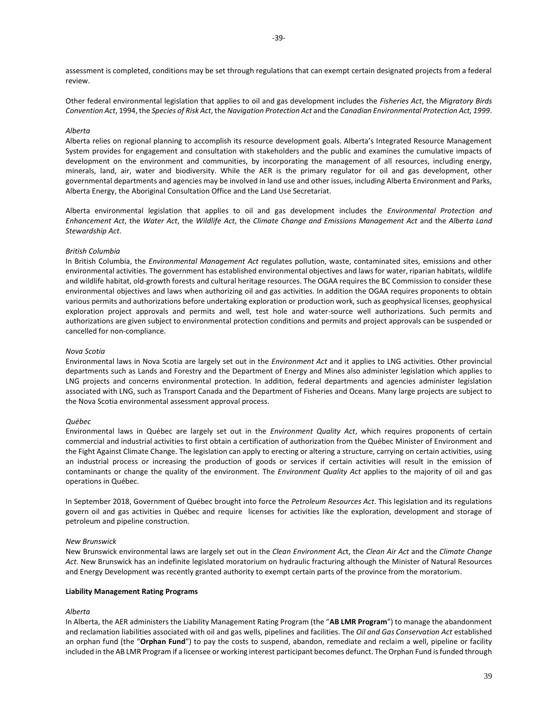assessment is completed, conditions may be set through regulations that can exempt certain designated projects from a federal review.

Other federal environmental legislation that applies to oil and gas development includes the *Fisheries Act*, the *Migratory Birds Convention Act*, 1994, the *Species of Risk Act*, the *Navigation Protection Act* and the *Canadian Environmental Protection Act, 1999*.

### *Alberta*

Alberta relies on regional planning to accomplish its resource development goals. Alberta's Integrated Resource Management System provides for engagement and consultation with stakeholders and the public and examines the cumulative impacts of development on the environment and communities, by incorporating the management of all resources, including energy, minerals, land, air, water and biodiversity. While the AER is the primary regulator for oil and gas development, other governmental departments and agencies may be involved in land use and other issues, including Alberta Environment and Parks, Alberta Energy, the Aboriginal Consultation Office and the Land Use Secretariat.

Alberta environmental legislation that applies to oil and gas development includes the *Environmental Protection and Enhancement Act*, the *Water Act*, the *Wildlife Act*, the *Climate Change and Emissions Management Act* and the *Alberta Land Stewardship Act*.

## *British Columbia*

In British Columbia, the *Environmental Management Act* regulates pollution, waste, contaminated sites, emissions and other environmental activities. The government has established environmental objectives and laws for water, riparian habitats, wildlife and wildlife habitat, old-growth forests and cultural heritage resources. The OGAA requires the BC Commission to consider these environmental objectives and laws when authorizing oil and gas activities. In addition the OGAA requires proponents to obtain various permits and authorizations before undertaking exploration or production work, such as geophysical licenses, geophysical exploration project approvals and permits and well, test hole and water-source well authorizations. Such permits and authorizations are given subject to environmental protection conditions and permits and project approvals can be suspended or cancelled for non-compliance.

#### *Nova Scotia*

Environmental laws in Nova Scotia are largely set out in the *Environment Act* and it applies to LNG activities. Other provincial departments such as Lands and Forestry and the Department of Energy and Mines also administer legislation which applies to LNG projects and concerns environmental protection. In addition, federal departments and agencies administer legislation associated with LNG, such as Transport Canada and the Department of Fisheries and Oceans. Many large projects are subject to the Nova Scotia environmental assessment approval process.

#### *Québec*

Environmental laws in Québec are largely set out in the *Environment Quality Act*, which requires proponents of certain commercial and industrial activities to first obtain a certification of authorization from the Québec Minister of Environment and the Fight Against Climate Change. The legislation can apply to erecting or altering a structure, carrying on certain activities, using an industrial process or increasing the production of goods or services if certain activities will result in the emission of contaminants or change the quality of the environment. The *Environment Quality Act* applies to the majority of oil and gas operations in Québec.

In September 2018, Government of Québec brought into force the *Petroleum Resources Act*. This legislation and its regulations govern oil and gas activities in Québec and require licenses for activities like the exploration, development and storage of petroleum and pipeline construction.

#### *New Brunswick*

New Brunswick environmental laws are largely set out in the *Clean Environment Ac*t, the *Clean Air Act* and the *Climate Change Act*. New Brunswick has an indefinite legislated moratorium on hydraulic fracturing although the Minister of Natural Resources and Energy Development was recently granted authority to exempt certain parts of the province from the moratorium.

#### **Liability Management Rating Programs**

#### *Alberta*

In Alberta, the AER administers the Liability Management Rating Program (the "**AB LMR Program**") to manage the abandonment and reclamation liabilities associated with oil and gas wells, pipelines and facilities. The *Oil and Gas Conservation Act* established an orphan fund (the "**Orphan Fund**") to pay the costs to suspend, abandon, remediate and reclaim a well, pipeline or facility included in the AB LMR Program if a licensee or working interest participant becomes defunct. The Orphan Fund is funded through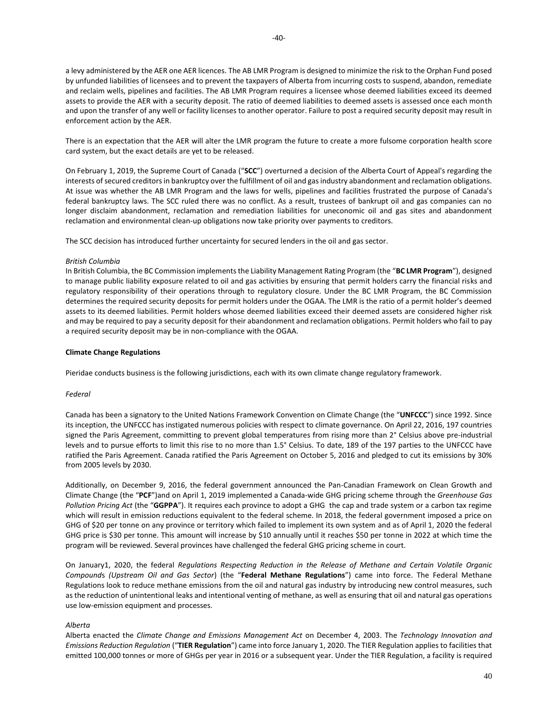a levy administered by the AER one AER licences. The AB LMR Program is designed to minimize the risk to the Orphan Fund posed by unfunded liabilities of licensees and to prevent the taxpayers of Alberta from incurring costs to suspend, abandon, remediate and reclaim wells, pipelines and facilities. The AB LMR Program requires a licensee whose deemed liabilities exceed its deemed assets to provide the AER with a security deposit. The ratio of deemed liabilities to deemed assets is assessed once each month and upon the transfer of any well or facility licenses to another operator. Failure to post a required security deposit may result in enforcement action by the AER.

There is an expectation that the AER will alter the LMR program the future to create a more fulsome corporation health score card system, but the exact details are yet to be released.

On February 1, 2019, the Supreme Court of Canada ("**SCC**") overturned a decision of the Alberta Court of Appeal's regarding the interests of secured creditors in bankruptcy over the fulfillment of oil and gas industry abandonment and reclamation obligations. At issue was whether the AB LMR Program and the laws for wells, pipelines and facilities frustrated the purpose of Canada's federal bankruptcy laws. The SCC ruled there was no conflict. As a result, trustees of bankrupt oil and gas companies can no longer disclaim abandonment, reclamation and remediation liabilities for uneconomic oil and gas sites and abandonment reclamation and environmental clean-up obligations now take priority over payments to creditors.

The SCC decision has introduced further uncertainty for secured lenders in the oil and gas sector.

### *British Columbia*

In British Columbia, the BC Commission implements the Liability Management Rating Program (the "**BC LMR Program**"), designed to manage public liability exposure related to oil and gas activities by ensuring that permit holders carry the financial risks and regulatory responsibility of their operations through to regulatory closure. Under the BC LMR Program, the BC Commission determines the required security deposits for permit holders under the OGAA. The LMR is the ratio of a permit holder's deemed assets to its deemed liabilities. Permit holders whose deemed liabilities exceed their deemed assets are considered higher risk and may be required to pay a security deposit for their abandonment and reclamation obligations. Permit holders who fail to pay a required security deposit may be in non-compliance with the OGAA.

### **Climate Change Regulations**

Pieridae conducts business is the following jurisdictions, each with its own climate change regulatory framework.

#### *Federal*

Canada has been a signatory to the United Nations Framework Convention on Climate Change (the "**UNFCCC**") since 1992. Since its inception, the UNFCCC has instigated numerous policies with respect to climate governance. On April 22, 2016, 197 countries signed the Paris Agreement, committing to prevent global temperatures from rising more than 2° Celsius above pre-industrial levels and to pursue efforts to limit this rise to no more than 1.5° Celsius. To date, 189 of the 197 parties to the UNFCCC have ratified the Paris Agreement. Canada ratified the Paris Agreement on October 5, 2016 and pledged to cut its emissions by 30% from 2005 levels by 2030.

Additionally, on December 9, 2016, the federal government announced the Pan-Canadian Framework on Clean Growth and Climate Change (the "**PCF**")and on April 1, 2019 implemented a Canada-wide GHG pricing scheme through the *Greenhouse Gas Pollution Pricing Act* (the "**GGPPA**"). It requires each province to adopt a GHG the cap and trade system or a carbon tax regime which will result in emission reductions equivalent to the federal scheme. In 2018, the federal government imposed a price on GHG of \$20 per tonne on any province or territory which failed to implement its own system and as of April 1, 2020 the federal GHG price is \$30 per tonne. This amount will increase by \$10 annually until it reaches \$50 per tonne in 2022 at which time the program will be reviewed. Several provinces have challenged the federal GHG pricing scheme in court.

On January1, 2020, the federal *Regulations Respecting Reduction in the Release of Methane and Certain Volatile Organic Compound*s *(Upstream Oil and Gas Sector*) (the "**Federal Methane Regulations**") came into force. The Federal Methane Regulations look to reduce methane emissions from the oil and natural gas industry by introducing new control measures, such as the reduction of unintentional leaks and intentional venting of methane, as well as ensuring that oil and natural gas operations use low-emission equipment and processes.

### *Alberta*

Alberta enacted the *Climate Change and Emissions Management Act* on December 4, 2003. The *Technology Innovation and Emissions Reduction Regulation* ("**TIER Regulation**") came into force January 1, 2020. The TIER Regulation applies to facilities that emitted 100,000 tonnes or more of GHGs per year in 2016 or a subsequent year. Under the TIER Regulation, a facility is required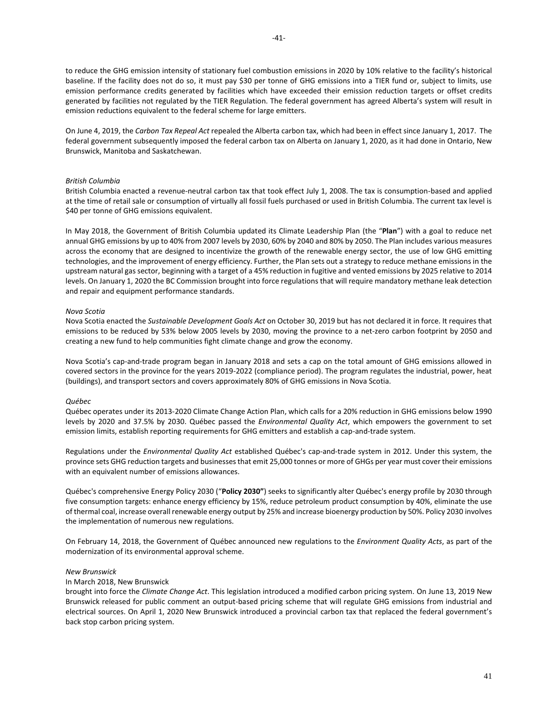to reduce the GHG emission intensity of stationary fuel combustion emissions in 2020 by 10% relative to the facility's historical baseline. If the facility does not do so, it must pay \$30 per tonne of GHG emissions into a TIER fund or, subject to limits, use emission performance credits generated by facilities which have exceeded their emission reduction targets or offset credits generated by facilities not regulated by the TIER Regulation. The federal government has agreed Alberta's system will result in emission reductions equivalent to the federal scheme for large emitters.

On June 4, 2019, the *Carbon Tax Repeal Act* repealed the Alberta carbon tax, which had been in effect since January 1, 2017. The federal government subsequently imposed the federal carbon tax on Alberta on January 1, 2020, as it had done in Ontario, New Brunswick, Manitoba and Saskatchewan.

### *British Columbia*

British Columbia enacted a revenue-neutral carbon tax that took effect July 1, 2008. The tax is consumption-based and applied at the time of retail sale or consumption of virtually all fossil fuels purchased or used in British Columbia. The current tax level is \$40 per tonne of GHG emissions equivalent.

In May 2018, the Government of British Columbia updated its Climate Leadership Plan (the "**Plan**") with a goal to reduce net annual GHG emissions by up to 40% from 2007 levels by 2030, 60% by 2040 and 80% by 2050. The Plan includes various measures across the economy that are designed to incentivize the growth of the renewable energy sector, the use of low GHG emitting technologies, and the improvement of energy efficiency. Further, the Plan sets out a strategy to reduce methane emissions in the upstream natural gas sector, beginning with a target of a 45% reduction in fugitive and vented emissions by 2025 relative to 2014 levels. On January 1, 2020 the BC Commission brought into force regulations that will require mandatory methane leak detection and repair and equipment performance standards.

#### *Nova Scotia*

Nova Scotia enacted the *Sustainable Development Goals Act* on October 30, 2019 but has not declared it in force. It requires that emissions to be reduced by 53% below 2005 levels by 2030, moving the province to a net-zero carbon footprint by 2050 and creating a new fund to help communities fight climate change and grow the economy.

Nova Scotia's cap-and-trade program began in January 2018 and sets a cap on the total amount of GHG emissions allowed in covered sectors in the province for the years 2019-2022 (compliance period). The program regulates the industrial, power, heat (buildings), and transport sectors and covers approximately 80% of GHG emissions in Nova Scotia.

### *Québec*

Québec operates under its 2013-2020 Climate Change Action Plan, which calls for a 20% reduction in GHG emissions below 1990 levels by 2020 and 37.5% by 2030. Québec passed the *Environmental Quality Act*, which empowers the government to set emission limits, establish reporting requirements for GHG emitters and establish a cap-and-trade system.

Regulations under the *Environmental Quality Act* established Québec's cap-and-trade system in 2012. Under this system, the province sets GHG reduction targets and businesses that emit 25,000 tonnes or more of GHGs per year must cover their emissions with an equivalent number of emissions allowances.

Québec's comprehensive Energy Policy 2030 ("**Policy 2030"**) seeks to significantly alter Québec's energy profile by 2030 through five consumption targets: enhance energy efficiency by 15%, reduce petroleum product consumption by 40%, eliminate the use of thermal coal, increase overall renewable energy output by 25% and increase bioenergy production by 50%. Policy 2030 involves the implementation of numerous new regulations.

On February 14, 2018, the Government of Québec announced new regulations to the *Environment Quality Acts*, as part of the modernization of its environmental approval scheme.

#### *New Brunswick*

In March 2018, New Brunswick

brought into force the *Climate Change Act*. This legislation introduced a modified carbon pricing system. On June 13, 2019 New Brunswick released for public comment an output-based pricing scheme that will regulate GHG emissions from industrial and electrical sources. On April 1, 2020 New Brunswick introduced a provincial carbon tax that replaced the federal government's back stop carbon pricing system.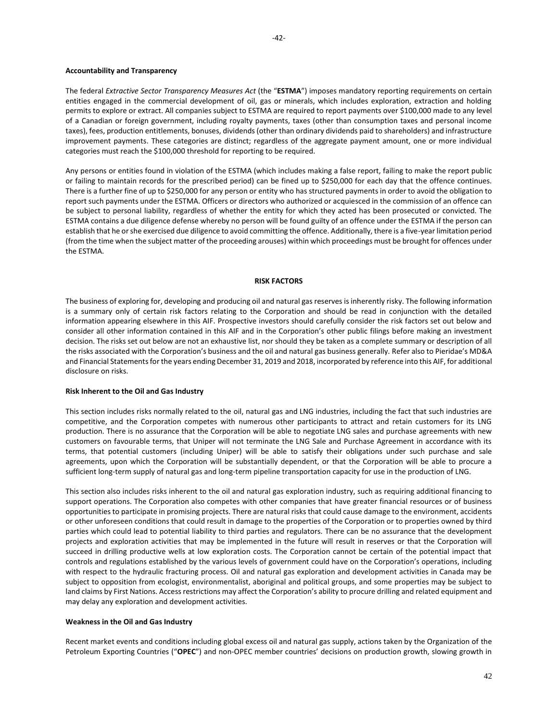### **Accountability and Transparency**

The federal *Extractive Sector Transparency Measures Act* (the "**ESTMA**") imposes mandatory reporting requirements on certain entities engaged in the commercial development of oil, gas or minerals, which includes exploration, extraction and holding permits to explore or extract. All companies subject to ESTMA are required to report payments over \$100,000 made to any level of a Canadian or foreign government, including royalty payments, taxes (other than consumption taxes and personal income taxes), fees, production entitlements, bonuses, dividends (other than ordinary dividends paid to shareholders) and infrastructure improvement payments. These categories are distinct; regardless of the aggregate payment amount, one or more individual categories must reach the \$100,000 threshold for reporting to be required.

Any persons or entities found in violation of the ESTMA (which includes making a false report, failing to make the report public or failing to maintain records for the prescribed period) can be fined up to \$250,000 for each day that the offence continues. There is a further fine of up to \$250,000 for any person or entity who has structured payments in order to avoid the obligation to report such payments under the ESTMA. Officers or directors who authorized or acquiesced in the commission of an offence can be subject to personal liability, regardless of whether the entity for which they acted has been prosecuted or convicted. The ESTMA contains a due diligence defense whereby no person will be found guilty of an offence under the ESTMA if the person can establish that he or she exercised due diligence to avoid committing the offence. Additionally, there is a five-year limitation period (from the time when the subject matter of the proceeding arouses) within which proceedings must be brought for offences under the ESTMA.

### **RISK FACTORS**

<span id="page-42-0"></span>The business of exploring for, developing and producing oil and natural gas reserves is inherently risky. The following information is a summary only of certain risk factors relating to the Corporation and should be read in conjunction with the detailed information appearing elsewhere in this AIF. Prospective investors should carefully consider the risk factors set out below and consider all other information contained in this AIF and in the Corporation's other public filings before making an investment decision. The risks set out below are not an exhaustive list, nor should they be taken as a complete summary or description of all the risks associated with the Corporation's business and the oil and natural gas business generally. Refer also to Pieridae's MD&A and Financial Statements for the years ending December 31, 2019 and 2018, incorporated by reference into this AIF, for additional disclosure on risks.

## **Risk Inherent to the Oil and Gas Industry**

This section includes risks normally related to the oil, natural gas and LNG industries, including the fact that such industries are competitive, and the Corporation competes with numerous other participants to attract and retain customers for its LNG production. There is no assurance that the Corporation will be able to negotiate LNG sales and purchase agreements with new customers on favourable terms, that Uniper will not terminate the LNG Sale and Purchase Agreement in accordance with its terms, that potential customers (including Uniper) will be able to satisfy their obligations under such purchase and sale agreements, upon which the Corporation will be substantially dependent, or that the Corporation will be able to procure a sufficient long-term supply of natural gas and long-term pipeline transportation capacity for use in the production of LNG.

This section also includes risks inherent to the oil and natural gas exploration industry, such as requiring additional financing to support operations. The Corporation also competes with other companies that have greater financial resources or of business opportunities to participate in promising projects. There are natural risks that could cause damage to the environment, accidents or other unforeseen conditions that could result in damage to the properties of the Corporation or to properties owned by third parties which could lead to potential liability to third parties and regulators. There can be no assurance that the development projects and exploration activities that may be implemented in the future will result in reserves or that the Corporation will succeed in drilling productive wells at low exploration costs. The Corporation cannot be certain of the potential impact that controls and regulations established by the various levels of government could have on the Corporation's operations, including with respect to the hydraulic fracturing process. Oil and natural gas exploration and development activities in Canada may be subject to opposition from ecologist, environmentalist, aboriginal and political groups, and some properties may be subject to land claims by First Nations. Access restrictions may affect the Corporation's ability to procure drilling and related equipment and may delay any exploration and development activities.

## **Weakness in the Oil and Gas Industry**

Recent market events and conditions including global excess oil and natural gas supply, actions taken by the Organization of the Petroleum Exporting Countries ("**OPEC**") and non-OPEC member countries' decisions on production growth, slowing growth in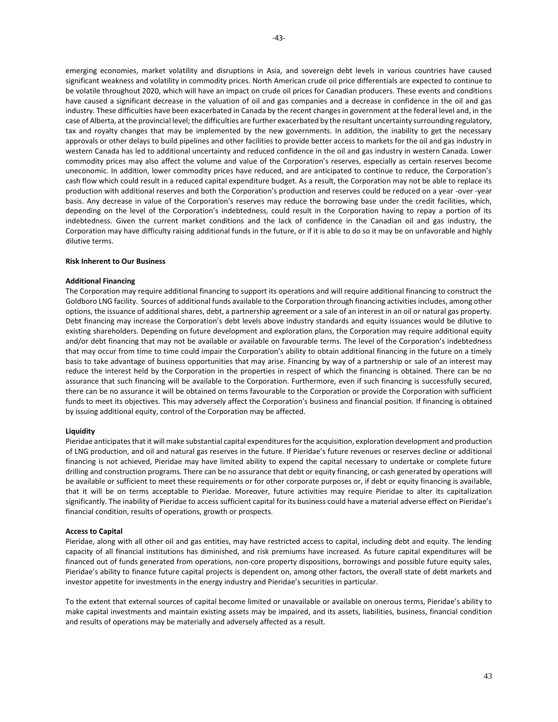emerging economies, market volatility and disruptions in Asia, and sovereign debt levels in various countries have caused significant weakness and volatility in commodity prices. North American crude oil price differentials are expected to continue to be volatile throughout 2020, which will have an impact on crude oil prices for Canadian producers. These events and conditions have caused a significant decrease in the valuation of oil and gas companies and a decrease in confidence in the oil and gas industry. These difficulties have been exacerbated in Canada by the recent changes in government at the federal level and, in the case of Alberta, at the provincial level; the difficulties are further exacerbated by the resultant uncertainty surrounding regulatory, tax and royalty changes that may be implemented by the new governments. In addition, the inability to get the necessary approvals or other delays to build pipelines and other facilities to provide better access to markets for the oil and gas industry in western Canada has led to additional uncertainty and reduced confidence in the oil and gas industry in western Canada. Lower commodity prices may also affect the volume and value of the Corporation's reserves, especially as certain reserves become uneconomic. In addition, lower commodity prices have reduced, and are anticipated to continue to reduce, the Corporation's cash flow which could result in a reduced capital expenditure budget. As a result, the Corporation may not be able to replace its production with additional reserves and both the Corporation's production and reserves could be reduced on a year -over -year basis. Any decrease in value of the Corporation's reserves may reduce the borrowing base under the credit facilities, which, depending on the level of the Corporation's indebtedness, could result in the Corporation having to repay a portion of its indebtedness. Given the current market conditions and the lack of confidence in the Canadian oil and gas industry, the Corporation may have difficulty raising additional funds in the future, or if it is able to do so it may be on unfavorable and highly dilutive terms.

## **Risk Inherent to Our Business**

### **Additional Financing**

The Corporation may require additional financing to support its operations and will require additional financing to construct the Goldboro LNG facility. Sources of additional funds available to the Corporation through financing activities includes, among other options, the issuance of additional shares, debt, a partnership agreement or a sale of an interest in an oil or natural gas property. Debt financing may increase the Corporation's debt levels above industry standards and equity issuances would be dilutive to existing shareholders. Depending on future development and exploration plans, the Corporation may require additional equity and/or debt financing that may not be available or available on favourable terms. The level of the Corporation's indebtedness that may occur from time to time could impair the Corporation's ability to obtain additional financing in the future on a timely basis to take advantage of business opportunities that may arise. Financing by way of a partnership or sale of an interest may reduce the interest held by the Corporation in the properties in respect of which the financing is obtained. There can be no assurance that such financing will be available to the Corporation. Furthermore, even if such financing is successfully secured, there can be no assurance it will be obtained on terms favourable to the Corporation or provide the Corporation with sufficient funds to meet its objectives. This may adversely affect the Corporation's business and financial position. If financing is obtained by issuing additional equity, control of the Corporation may be affected.

### **Liquidity**

Pieridae anticipates that it will make substantial capital expenditures for the acquisition, exploration development and production of LNG production, and oil and natural gas reserves in the future. If Pieridae's future revenues or reserves decline or additional financing is not achieved, Pieridae may have limited ability to expend the capital necessary to undertake or complete future drilling and construction programs. There can be no assurance that debt or equity financing, or cash generated by operations will be available or sufficient to meet these requirements or for other corporate purposes or, if debt or equity financing is available, that it will be on terms acceptable to Pieridae. Moreover, future activities may require Pieridae to alter its capitalization significantly. The inability of Pieridae to access sufficient capital for its business could have a material adverse effect on Pieridae's financial condition, results of operations, growth or prospects.

#### **Access to Capital**

Pieridae, along with all other oil and gas entities, may have restricted access to capital, including debt and equity. The lending capacity of all financial institutions has diminished, and risk premiums have increased. As future capital expenditures will be financed out of funds generated from operations, non-core property dispositions, borrowings and possible future equity sales, Pieridae's ability to finance future capital projects is dependent on, among other factors, the overall state of debt markets and investor appetite for investments in the energy industry and Pieridae's securities in particular.

To the extent that external sources of capital become limited or unavailable or available on onerous terms, Pieridae's ability to make capital investments and maintain existing assets may be impaired, and its assets, liabilities, business, financial condition and results of operations may be materially and adversely affected as a result.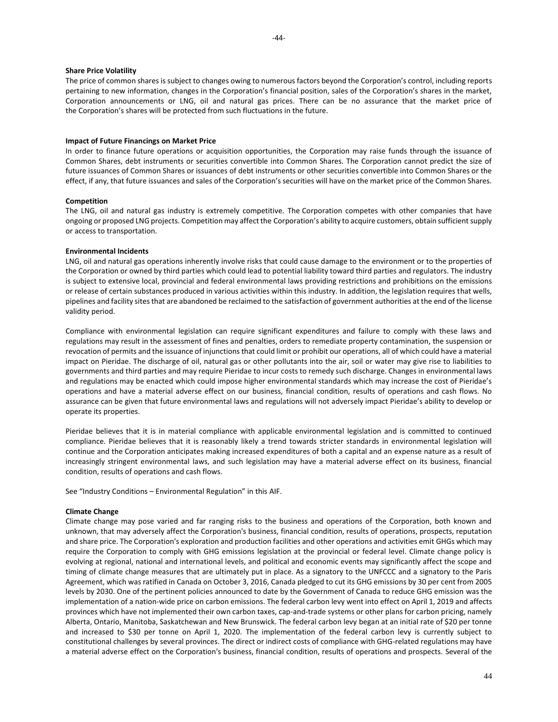#### **Share Price Volatility**

The price of common shares is subject to changes owing to numerous factors beyond the Corporation's control, including reports pertaining to new information, changes in the Corporation's financial position, sales of the Corporation's shares in the market, Corporation announcements or LNG, oil and natural gas prices. There can be no assurance that the market price of the Corporation's shares will be protected from such fluctuations in the future.

### **Impact of Future Financings on Market Price**

In order to finance future operations or acquisition opportunities, the Corporation may raise funds through the issuance of Common Shares, debt instruments or securities convertible into Common Shares. The Corporation cannot predict the size of future issuances of Common Shares or issuances of debt instruments or other securities convertible into Common Shares or the effect, if any, that future issuances and sales of the Corporation's securities will have on the market price of the Common Shares.

#### **Competition**

The LNG, oil and natural gas industry is extremely competitive. The Corporation competes with other companies that have ongoing or proposed LNG projects. Competition may affect the Corporation's ability to acquire customers, obtain sufficient supply or access to transportation.

#### **Environmental Incidents**

LNG, oil and natural gas operations inherently involve risks that could cause damage to the environment or to the properties of the Corporation or owned by third parties which could lead to potential liability toward third parties and regulators. The industry is subject to extensive local, provincial and federal environmental laws providing restrictions and prohibitions on the emissions or release of certain substances produced in various activities within this industry. In addition, the legislation requires that wells, pipelines and facility sites that are abandoned be reclaimed to the satisfaction of government authorities at the end of the license validity period.

Compliance with environmental legislation can require significant expenditures and failure to comply with these laws and regulations may result in the assessment of fines and penalties, orders to remediate property contamination, the suspension or revocation of permits and the issuance of injunctions that could limit or prohibit our operations, all of which could have a material impact on Pieridae. The discharge of oil, natural gas or other pollutants into the air, soil or water may give rise to liabilities to governments and third parties and may require Pieridae to incur costs to remedy such discharge. Changes in environmental laws and regulations may be enacted which could impose higher environmental standards which may increase the cost of Pieridae's operations and have a material adverse effect on our business, financial condition, results of operations and cash flows. No assurance can be given that future environmental laws and regulations will not adversely impact Pieridae's ability to develop or operate its properties.

Pieridae believes that it is in material compliance with applicable environmental legislation and is committed to continued compliance. Pieridae believes that it is reasonably likely a trend towards stricter standards in environmental legislation will continue and the Corporation anticipates making increased expenditures of both a capital and an expense nature as a result of increasingly stringent environmental laws, and such legislation may have a material adverse effect on its business, financial condition, results of operations and cash flows.

See "Industry Conditions – Environmental Regulation" in this AIF.

#### **Climate Change**

Climate change may pose varied and far ranging risks to the business and operations of the Corporation, both known and unknown, that may adversely affect the Corporation's business, financial condition, results of operations, prospects, reputation and share price. The Corporation's exploration and production facilities and other operations and activities emit GHGs which may require the Corporation to comply with GHG emissions legislation at the provincial or federal level. Climate change policy is evolving at regional, national and international levels, and political and economic events may significantly affect the scope and timing of climate change measures that are ultimately put in place. As a signatory to the UNFCCC and a signatory to the Paris Agreement, which was ratified in Canada on October 3, 2016, Canada pledged to cut its GHG emissions by 30 per cent from 2005 levels by 2030. One of the pertinent policies announced to date by the Government of Canada to reduce GHG emission was the implementation of a nation-wide price on carbon emissions. The federal carbon levy went into effect on April 1, 2019 and affects provinces which have not implemented their own carbon taxes, cap-and-trade systems or other plans for carbon pricing, namely Alberta, Ontario, Manitoba, Saskatchewan and New Brunswick. The federal carbon levy began at an initial rate of \$20 per tonne and increased to \$30 per tonne on April 1, 2020. The implementation of the federal carbon levy is currently subject to constitutional challenges by several provinces. The direct or indirect costs of compliance with GHG-related regulations may have a material adverse effect on the Corporation's business, financial condition, results of operations and prospects. Several of the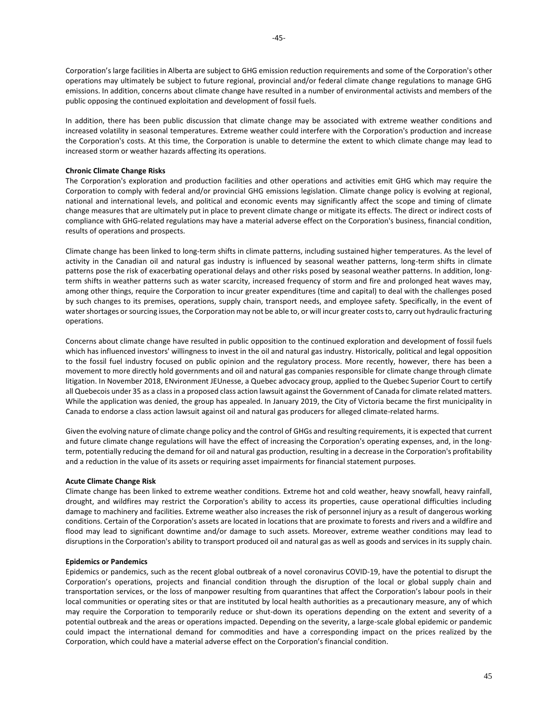Corporation's large facilities in Alberta are subject to GHG emission reduction requirements and some of the Corporation's other operations may ultimately be subject to future regional, provincial and/or federal climate change regulations to manage GHG emissions. In addition, concerns about climate change have resulted in a number of environmental activists and members of the public opposing the continued exploitation and development of fossil fuels.

In addition, there has been public discussion that climate change may be associated with extreme weather conditions and increased volatility in seasonal temperatures. Extreme weather could interfere with the Corporation's production and increase the Corporation's costs. At this time, the Corporation is unable to determine the extent to which climate change may lead to increased storm or weather hazards affecting its operations.

### **Chronic Climate Change Risks**

The Corporation's exploration and production facilities and other operations and activities emit GHG which may require the Corporation to comply with federal and/or provincial GHG emissions legislation. Climate change policy is evolving at regional, national and international levels, and political and economic events may significantly affect the scope and timing of climate change measures that are ultimately put in place to prevent climate change or mitigate its effects. The direct or indirect costs of compliance with GHG-related regulations may have a material adverse effect on the Corporation's business, financial condition, results of operations and prospects.

Climate change has been linked to long-term shifts in climate patterns, including sustained higher temperatures. As the level of activity in the Canadian oil and natural gas industry is influenced by seasonal weather patterns, long-term shifts in climate patterns pose the risk of exacerbating operational delays and other risks posed by seasonal weather patterns. In addition, longterm shifts in weather patterns such as water scarcity, increased frequency of storm and fire and prolonged heat waves may, among other things, require the Corporation to incur greater expenditures (time and capital) to deal with the challenges posed by such changes to its premises, operations, supply chain, transport needs, and employee safety. Specifically, in the event of water shortages or sourcing issues, the Corporation may not be able to, or will incur greater costs to, carry out hydraulic fracturing operations.

Concerns about climate change have resulted in public opposition to the continued exploration and development of fossil fuels which has influenced investors' willingness to invest in the oil and natural gas industry. Historically, political and legal opposition to the fossil fuel industry focused on public opinion and the regulatory process. More recently, however, there has been a movement to more directly hold governments and oil and natural gas companies responsible for climate change through climate litigation. In November 2018, ENvironment JEUnesse, a Quebec advocacy group, applied to the Quebec Superior Court to certify all Quebecois under 35 as a class in a proposed class action lawsuit against the Government of Canada for climate related matters. While the application was denied, the group has appealed. In January 2019, the City of Victoria became the first municipality in Canada to endorse a class action lawsuit against oil and natural gas producers for alleged climate-related harms.

Given the evolving nature of climate change policy and the control of GHGs and resulting requirements, it is expected that current and future climate change regulations will have the effect of increasing the Corporation's operating expenses, and, in the longterm, potentially reducing the demand for oil and natural gas production, resulting in a decrease in the Corporation's profitability and a reduction in the value of its assets or requiring asset impairments for financial statement purposes.

#### **Acute Climate Change Risk**

Climate change has been linked to extreme weather conditions. Extreme hot and cold weather, heavy snowfall, heavy rainfall, drought, and wildfires may restrict the Corporation's ability to access its properties, cause operational difficulties including damage to machinery and facilities. Extreme weather also increases the risk of personnel injury as a result of dangerous working conditions. Certain of the Corporation's assets are located in locations that are proximate to forests and rivers and a wildfire and flood may lead to significant downtime and/or damage to such assets. Moreover, extreme weather conditions may lead to disruptions in the Corporation's ability to transport produced oil and natural gas as well as goods and services in its supply chain.

### **Epidemics or Pandemics**

Epidemics or pandemics, such as the recent global outbreak of a novel coronavirus COVID-19, have the potential to disrupt the Corporation's operations, projects and financial condition through the disruption of the local or global supply chain and transportation services, or the loss of manpower resulting from quarantines that affect the Corporation's labour pools in their local communities or operating sites or that are instituted by local health authorities as a precautionary measure, any of which may require the Corporation to temporarily reduce or shut-down its operations depending on the extent and severity of a potential outbreak and the areas or operations impacted. Depending on the severity, a large-scale global epidemic or pandemic could impact the international demand for commodities and have a corresponding impact on the prices realized by the Corporation, which could have a material adverse effect on the Corporation's financial condition.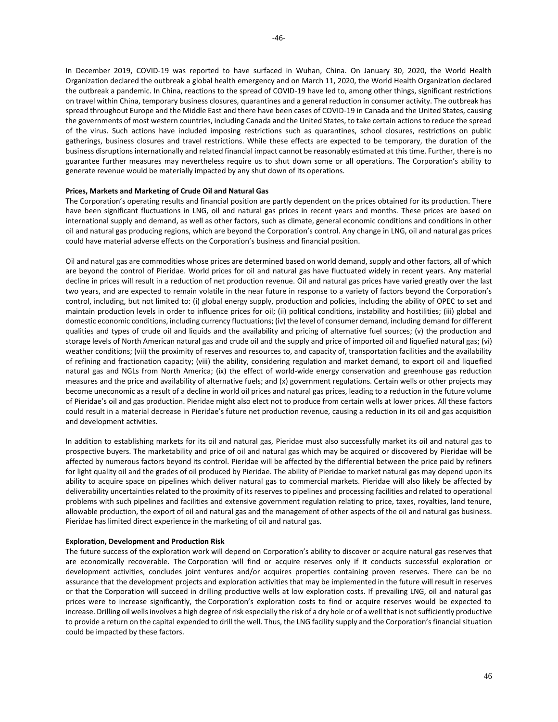In December 2019, COVID-19 was reported to have surfaced in Wuhan, China. On January 30, 2020, the World Health Organization declared the outbreak a global health emergency and on March 11, 2020, the World Health Organization declared the outbreak a pandemic. In China, reactions to the spread of COVID-19 have led to, among other things, significant restrictions on travel within China, temporary business closures, quarantines and a general reduction in consumer activity. The outbreak has spread throughout Europe and the Middle East and there have been cases of COVID-19 in Canada and the United States, causing the governments of most western countries, including Canada and the United States, to take certain actions to reduce the spread of the virus. Such actions have included imposing restrictions such as quarantines, school closures, restrictions on public gatherings, business closures and travel restrictions. While these effects are expected to be temporary, the duration of the business disruptions internationally and related financial impact cannot be reasonably estimated at this time. Further, there is no guarantee further measures may nevertheless require us to shut down some or all operations. The Corporation's ability to generate revenue would be materially impacted by any shut down of its operations.

### **Prices, Markets and Marketing of Crude Oil and Natural Gas**

The Corporation's operating results and financial position are partly dependent on the prices obtained for its production. There have been significant fluctuations in LNG, oil and natural gas prices in recent years and months. These prices are based on international supply and demand, as well as other factors, such as climate, general economic conditions and conditions in other oil and natural gas producing regions, which are beyond the Corporation's control. Any change in LNG, oil and natural gas prices could have material adverse effects on the Corporation's business and financial position.

Oil and natural gas are commodities whose prices are determined based on world demand, supply and other factors, all of which are beyond the control of Pieridae. World prices for oil and natural gas have fluctuated widely in recent years. Any material decline in prices will result in a reduction of net production revenue. Oil and natural gas prices have varied greatly over the last two years, and are expected to remain volatile in the near future in response to a variety of factors beyond the Corporation's control, including, but not limited to: (i) global energy supply, production and policies, including the ability of OPEC to set and maintain production levels in order to influence prices for oil; (ii) political conditions, instability and hostilities; (iii) global and domestic economic conditions, including currency fluctuations; (iv) the level of consumer demand, including demand for different qualities and types of crude oil and liquids and the availability and pricing of alternative fuel sources; (v) the production and storage levels of North American natural gas and crude oil and the supply and price of imported oil and liquefied natural gas; (vi) weather conditions; (vii) the proximity of reserves and resources to, and capacity of, transportation facilities and the availability of refining and fractionation capacity; (viii) the ability, considering regulation and market demand, to export oil and liquefied natural gas and NGLs from North America; (ix) the effect of world-wide energy conservation and greenhouse gas reduction measures and the price and availability of alternative fuels; and (x) government regulations. Certain wells or other projects may become uneconomic as a result of a decline in world oil prices and natural gas prices, leading to a reduction in the future volume of Pieridae's oil and gas production. Pieridae might also elect not to produce from certain wells at lower prices. All these factors could result in a material decrease in Pieridae's future net production revenue, causing a reduction in its oil and gas acquisition and development activities.

In addition to establishing markets for its oil and natural gas, Pieridae must also successfully market its oil and natural gas to prospective buyers. The marketability and price of oil and natural gas which may be acquired or discovered by Pieridae will be affected by numerous factors beyond its control. Pieridae will be affected by the differential between the price paid by refiners for light quality oil and the grades of oil produced by Pieridae. The ability of Pieridae to market natural gas may depend upon its ability to acquire space on pipelines which deliver natural gas to commercial markets. Pieridae will also likely be affected by deliverability uncertainties related to the proximity of its reserves to pipelines and processing facilities and related to operational problems with such pipelines and facilities and extensive government regulation relating to price, taxes, royalties, land tenure, allowable production, the export of oil and natural gas and the management of other aspects of the oil and natural gas business. Pieridae has limited direct experience in the marketing of oil and natural gas.

### **Exploration, Development and Production Risk**

The future success of the exploration work will depend on Corporation's ability to discover or acquire natural gas reserves that are economically recoverable. The Corporation will find or acquire reserves only if it conducts successful exploration or development activities, concludes joint ventures and/or acquires properties containing proven reserves. There can be no assurance that the development projects and exploration activities that may be implemented in the future will result in reserves or that the Corporation will succeed in drilling productive wells at low exploration costs. If prevailing LNG, oil and natural gas prices were to increase significantly, the Corporation's exploration costs to find or acquire reserves would be expected to increase. Drilling oil wells involves a high degree of risk especially the risk of a dry hole or of a well that is not sufficiently productive to provide a return on the capital expended to drill the well. Thus, the LNG facility supply and the Corporation's financial situation could be impacted by these factors.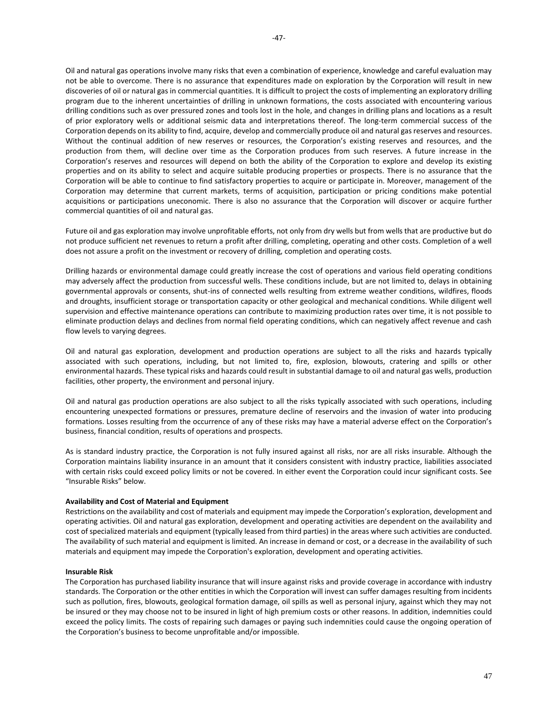Oil and natural gas operations involve many risks that even a combination of experience, knowledge and careful evaluation may not be able to overcome. There is no assurance that expenditures made on exploration by the Corporation will result in new discoveries of oil or natural gas in commercial quantities. It is difficult to project the costs of implementing an exploratory drilling program due to the inherent uncertainties of drilling in unknown formations, the costs associated with encountering various drilling conditions such as over pressured zones and tools lost in the hole, and changes in drilling plans and locations as a result of prior exploratory wells or additional seismic data and interpretations thereof. The long-term commercial success of the Corporation depends on its ability to find, acquire, develop and commercially produce oil and natural gas reserves and resources. Without the continual addition of new reserves or resources, the Corporation's existing reserves and resources, and the production from them, will decline over time as the Corporation produces from such reserves. A future increase in the Corporation's reserves and resources will depend on both the ability of the Corporation to explore and develop its existing properties and on its ability to select and acquire suitable producing properties or prospects. There is no assurance that the Corporation will be able to continue to find satisfactory properties to acquire or participate in. Moreover, management of the Corporation may determine that current markets, terms of acquisition, participation or pricing conditions make potential acquisitions or participations uneconomic. There is also no assurance that the Corporation will discover or acquire further commercial quantities of oil and natural gas.

Future oil and gas exploration may involve unprofitable efforts, not only from dry wells but from wells that are productive but do not produce sufficient net revenues to return a profit after drilling, completing, operating and other costs. Completion of a well does not assure a profit on the investment or recovery of drilling, completion and operating costs.

Drilling hazards or environmental damage could greatly increase the cost of operations and various field operating conditions may adversely affect the production from successful wells. These conditions include, but are not limited to, delays in obtaining governmental approvals or consents, shut-ins of connected wells resulting from extreme weather conditions, wildfires, floods and droughts, insufficient storage or transportation capacity or other geological and mechanical conditions. While diligent well supervision and effective maintenance operations can contribute to maximizing production rates over time, it is not possible to eliminate production delays and declines from normal field operating conditions, which can negatively affect revenue and cash flow levels to varying degrees.

Oil and natural gas exploration, development and production operations are subject to all the risks and hazards typically associated with such operations, including, but not limited to, fire, explosion, blowouts, cratering and spills or other environmental hazards. These typical risks and hazards could result in substantial damage to oil and natural gas wells, production facilities, other property, the environment and personal injury.

Oil and natural gas production operations are also subject to all the risks typically associated with such operations, including encountering unexpected formations or pressures, premature decline of reservoirs and the invasion of water into producing formations. Losses resulting from the occurrence of any of these risks may have a material adverse effect on the Corporation's business, financial condition, results of operations and prospects.

As is standard industry practice, the Corporation is not fully insured against all risks, nor are all risks insurable. Although the Corporation maintains liability insurance in an amount that it considers consistent with industry practice, liabilities associated with certain risks could exceed policy limits or not be covered. In either event the Corporation could incur significant costs. See "Insurable Risks" below.

## **Availability and Cost of Material and Equipment**

Restrictions on the availability and cost of materials and equipment may impede the Corporation's exploration, development and operating activities. Oil and natural gas exploration, development and operating activities are dependent on the availability and cost of specialized materials and equipment (typically leased from third parties) in the areas where such activities are conducted. The availability of such material and equipment is limited. An increase in demand or cost, or a decrease in the availability of such materials and equipment may impede the Corporation's exploration, development and operating activities.

## **Insurable Risk**

The Corporation has purchased liability insurance that will insure against risks and provide coverage in accordance with industry standards. The Corporation or the other entities in which the Corporation will invest can suffer damages resulting from incidents such as pollution, fires, blowouts, geological formation damage, oil spills as well as personal injury, against which they may not be insured or they may choose not to be insured in light of high premium costs or other reasons. In addition, indemnities could exceed the policy limits. The costs of repairing such damages or paying such indemnities could cause the ongoing operation of the Corporation's business to become unprofitable and/or impossible.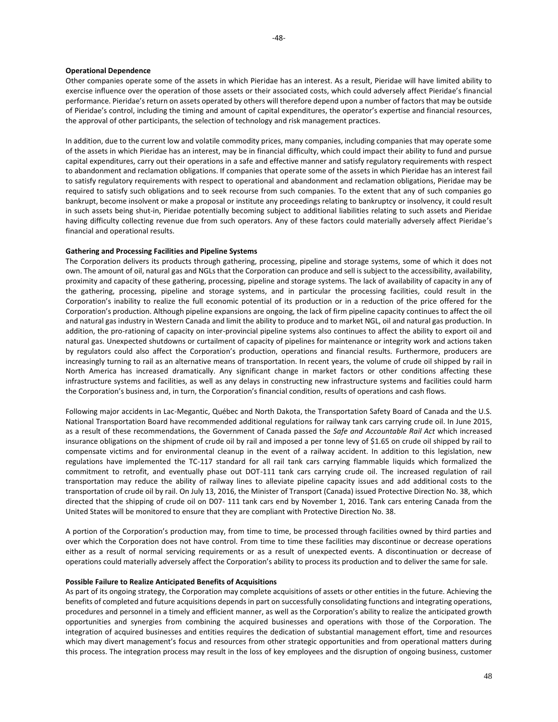#### **Operational Dependence**

Other companies operate some of the assets in which Pieridae has an interest. As a result, Pieridae will have limited ability to exercise influence over the operation of those assets or their associated costs, which could adversely affect Pieridae's financial performance. Pieridae's return on assets operated by others will therefore depend upon a number of factors that may be outside of Pieridae's control, including the timing and amount of capital expenditures, the operator's expertise and financial resources, the approval of other participants, the selection of technology and risk management practices.

In addition, due to the current low and volatile commodity prices, many companies, including companies that may operate some of the assets in which Pieridae has an interest, may be in financial difficulty, which could impact their ability to fund and pursue capital expenditures, carry out their operations in a safe and effective manner and satisfy regulatory requirements with respect to abandonment and reclamation obligations. If companies that operate some of the assets in which Pieridae has an interest fail to satisfy regulatory requirements with respect to operational and abandonment and reclamation obligations, Pieridae may be required to satisfy such obligations and to seek recourse from such companies. To the extent that any of such companies go bankrupt, become insolvent or make a proposal or institute any proceedings relating to bankruptcy or insolvency, it could result in such assets being shut-in, Pieridae potentially becoming subject to additional liabilities relating to such assets and Pieridae having difficulty collecting revenue due from such operators. Any of these factors could materially adversely affect Pieridae's financial and operational results.

## **Gathering and Processing Facilities and Pipeline Systems**

The Corporation delivers its products through gathering, processing, pipeline and storage systems, some of which it does not own. The amount of oil, natural gas and NGLs that the Corporation can produce and sell is subject to the accessibility, availability, proximity and capacity of these gathering, processing, pipeline and storage systems. The lack of availability of capacity in any of the gathering, processing, pipeline and storage systems, and in particular the processing facilities, could result in the Corporation's inability to realize the full economic potential of its production or in a reduction of the price offered for the Corporation's production. Although pipeline expansions are ongoing, the lack of firm pipeline capacity continues to affect the oil and natural gas industry in Western Canada and limit the ability to produce and to market NGL, oil and natural gas production. In addition, the pro-rationing of capacity on inter-provincial pipeline systems also continues to affect the ability to export oil and natural gas. Unexpected shutdowns or curtailment of capacity of pipelines for maintenance or integrity work and actions taken by regulators could also affect the Corporation's production, operations and financial results. Furthermore, producers are increasingly turning to rail as an alternative means of transportation. In recent years, the volume of crude oil shipped by rail in North America has increased dramatically. Any significant change in market factors or other conditions affecting these infrastructure systems and facilities, as well as any delays in constructing new infrastructure systems and facilities could harm the Corporation's business and, in turn, the Corporation's financial condition, results of operations and cash flows.

Following major accidents in Lac-Megantic, Québec and North Dakota, the Transportation Safety Board of Canada and the U.S. National Transportation Board have recommended additional regulations for railway tank cars carrying crude oil. In June 2015, as a result of these recommendations, the Government of Canada passed the *Safe and Accountable Rail Act* which increased insurance obligations on the shipment of crude oil by rail and imposed a per tonne levy of \$1.65 on crude oil shipped by rail to compensate victims and for environmental cleanup in the event of a railway accident. In addition to this legislation, new regulations have implemented the TC-117 standard for all rail tank cars carrying flammable liquids which formalized the commitment to retrofit, and eventually phase out DOT-111 tank cars carrying crude oil. The increased regulation of rail transportation may reduce the ability of railway lines to alleviate pipeline capacity issues and add additional costs to the transportation of crude oil by rail. On July 13, 2016, the Minister of Transport (Canada) issued Protective Direction No. 38, which directed that the shipping of crude oil on D07- 111 tank cars end by November 1, 2016. Tank cars entering Canada from the United States will be monitored to ensure that they are compliant with Protective Direction No. 38.

A portion of the Corporation's production may, from time to time, be processed through facilities owned by third parties and over which the Corporation does not have control. From time to time these facilities may discontinue or decrease operations either as a result of normal servicing requirements or as a result of unexpected events. A discontinuation or decrease of operations could materially adversely affect the Corporation's ability to process its production and to deliver the same for sale.

### **Possible Failure to Realize Anticipated Benefits of Acquisitions**

As part of its ongoing strategy, the Corporation may complete acquisitions of assets or other entities in the future. Achieving the benefits of completed and future acquisitions depends in part on successfully consolidating functions and integrating operations, procedures and personnel in a timely and efficient manner, as well as the Corporation's ability to realize the anticipated growth opportunities and synergies from combining the acquired businesses and operations with those of the Corporation. The integration of acquired businesses and entities requires the dedication of substantial management effort, time and resources which may divert management's focus and resources from other strategic opportunities and from operational matters during this process. The integration process may result in the loss of key employees and the disruption of ongoing business, customer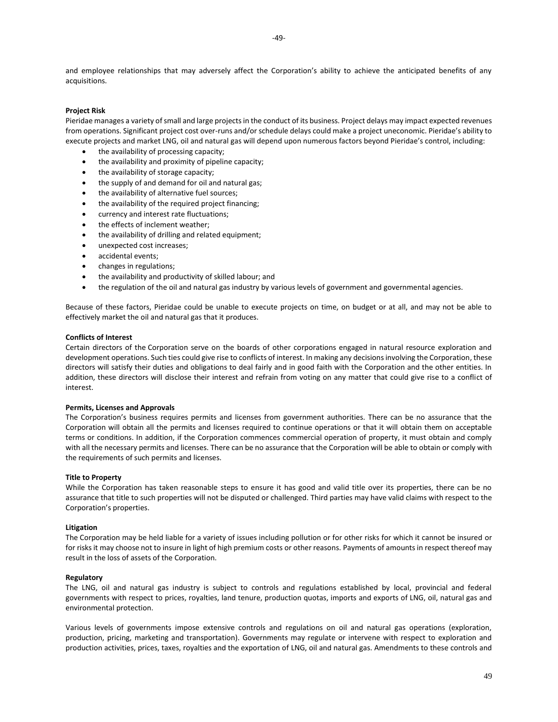and employee relationships that may adversely affect the Corporation's ability to achieve the anticipated benefits of any acquisitions.

### **Project Risk**

Pieridae manages a variety of small and large projects in the conduct of its business. Project delays may impact expected revenues from operations. Significant project cost over-runs and/or schedule delays could make a project uneconomic. Pieridae's ability to execute projects and market LNG, oil and natural gas will depend upon numerous factors beyond Pieridae's control, including:

- the availability of processing capacity;
- the availability and proximity of pipeline capacity;
- the availability of storage capacity;
- the supply of and demand for oil and natural gas;
- the availability of alternative fuel sources;
- the availability of the required project financing;
- currency and interest rate fluctuations;
- the effects of inclement weather;
- the availability of drilling and related equipment;
- unexpected cost increases;
- accidental events;
- changes in regulations;
- the availability and productivity of skilled labour; and
- the regulation of the oil and natural gas industry by various levels of government and governmental agencies.

Because of these factors, Pieridae could be unable to execute projects on time, on budget or at all, and may not be able to effectively market the oil and natural gas that it produces.

## **Conflicts of Interest**

Certain directors of the Corporation serve on the boards of other corporations engaged in natural resource exploration and development operations. Such ties could give rise to conflicts of interest. In making any decisions involving the Corporation, these directors will satisfy their duties and obligations to deal fairly and in good faith with the Corporation and the other entities. In addition, these directors will disclose their interest and refrain from voting on any matter that could give rise to a conflict of interest.

### **Permits, Licenses and Approvals**

The Corporation's business requires permits and licenses from government authorities. There can be no assurance that the Corporation will obtain all the permits and licenses required to continue operations or that it will obtain them on acceptable terms or conditions. In addition, if the Corporation commences commercial operation of property, it must obtain and comply with all the necessary permits and licenses. There can be no assurance that the Corporation will be able to obtain or comply with the requirements of such permits and licenses.

#### **Title to Property**

While the Corporation has taken reasonable steps to ensure it has good and valid title over its properties, there can be no assurance that title to such properties will not be disputed or challenged. Third parties may have valid claims with respect to the Corporation's properties.

#### **Litigation**

The Corporation may be held liable for a variety of issues including pollution or for other risks for which it cannot be insured or for risks it may choose not to insure in light of high premium costs or other reasons. Payments of amounts in respect thereof may result in the loss of assets of the Corporation.

#### **Regulatory**

The LNG, oil and natural gas industry is subject to controls and regulations established by local, provincial and federal governments with respect to prices, royalties, land tenure, production quotas, imports and exports of LNG, oil, natural gas and environmental protection.

Various levels of governments impose extensive controls and regulations on oil and natural gas operations (exploration, production, pricing, marketing and transportation). Governments may regulate or intervene with respect to exploration and production activities, prices, taxes, royalties and the exportation of LNG, oil and natural gas. Amendments to these controls and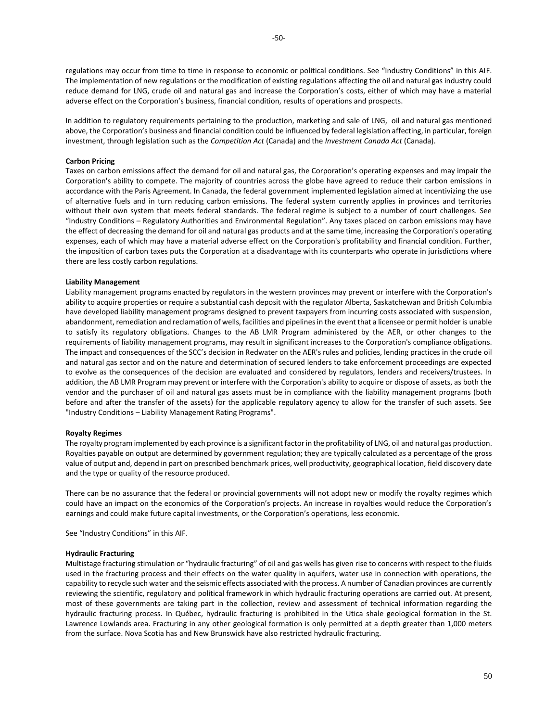regulations may occur from time to time in response to economic or political conditions. See "Industry Conditions" in this AIF. The implementation of new regulations or the modification of existing regulations affecting the oil and natural gas industry could reduce demand for LNG, crude oil and natural gas and increase the Corporation's costs, either of which may have a material adverse effect on the Corporation's business, financial condition, results of operations and prospects.

In addition to regulatory requirements pertaining to the production, marketing and sale of LNG, oil and natural gas mentioned above, the Corporation's business and financial condition could be influenced by federal legislation affecting, in particular, foreign investment, through legislation such as the *Competition Act* (Canada) and the *Investment Canada Act* (Canada).

## **Carbon Pricing**

Taxes on carbon emissions affect the demand for oil and natural gas, the Corporation's operating expenses and may impair the Corporation's ability to compete. The majority of countries across the globe have agreed to reduce their carbon emissions in accordance with the Paris Agreement. In Canada, the federal government implemented legislation aimed at incentivizing the use of alternative fuels and in turn reducing carbon emissions. The federal system currently applies in provinces and territories without their own system that meets federal standards. The federal regime is subject to a number of court challenges. See "Industry Conditions – Regulatory Authorities and Environmental Regulation". Any taxes placed on carbon emissions may have the effect of decreasing the demand for oil and natural gas products and at the same time, increasing the Corporation's operating expenses, each of which may have a material adverse effect on the Corporation's profitability and financial condition. Further, the imposition of carbon taxes puts the Corporation at a disadvantage with its counterparts who operate in jurisdictions where there are less costly carbon regulations.

## **Liability Management**

Liability management programs enacted by regulators in the western provinces may prevent or interfere with the Corporation's ability to acquire properties or require a substantial cash deposit with the regulator Alberta, Saskatchewan and British Columbia have developed liability management programs designed to prevent taxpayers from incurring costs associated with suspension, abandonment, remediation and reclamation of wells, facilities and pipelines in the event that a licensee or permit holder is unable to satisfy its regulatory obligations. Changes to the AB LMR Program administered by the AER, or other changes to the requirements of liability management programs, may result in significant increases to the Corporation's compliance obligations. The impact and consequences of the SCC's decision in Redwater on the AER's rules and policies, lending practices in the crude oil and natural gas sector and on the nature and determination of secured lenders to take enforcement proceedings are expected to evolve as the consequences of the decision are evaluated and considered by regulators, lenders and receivers/trustees. In addition, the AB LMR Program may prevent or interfere with the Corporation's ability to acquire or dispose of assets, as both the vendor and the purchaser of oil and natural gas assets must be in compliance with the liability management programs (both before and after the transfer of the assets) for the applicable regulatory agency to allow for the transfer of such assets. See "Industry Conditions – Liability Management Rating Programs".

## **Royalty Regimes**

The royalty program implemented by each province is a significant factor in the profitability of LNG, oil and natural gas production. Royalties payable on output are determined by government regulation; they are typically calculated as a percentage of the gross value of output and, depend in part on prescribed benchmark prices, well productivity, geographical location, field discovery date and the type or quality of the resource produced.

There can be no assurance that the federal or provincial governments will not adopt new or modify the royalty regimes which could have an impact on the economics of the Corporation's projects. An increase in royalties would reduce the Corporation's earnings and could make future capital investments, or the Corporation's operations, less economic.

See "Industry Conditions" in this AIF.

## **Hydraulic Fracturing**

Multistage fracturing stimulation or "hydraulic fracturing" of oil and gas wells has given rise to concerns with respect to the fluids used in the fracturing process and their effects on the water quality in aquifers, water use in connection with operations, the capability to recycle such water and the seismic effects associated with the process. A number of Canadian provinces are currently reviewing the scientific, regulatory and political framework in which hydraulic fracturing operations are carried out. At present, most of these governments are taking part in the collection, review and assessment of technical information regarding the hydraulic fracturing process. In Québec, hydraulic fracturing is prohibited in the Utica shale geological formation in the St. Lawrence Lowlands area. Fracturing in any other geological formation is only permitted at a depth greater than 1,000 meters from the surface. Nova Scotia has and New Brunswick have also restricted hydraulic fracturing.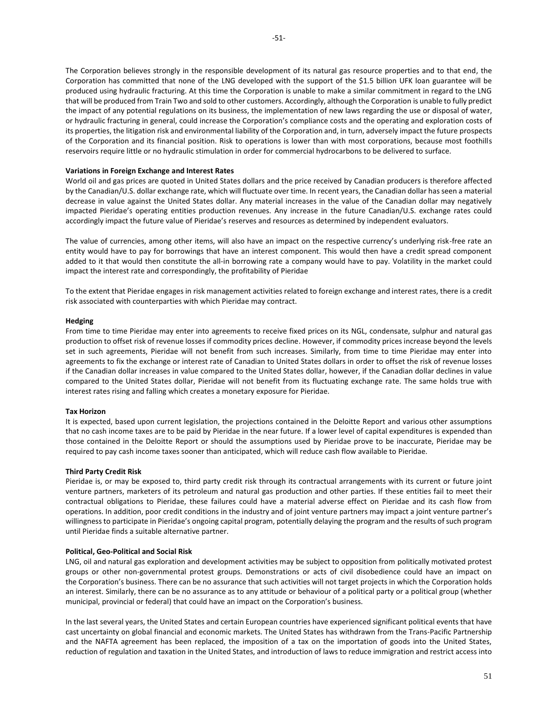The Corporation believes strongly in the responsible development of its natural gas resource properties and to that end, the Corporation has committed that none of the LNG developed with the support of the \$1.5 billion UFK loan guarantee will be produced using hydraulic fracturing. At this time the Corporation is unable to make a similar commitment in regard to the LNG that will be produced from Train Two and sold to other customers. Accordingly, although the Corporation is unable to fully predict the impact of any potential regulations on its business, the implementation of new laws regarding the use or disposal of water, or hydraulic fracturing in general, could increase the Corporation's compliance costs and the operating and exploration costs of its properties, the litigation risk and environmental liability of the Corporation and, in turn, adversely impact the future prospects of the Corporation and its financial position. Risk to operations is lower than with most corporations, because most foothills reservoirs require little or no hydraulic stimulation in order for commercial hydrocarbons to be delivered to surface.

## **Variations in Foreign Exchange and Interest Rates**

World oil and gas prices are quoted in United States dollars and the price received by Canadian producers is therefore affected by the Canadian/U.S. dollar exchange rate, which will fluctuate over time. In recent years, the Canadian dollar has seen a material decrease in value against the United States dollar. Any material increases in the value of the Canadian dollar may negatively impacted Pieridae's operating entities production revenues. Any increase in the future Canadian/U.S. exchange rates could accordingly impact the future value of Pieridae's reserves and resources as determined by independent evaluators.

The value of currencies, among other items, will also have an impact on the respective currency's underlying risk-free rate an entity would have to pay for borrowings that have an interest component. This would then have a credit spread component added to it that would then constitute the all-in borrowing rate a company would have to pay. Volatility in the market could impact the interest rate and correspondingly, the profitability of Pieridae

To the extent that Pieridae engages in risk management activities related to foreign exchange and interest rates, there is a credit risk associated with counterparties with which Pieridae may contract.

## **Hedging**

From time to time Pieridae may enter into agreements to receive fixed prices on its NGL, condensate, sulphur and natural gas production to offset risk of revenue losses if commodity prices decline. However, if commodity prices increase beyond the levels set in such agreements, Pieridae will not benefit from such increases. Similarly, from time to time Pieridae may enter into agreements to fix the exchange or interest rate of Canadian to United States dollars in order to offset the risk of revenue losses if the Canadian dollar increases in value compared to the United States dollar, however, if the Canadian dollar declines in value compared to the United States dollar, Pieridae will not benefit from its fluctuating exchange rate. The same holds true with interest rates rising and falling which creates a monetary exposure for Pieridae.

## **Tax Horizon**

It is expected, based upon current legislation, the projections contained in the Deloitte Report and various other assumptions that no cash income taxes are to be paid by Pieridae in the near future. If a lower level of capital expenditures is expended than those contained in the Deloitte Report or should the assumptions used by Pieridae prove to be inaccurate, Pieridae may be required to pay cash income taxes sooner than anticipated, which will reduce cash flow available to Pieridae.

## **Third Party Credit Risk**

Pieridae is, or may be exposed to, third party credit risk through its contractual arrangements with its current or future joint venture partners, marketers of its petroleum and natural gas production and other parties. If these entities fail to meet their contractual obligations to Pieridae, these failures could have a material adverse effect on Pieridae and its cash flow from operations. In addition, poor credit conditions in the industry and of joint venture partners may impact a joint venture partner's willingness to participate in Pieridae's ongoing capital program, potentially delaying the program and the results of such program until Pieridae finds a suitable alternative partner.

## **Political, Geo-Political and Social Risk**

LNG, oil and natural gas exploration and development activities may be subject to opposition from politically motivated protest groups or other non-governmental protest groups. Demonstrations or acts of civil disobedience could have an impact on the Corporation's business. There can be no assurance that such activities will not target projects in which the Corporation holds an interest. Similarly, there can be no assurance as to any attitude or behaviour of a political party or a political group (whether municipal, provincial or federal) that could have an impact on the Corporation's business.

In the last several years, the United States and certain European countries have experienced significant political events that have cast uncertainty on global financial and economic markets. The United States has withdrawn from the Trans-Pacific Partnership and the NAFTA agreement has been replaced, the imposition of a tax on the importation of goods into the United States, reduction of regulation and taxation in the United States, and introduction of laws to reduce immigration and restrict access into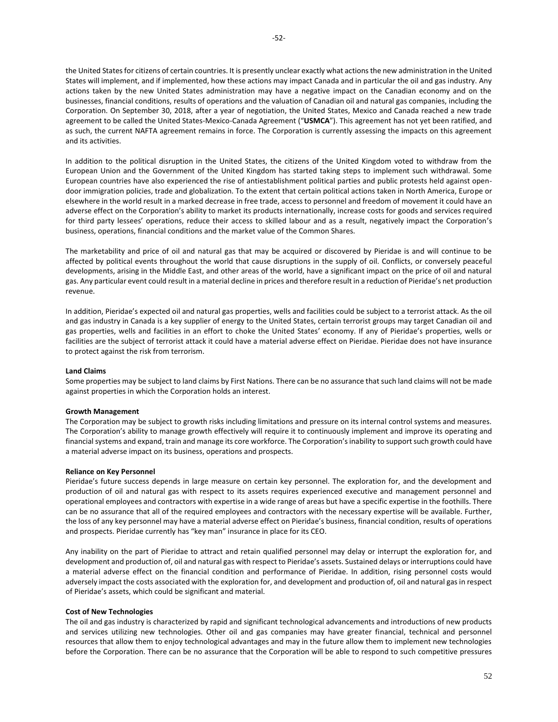the United States for citizens of certain countries. It is presently unclear exactly what actions the new administration in the United States will implement, and if implemented, how these actions may impact Canada and in particular the oil and gas industry. Any actions taken by the new United States administration may have a negative impact on the Canadian economy and on the businesses, financial conditions, results of operations and the valuation of Canadian oil and natural gas companies, including the Corporation. On September 30, 2018, after a year of negotiation, the United States, Mexico and Canada reached a new trade agreement to be called the United States-Mexico-Canada Agreement ("**USMCA**"). This agreement has not yet been ratified, and as such, the current NAFTA agreement remains in force. The Corporation is currently assessing the impacts on this agreement and its activities.

In addition to the political disruption in the United States, the citizens of the United Kingdom voted to withdraw from the European Union and the Government of the United Kingdom has started taking steps to implement such withdrawal. Some European countries have also experienced the rise of antiestablishment political parties and public protests held against opendoor immigration policies, trade and globalization. To the extent that certain political actions taken in North America, Europe or elsewhere in the world result in a marked decrease in free trade, access to personnel and freedom of movement it could have an adverse effect on the Corporation's ability to market its products internationally, increase costs for goods and services required for third party lessees' operations, reduce their access to skilled labour and as a result, negatively impact the Corporation's business, operations, financial conditions and the market value of the Common Shares.

The marketability and price of oil and natural gas that may be acquired or discovered by Pieridae is and will continue to be affected by political events throughout the world that cause disruptions in the supply of oil. Conflicts, or conversely peaceful developments, arising in the Middle East, and other areas of the world, have a significant impact on the price of oil and natural gas. Any particular event could result in a material decline in prices and therefore result in a reduction of Pieridae's net production revenue.

In addition, Pieridae's expected oil and natural gas properties, wells and facilities could be subject to a terrorist attack. As the oil and gas industry in Canada is a key supplier of energy to the United States, certain terrorist groups may target Canadian oil and gas properties, wells and facilities in an effort to choke the United States' economy. If any of Pieridae's properties, wells or facilities are the subject of terrorist attack it could have a material adverse effect on Pieridae. Pieridae does not have insurance to protect against the risk from terrorism.

## **Land Claims**

Some properties may be subject to land claims by First Nations. There can be no assurance that such land claims will not be made against properties in which the Corporation holds an interest.

## **Growth Management**

The Corporation may be subject to growth risks including limitations and pressure on its internal control systems and measures. The Corporation's ability to manage growth effectively will require it to continuously implement and improve its operating and financial systems and expand, train and manage its core workforce. The Corporation's inability to support such growth could have a material adverse impact on its business, operations and prospects.

## **Reliance on Key Personnel**

Pieridae's future success depends in large measure on certain key personnel. The exploration for, and the development and production of oil and natural gas with respect to its assets requires experienced executive and management personnel and operational employees and contractors with expertise in a wide range of areas but have a specific expertise in the foothills. There can be no assurance that all of the required employees and contractors with the necessary expertise will be available. Further, the loss of any key personnel may have a material adverse effect on Pieridae's business, financial condition, results of operations and prospects. Pieridae currently has "key man" insurance in place for its CEO.

Any inability on the part of Pieridae to attract and retain qualified personnel may delay or interrupt the exploration for, and development and production of, oil and natural gas with respect to Pieridae's assets. Sustained delays or interruptions could have a material adverse effect on the financial condition and performance of Pieridae. In addition, rising personnel costs would adversely impact the costs associated with the exploration for, and development and production of, oil and natural gas in respect of Pieridae's assets, which could be significant and material.

## **Cost of New Technologies**

The oil and gas industry is characterized by rapid and significant technological advancements and introductions of new products and services utilizing new technologies. Other oil and gas companies may have greater financial, technical and personnel resources that allow them to enjoy technological advantages and may in the future allow them to implement new technologies before the Corporation. There can be no assurance that the Corporation will be able to respond to such competitive pressures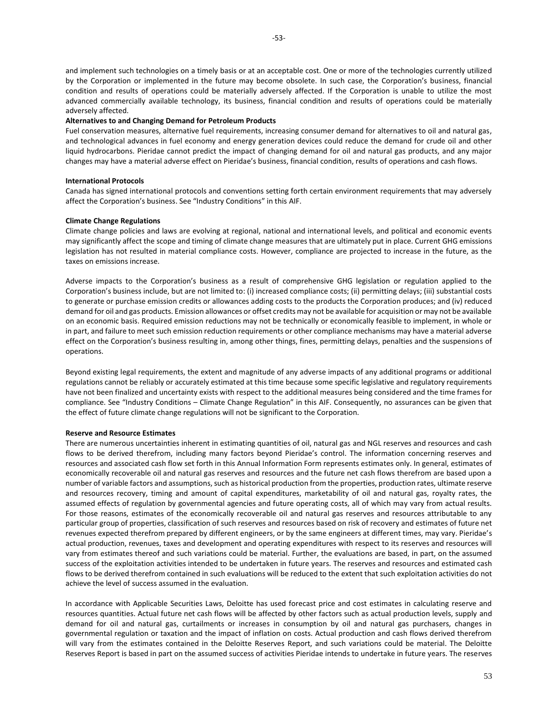and implement such technologies on a timely basis or at an acceptable cost. One or more of the technologies currently utilized by the Corporation or implemented in the future may become obsolete. In such case, the Corporation's business, financial condition and results of operations could be materially adversely affected. If the Corporation is unable to utilize the most advanced commercially available technology, its business, financial condition and results of operations could be materially adversely affected.

#### **Alternatives to and Changing Demand for Petroleum Products**

Fuel conservation measures, alternative fuel requirements, increasing consumer demand for alternatives to oil and natural gas, and technological advances in fuel economy and energy generation devices could reduce the demand for crude oil and other liquid hydrocarbons. Pieridae cannot predict the impact of changing demand for oil and natural gas products, and any major changes may have a material adverse effect on Pieridae's business, financial condition, results of operations and cash flows.

### **International Protocols**

Canada has signed international protocols and conventions setting forth certain environment requirements that may adversely affect the Corporation's business. See "Industry Conditions" in this AIF.

### **Climate Change Regulations**

Climate change policies and laws are evolving at regional, national and international levels, and political and economic events may significantly affect the scope and timing of climate change measures that are ultimately put in place. Current GHG emissions legislation has not resulted in material compliance costs. However, compliance are projected to increase in the future, as the taxes on emissions increase.

Adverse impacts to the Corporation's business as a result of comprehensive GHG legislation or regulation applied to the Corporation's business include, but are not limited to: (i) increased compliance costs; (ii) permitting delays; (iii) substantial costs to generate or purchase emission credits or allowances adding costs to the products the Corporation produces; and (iv) reduced demand for oil and gas products. Emission allowances or offset credits may not be available for acquisition or may not be available on an economic basis. Required emission reductions may not be technically or economically feasible to implement, in whole or in part, and failure to meet such emission reduction requirements or other compliance mechanisms may have a material adverse effect on the Corporation's business resulting in, among other things, fines, permitting delays, penalties and the suspensions of operations.

Beyond existing legal requirements, the extent and magnitude of any adverse impacts of any additional programs or additional regulations cannot be reliably or accurately estimated at this time because some specific legislative and regulatory requirements have not been finalized and uncertainty exists with respect to the additional measures being considered and the time frames for compliance. See "Industry Conditions – Climate Change Regulation" in this AIF. Consequently, no assurances can be given that the effect of future climate change regulations will not be significant to the Corporation.

#### **Reserve and Resource Estimates**

There are numerous uncertainties inherent in estimating quantities of oil, natural gas and NGL reserves and resources and cash flows to be derived therefrom, including many factors beyond Pieridae's control. The information concerning reserves and resources and associated cash flow set forth in this Annual Information Form represents estimates only. In general, estimates of economically recoverable oil and natural gas reserves and resources and the future net cash flows therefrom are based upon a number of variable factors and assumptions, such as historical production from the properties, production rates, ultimate reserve and resources recovery, timing and amount of capital expenditures, marketability of oil and natural gas, royalty rates, the assumed effects of regulation by governmental agencies and future operating costs, all of which may vary from actual results. For those reasons, estimates of the economically recoverable oil and natural gas reserves and resources attributable to any particular group of properties, classification of such reserves and resources based on risk of recovery and estimates of future net revenues expected therefrom prepared by different engineers, or by the same engineers at different times, may vary. Pieridae's actual production, revenues, taxes and development and operating expenditures with respect to its reserves and resources will vary from estimates thereof and such variations could be material. Further, the evaluations are based, in part, on the assumed success of the exploitation activities intended to be undertaken in future years. The reserves and resources and estimated cash flows to be derived therefrom contained in such evaluations will be reduced to the extent that such exploitation activities do not achieve the level of success assumed in the evaluation.

In accordance with Applicable Securities Laws, Deloitte has used forecast price and cost estimates in calculating reserve and resources quantities. Actual future net cash flows will be affected by other factors such as actual production levels, supply and demand for oil and natural gas, curtailments or increases in consumption by oil and natural gas purchasers, changes in governmental regulation or taxation and the impact of inflation on costs. Actual production and cash flows derived therefrom will vary from the estimates contained in the Deloitte Reserves Report, and such variations could be material. The Deloitte Reserves Report is based in part on the assumed success of activities Pieridae intends to undertake in future years. The reserves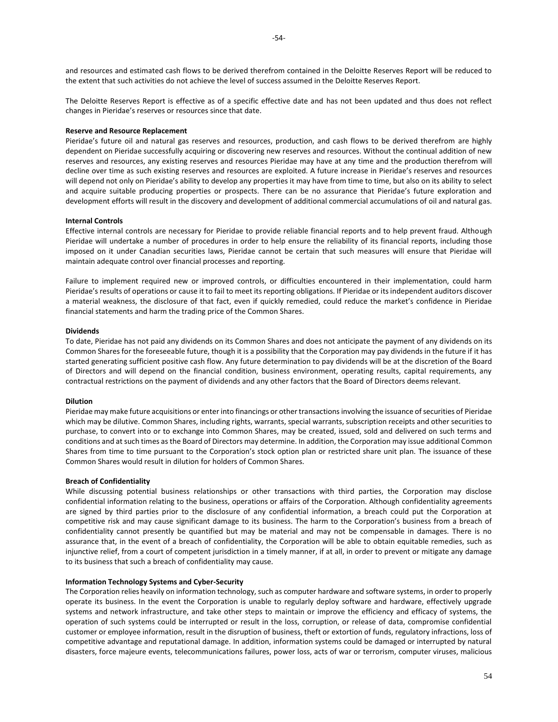and resources and estimated cash flows to be derived therefrom contained in the Deloitte Reserves Report will be reduced to the extent that such activities do not achieve the level of success assumed in the Deloitte Reserves Report.

The Deloitte Reserves Report is effective as of a specific effective date and has not been updated and thus does not reflect changes in Pieridae's reserves or resources since that date.

## **Reserve and Resource Replacement**

Pieridae's future oil and natural gas reserves and resources, production, and cash flows to be derived therefrom are highly dependent on Pieridae successfully acquiring or discovering new reserves and resources. Without the continual addition of new reserves and resources, any existing reserves and resources Pieridae may have at any time and the production therefrom will decline over time as such existing reserves and resources are exploited. A future increase in Pieridae's reserves and resources will depend not only on Pieridae's ability to develop any properties it may have from time to time, but also on its ability to select and acquire suitable producing properties or prospects. There can be no assurance that Pieridae's future exploration and development efforts will result in the discovery and development of additional commercial accumulations of oil and natural gas.

### **Internal Controls**

Effective internal controls are necessary for Pieridae to provide reliable financial reports and to help prevent fraud. Although Pieridae will undertake a number of procedures in order to help ensure the reliability of its financial reports, including those imposed on it under Canadian securities laws, Pieridae cannot be certain that such measures will ensure that Pieridae will maintain adequate control over financial processes and reporting.

Failure to implement required new or improved controls, or difficulties encountered in their implementation, could harm Pieridae's results of operations or cause it to fail to meet its reporting obligations. If Pieridae or its independent auditors discover a material weakness, the disclosure of that fact, even if quickly remedied, could reduce the market's confidence in Pieridae financial statements and harm the trading price of the Common Shares.

#### **Dividends**

To date, Pieridae has not paid any dividends on its Common Shares and does not anticipate the payment of any dividends on its Common Shares for the foreseeable future, though it is a possibility that the Corporation may pay dividends in the future if it has started generating sufficient positive cash flow. Any future determination to pay dividends will be at the discretion of the Board of Directors and will depend on the financial condition, business environment, operating results, capital requirements, any contractual restrictions on the payment of dividends and any other factors that the Board of Directors deems relevant.

### **Dilution**

Pieridae may make future acquisitions or enter into financings or other transactions involving the issuance of securities of Pieridae which may be dilutive. Common Shares, including rights, warrants, special warrants, subscription receipts and other securities to purchase, to convert into or to exchange into Common Shares, may be created, issued, sold and delivered on such terms and conditions and at such times as the Board of Directors may determine. In addition, the Corporation may issue additional Common Shares from time to time pursuant to the Corporation's stock option plan or restricted share unit plan. The issuance of these Common Shares would result in dilution for holders of Common Shares.

### **Breach of Confidentiality**

While discussing potential business relationships or other transactions with third parties, the Corporation may disclose confidential information relating to the business, operations or affairs of the Corporation. Although confidentiality agreements are signed by third parties prior to the disclosure of any confidential information, a breach could put the Corporation at competitive risk and may cause significant damage to its business. The harm to the Corporation's business from a breach of confidentiality cannot presently be quantified but may be material and may not be compensable in damages. There is no assurance that, in the event of a breach of confidentiality, the Corporation will be able to obtain equitable remedies, such as injunctive relief, from a court of competent jurisdiction in a timely manner, if at all, in order to prevent or mitigate any damage to its business that such a breach of confidentiality may cause.

### **Information Technology Systems and Cyber-Security**

The Corporation relies heavily on information technology, such as computer hardware and software systems, in order to properly operate its business. In the event the Corporation is unable to regularly deploy software and hardware, effectively upgrade systems and network infrastructure, and take other steps to maintain or improve the efficiency and efficacy of systems, the operation of such systems could be interrupted or result in the loss, corruption, or release of data, compromise confidential customer or employee information, result in the disruption of business, theft or extortion of funds, regulatory infractions, loss of competitive advantage and reputational damage. In addition, information systems could be damaged or interrupted by natural disasters, force majeure events, telecommunications failures, power loss, acts of war or terrorism, computer viruses, malicious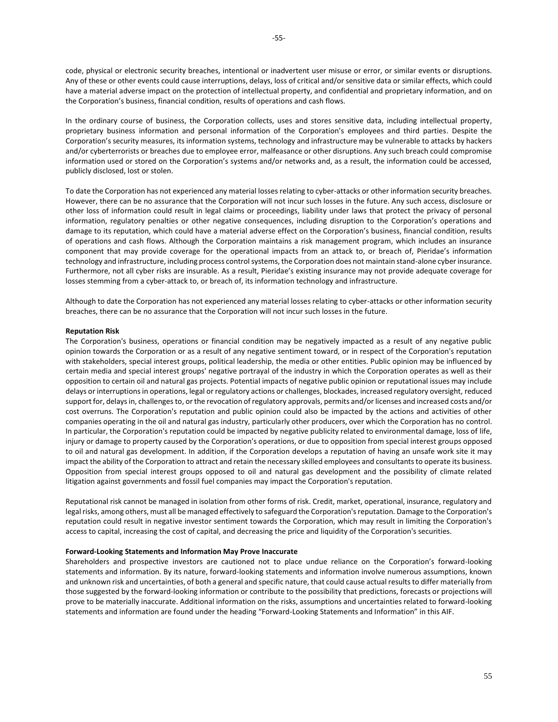code, physical or electronic security breaches, intentional or inadvertent user misuse or error, or similar events or disruptions. Any of these or other events could cause interruptions, delays, loss of critical and/or sensitive data or similar effects, which could have a material adverse impact on the protection of intellectual property, and confidential and proprietary information, and on the Corporation's business, financial condition, results of operations and cash flows.

In the ordinary course of business, the Corporation collects, uses and stores sensitive data, including intellectual property, proprietary business information and personal information of the Corporation's employees and third parties. Despite the Corporation's security measures, its information systems, technology and infrastructure may be vulnerable to attacks by hackers and/or cyberterrorists or breaches due to employee error, malfeasance or other disruptions. Any such breach could compromise information used or stored on the Corporation's systems and/or networks and, as a result, the information could be accessed, publicly disclosed, lost or stolen.

To date the Corporation has not experienced any material losses relating to cyber-attacks or other information security breaches. However, there can be no assurance that the Corporation will not incur such losses in the future. Any such access, disclosure or other loss of information could result in legal claims or proceedings, liability under laws that protect the privacy of personal information, regulatory penalties or other negative consequences, including disruption to the Corporation's operations and damage to its reputation, which could have a material adverse effect on the Corporation's business, financial condition, results of operations and cash flows. Although the Corporation maintains a risk management program, which includes an insurance component that may provide coverage for the operational impacts from an attack to, or breach of, Pieridae's information technology and infrastructure, including process control systems, the Corporation does not maintain stand-alone cyber insurance. Furthermore, not all cyber risks are insurable. As a result, Pieridae's existing insurance may not provide adequate coverage for losses stemming from a cyber-attack to, or breach of, its information technology and infrastructure.

Although to date the Corporation has not experienced any material losses relating to cyber-attacks or other information security breaches, there can be no assurance that the Corporation will not incur such losses in the future.

### **Reputation Risk**

The Corporation's business, operations or financial condition may be negatively impacted as a result of any negative public opinion towards the Corporation or as a result of any negative sentiment toward, or in respect of the Corporation's reputation with stakeholders, special interest groups, political leadership, the media or other entities. Public opinion may be influenced by certain media and special interest groups' negative portrayal of the industry in which the Corporation operates as well as their opposition to certain oil and natural gas projects. Potential impacts of negative public opinion or reputational issues may include delays or interruptions in operations, legal or regulatory actions or challenges, blockades, increased regulatory oversight, reduced support for, delays in, challenges to, or the revocation of regulatory approvals, permits and/or licenses and increased costs and/or cost overruns. The Corporation's reputation and public opinion could also be impacted by the actions and activities of other companies operating in the oil and natural gas industry, particularly other producers, over which the Corporation has no control. In particular, the Corporation's reputation could be impacted by negative publicity related to environmental damage, loss of life, injury or damage to property caused by the Corporation's operations, or due to opposition from special interest groups opposed to oil and natural gas development. In addition, if the Corporation develops a reputation of having an unsafe work site it may impact the ability of the Corporation to attract and retain the necessary skilled employees and consultants to operate its business. Opposition from special interest groups opposed to oil and natural gas development and the possibility of climate related litigation against governments and fossil fuel companies may impact the Corporation's reputation.

Reputational risk cannot be managed in isolation from other forms of risk. Credit, market, operational, insurance, regulatory and legal risks, among others, must all be managed effectively to safeguard the Corporation's reputation. Damage to the Corporation's reputation could result in negative investor sentiment towards the Corporation, which may result in limiting the Corporation's access to capital, increasing the cost of capital, and decreasing the price and liquidity of the Corporation's securities.

#### **Forward-Looking Statements and Information May Prove Inaccurate**

Shareholders and prospective investors are cautioned not to place undue reliance on the Corporation's forward-looking statements and information. By its nature, forward-looking statements and information involve numerous assumptions, known and unknown risk and uncertainties, of both a general and specific nature, that could cause actual results to differ materially from those suggested by the forward-looking information or contribute to the possibility that predictions, forecasts or projections will prove to be materially inaccurate. Additional information on the risks, assumptions and uncertainties related to forward-looking statements and information are found under the heading "Forward-Looking Statements and Information" in this AIF.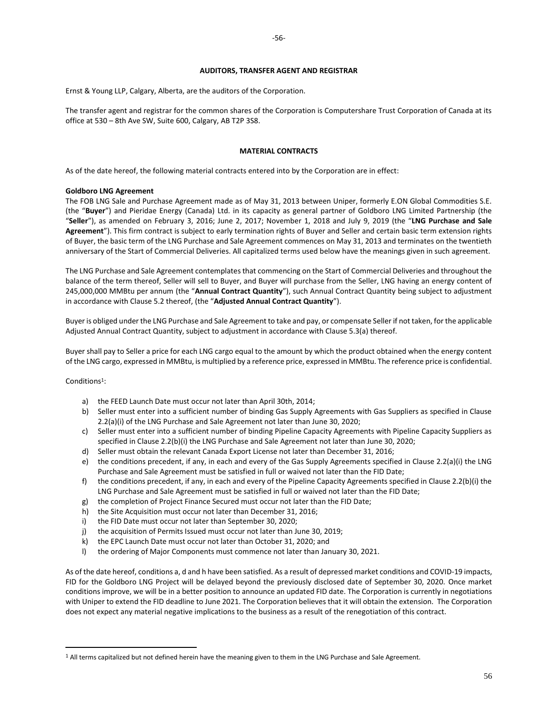### **AUDITORS, TRANSFER AGENT AND REGISTRAR**

<span id="page-56-0"></span>Ernst & Young LLP, Calgary, Alberta, are the auditors of the Corporation.

The transfer agent and registrar for the common shares of the Corporation is Computershare Trust Corporation of Canada at its office at 530 – 8th Ave SW, Suite 600, Calgary, AB T2P 3S8.

### **MATERIAL CONTRACTS**

<span id="page-56-1"></span>As of the date hereof, the following material contracts entered into by the Corporation are in effect:

### **Goldboro LNG Agreement**

The FOB LNG Sale and Purchase Agreement made as of May 31, 2013 between Uniper, formerly E.ON Global Commodities S.E. (the "**Buyer**") and Pieridae Energy (Canada) Ltd. in its capacity as general partner of Goldboro LNG Limited Partnership (the "**Seller**"), as amended on February 3, 2016; June 2, 2017; November 1, 2018 and July 9, 2019 (the "**LNG Purchase and Sale Agreement**"). This firm contract is subject to early termination rights of Buyer and Seller and certain basic term extension rights of Buyer, the basic term of the LNG Purchase and Sale Agreement commences on May 31, 2013 and terminates on the twentieth anniversary of the Start of Commercial Deliveries. All capitalized terms used below have the meanings given in such agreement.

The LNG Purchase and Sale Agreement contemplates that commencing on the Start of Commercial Deliveries and throughout the balance of the term thereof, Seller will sell to Buyer, and Buyer will purchase from the Seller, LNG having an energy content of 245,000,000 MMBtu per annum (the "**Annual Contract Quantity**"), such Annual Contract Quantity being subject to adjustment in accordance with Clause 5.2 thereof, (the "**Adjusted Annual Contract Quantity**").

Buyer is obliged under the LNG Purchase and Sale Agreement to take and pay, or compensate Seller if not taken, for the applicable Adjusted Annual Contract Quantity, subject to adjustment in accordance with Clause 5.3(a) thereof.

Buyer shall pay to Seller a price for each LNG cargo equal to the amount by which the product obtained when the energy content of the LNG cargo, expressed in MMBtu, is multiplied by a reference price, expressed in MMBtu. The reference price is confidential.

Conditions<sup>1</sup>:

- a) the FEED Launch Date must occur not later than April 30th, 2014;
- b) Seller must enter into a sufficient number of binding Gas Supply Agreements with Gas Suppliers as specified in Clause 2.2(a)(i) of the LNG Purchase and Sale Agreement not later than June 30, 2020;
- c) Seller must enter into a sufficient number of binding Pipeline Capacity Agreements with Pipeline Capacity Suppliers as specified in Clause 2.2(b)(i) the LNG Purchase and Sale Agreement not later than June 30, 2020;
- d) Seller must obtain the relevant Canada Export License not later than December 31, 2016;
- e) the conditions precedent, if any, in each and every of the Gas Supply Agreements specified in Clause 2.2(a)(i) the LNG Purchase and Sale Agreement must be satisfied in full or waived not later than the FID Date;
- f) the conditions precedent, if any, in each and every of the Pipeline Capacity Agreements specified in Clause 2.2(b)(i) the LNG Purchase and Sale Agreement must be satisfied in full or waived not later than the FID Date;
- g) the completion of Project Finance Secured must occur not later than the FID Date;
- h) the Site Acquisition must occur not later than December 31, 2016;
- i) the FID Date must occur not later than September 30, 2020;
- j) the acquisition of Permits Issued must occur not later than June 30, 2019;
- k) the EPC Launch Date must occur not later than October 31, 2020; and
- l) the ordering of Major Components must commence not later than January 30, 2021.

As of the date hereof, conditions a, d and h have been satisfied. As a result of depressed market conditions and COVID-19 impacts, FID for the Goldboro LNG Project will be delayed beyond the previously disclosed date of September 30, 2020. Once market conditions improve, we will be in a better position to announce an updated FID date. The Corporation is currently in negotiations with Uniper to extend the FID deadline to June 2021. The Corporation believes that it will obtain the extension. The Corporation does not expect any material negative implications to the business as a result of the renegotiation of this contract.

<sup>&</sup>lt;sup>1</sup> All terms capitalized but not defined herein have the meaning given to them in the LNG Purchase and Sale Agreement.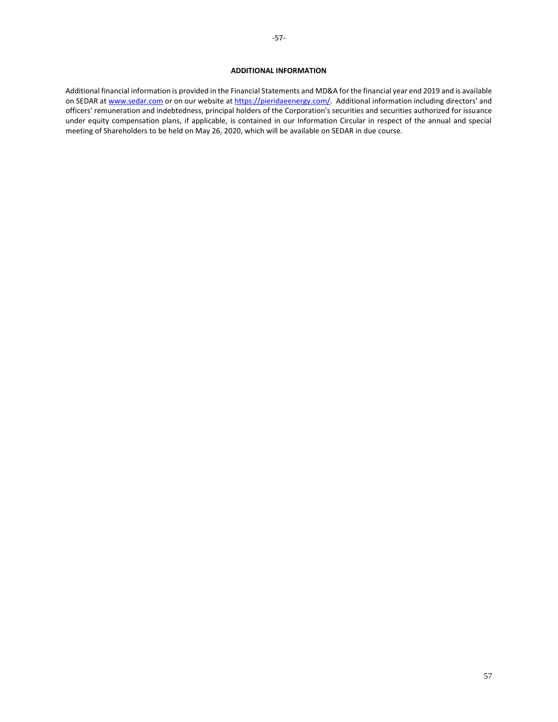## **ADDITIONAL INFORMATION**

<span id="page-57-0"></span>Additional financial information is provided in the Financial Statements and MD&A for the financial year end 2019 and is available on SEDAR at [www.sedar.com](http://www.sedar.com/) or on our website a[t https://pieridaeenergy.com/.](https://pieridaeenergy.com/) Additional information including directors' and officers' remuneration and indebtedness, principal holders of the Corporation's securities and securities authorized for issuance under equity compensation plans, if applicable, is contained in our Information Circular in respect of the annual and special meeting of Shareholders to be held on May 26, 2020, which will be available on SEDAR in due course.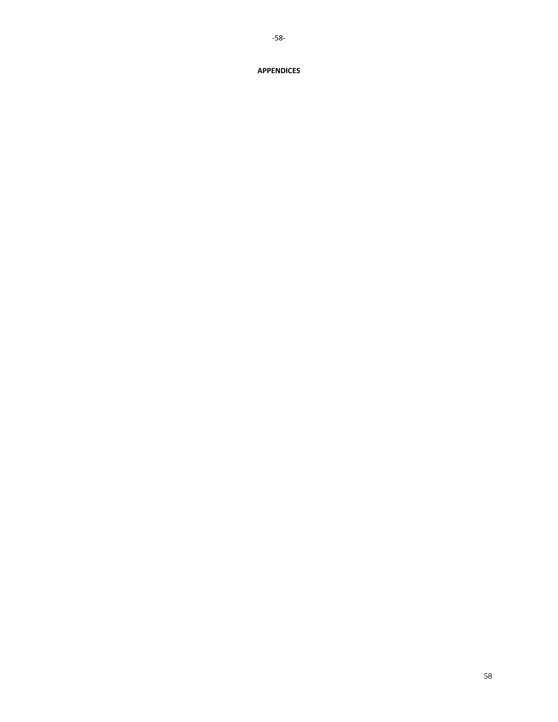# 58

# <span id="page-58-0"></span>**APPENDICES**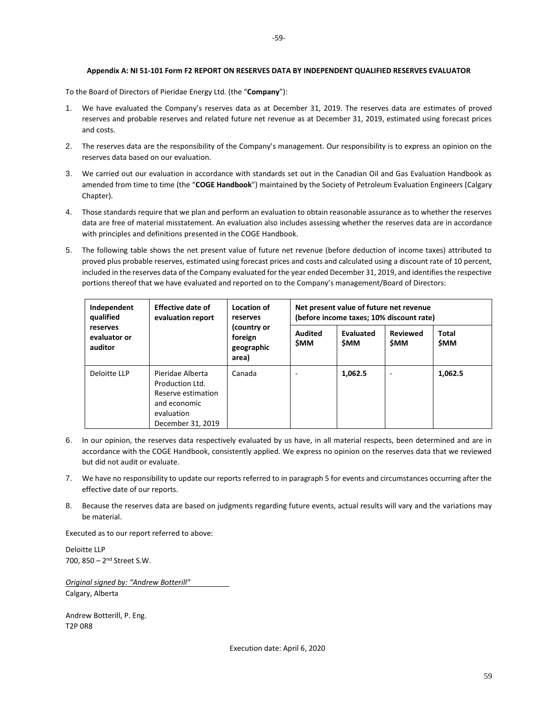## **Appendix A: NI 51-101 Form F2 REPORT ON RESERVES DATA BY INDEPENDENT QUALIFIED RESERVES EVALUATOR**

<span id="page-59-0"></span>To the Board of Directors of Pieridae Energy Ltd. (the "**Company**"):

- 1. We have evaluated the Company's reserves data as at December 31, 2019. The reserves data are estimates of proved reserves and probable reserves and related future net revenue as at December 31, 2019, estimated using forecast prices and costs.
- 2. The reserves data are the responsibility of the Company's management. Our responsibility is to express an opinion on the reserves data based on our evaluation.
- 3. We carried out our evaluation in accordance with standards set out in the Canadian Oil and Gas Evaluation Handbook as amended from time to time (the "**COGE Handbook**") maintained by the Society of Petroleum Evaluation Engineers (Calgary Chapter).
- 4. Those standards require that we plan and perform an evaluation to obtain reasonable assurance as to whether the reserves data are free of material misstatement. An evaluation also includes assessing whether the reserves data are in accordance with principles and definitions presented in the COGE Handbook.
- 5. The following table shows the net present value of future net revenue (before deduction of income taxes) attributed to proved plus probable reserves, estimated using forecast prices and costs and calculated using a discount rate of 10 percent, included in the reserves data of the Company evaluated for the year ended December 31, 2019, and identifies the respective portions thereof that we have evaluated and reported on to the Company's management/Board of Directors:

| Independent<br>qualified<br>reserves<br>evaluator or<br>auditor | <b>Effective date of</b><br>evaluation report                                                                | Location of<br>reserves<br>(country or<br>foreign<br>geographic<br>area) | Net present value of future net revenue<br>(before income taxes; 10% discount rate) |                         |                               |                     |
|-----------------------------------------------------------------|--------------------------------------------------------------------------------------------------------------|--------------------------------------------------------------------------|-------------------------------------------------------------------------------------|-------------------------|-------------------------------|---------------------|
|                                                                 |                                                                                                              |                                                                          | <b>Audited</b><br><b>SMM</b>                                                        | Evaluated<br><b>SMM</b> | <b>Reviewed</b><br><b>SMM</b> | Total<br><b>SMM</b> |
| Deloitte LLP                                                    | Pieridae Alberta<br>Production Ltd.<br>Reserve estimation<br>and economic<br>evaluation<br>December 31, 2019 | Canada                                                                   |                                                                                     | 1,062.5                 | -                             | 1,062.5             |

- 6. In our opinion, the reserves data respectively evaluated by us have, in all material respects, been determined and are in accordance with the COGE Handbook, consistently applied. We express no opinion on the reserves data that we reviewed but did not audit or evaluate.
- 7. We have no responsibility to update our reports referred to in paragraph 5 for events and circumstances occurring after the effective date of our reports.
- 8. Because the reserves data are based on judgments regarding future events, actual results will vary and the variations may be material.

Executed as to our report referred to above:

Deloitte LLP 700, 850 – 2<sup>nd</sup> Street S.W.

*Original signed by: "Andrew Botterill"* Calgary, Alberta

Andrew Botterill, P. Eng. T2P 0R8

Execution date: April 6, 2020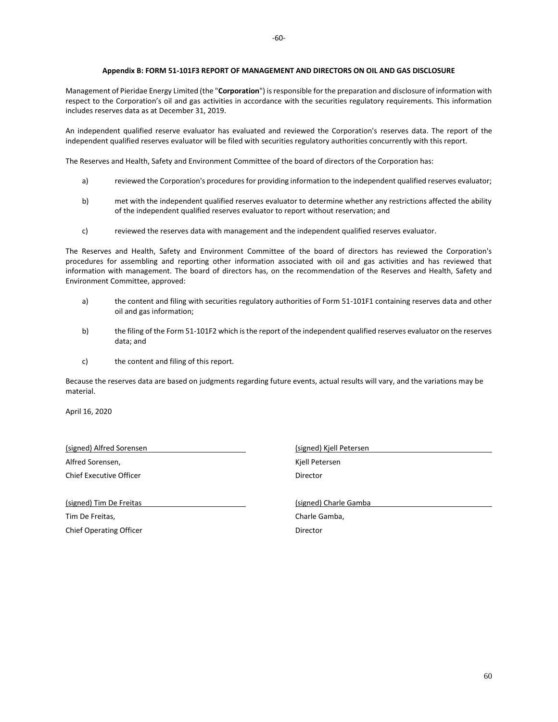<span id="page-60-0"></span>Management of Pieridae Energy Limited (the "**Corporation**") is responsible for the preparation and disclosure of information with respect to the Corporation's oil and gas activities in accordance with the securities regulatory requirements. This information includes reserves data as at December 31, 2019.

An independent qualified reserve evaluator has evaluated and reviewed the Corporation's reserves data. The report of the independent qualified reserves evaluator will be filed with securities regulatory authorities concurrently with this report.

The Reserves and Health, Safety and Environment Committee of the board of directors of the Corporation has:

- a) reviewed the Corporation's procedures for providing information to the independent qualified reserves evaluator;
- b) met with the independent qualified reserves evaluator to determine whether any restrictions affected the ability of the independent qualified reserves evaluator to report without reservation; and
- c) reviewed the reserves data with management and the independent qualified reserves evaluator.

The Reserves and Health, Safety and Environment Committee of the board of directors has reviewed the Corporation's procedures for assembling and reporting other information associated with oil and gas activities and has reviewed that information with management. The board of directors has, on the recommendation of the Reserves and Health, Safety and Environment Committee, approved:

- a) the content and filing with securities regulatory authorities of Form 51-101F1 containing reserves data and other oil and gas information;
- b) the filing of the Form 51-101F2 which is the report of the independent qualified reserves evaluator on the reserves data; and
- c) the content and filing of this report.

Because the reserves data are based on judgments regarding future events, actual results will vary, and the variations may be material.

April 16, 2020

(signed) Alfred Sorensen (signed) Kjell Petersen Alfred Sorensen, The Communication of the Communication of the Kjell Petersen Chief Executive Officer **Director** Director

(signed) Tim De Freitas (signed) Charle Gamba Tim De Freitas, **Charle Gamba, Charle Gamba, Charle Gamba**,

Chief Operating Officer **Director** Director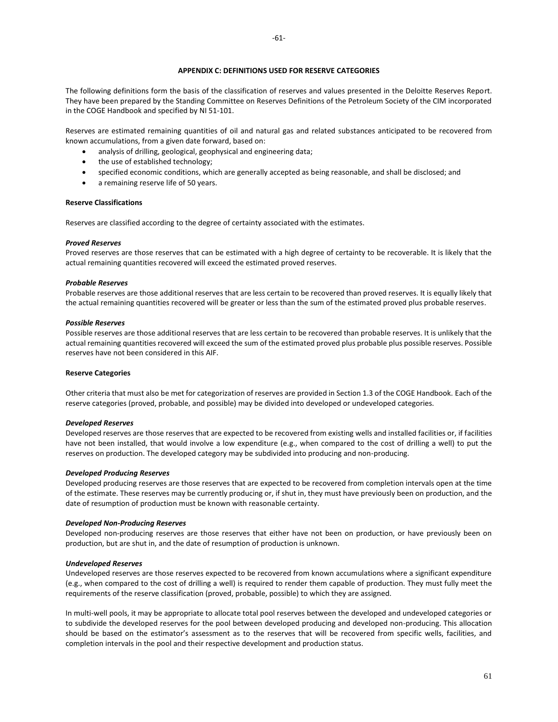## **APPENDIX C: DEFINITIONS USED FOR RESERVE CATEGORIES**

<span id="page-61-0"></span>The following definitions form the basis of the classification of reserves and values presented in the Deloitte Reserves Report. They have been prepared by the Standing Committee on Reserves Definitions of the Petroleum Society of the CIM incorporated in the COGE Handbook and specified by NI 51-101.

Reserves are estimated remaining quantities of oil and natural gas and related substances anticipated to be recovered from known accumulations, from a given date forward, based on:

- analysis of drilling, geological, geophysical and engineering data;
- the use of established technology;
- specified economic conditions, which are generally accepted as being reasonable, and shall be disclosed; and
- a remaining reserve life of 50 years.

## **Reserve Classifications**

Reserves are classified according to the degree of certainty associated with the estimates.

#### *Proved Reserves*

Proved reserves are those reserves that can be estimated with a high degree of certainty to be recoverable. It is likely that the actual remaining quantities recovered will exceed the estimated proved reserves.

#### *Probable Reserves*

Probable reserves are those additional reserves that are less certain to be recovered than proved reserves. It is equally likely that the actual remaining quantities recovered will be greater or less than the sum of the estimated proved plus probable reserves.

#### *Possible Reserves*

Possible reserves are those additional reserves that are less certain to be recovered than probable reserves. It is unlikely that the actual remaining quantities recovered will exceed the sum of the estimated proved plus probable plus possible reserves. Possible reserves have not been considered in this AIF.

#### **Reserve Categories**

Other criteria that must also be met for categorization of reserves are provided in Section 1.3 of the COGE Handbook. Each of the reserve categories (proved, probable, and possible) may be divided into developed or undeveloped categories.

#### *Developed Reserves*

Developed reserves are those reserves that are expected to be recovered from existing wells and installed facilities or, if facilities have not been installed, that would involve a low expenditure (e.g., when compared to the cost of drilling a well) to put the reserves on production. The developed category may be subdivided into producing and non-producing.

#### *Developed Producing Reserves*

Developed producing reserves are those reserves that are expected to be recovered from completion intervals open at the time of the estimate. These reserves may be currently producing or, if shut in, they must have previously been on production, and the date of resumption of production must be known with reasonable certainty.

#### *Developed Non-Producing Reserves*

Developed non-producing reserves are those reserves that either have not been on production, or have previously been on production, but are shut in, and the date of resumption of production is unknown.

#### *Undeveloped Reserves*

Undeveloped reserves are those reserves expected to be recovered from known accumulations where a significant expenditure (e.g., when compared to the cost of drilling a well) is required to render them capable of production. They must fully meet the requirements of the reserve classification (proved, probable, possible) to which they are assigned.

In multi-well pools, it may be appropriate to allocate total pool reserves between the developed and undeveloped categories or to subdivide the developed reserves for the pool between developed producing and developed non-producing. This allocation should be based on the estimator's assessment as to the reserves that will be recovered from specific wells, facilities, and completion intervals in the pool and their respective development and production status.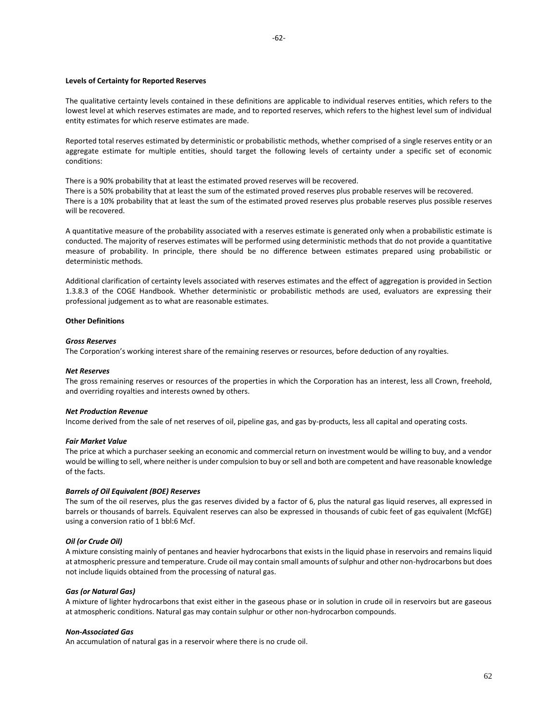#### **Levels of Certainty for Reported Reserves**

The qualitative certainty levels contained in these definitions are applicable to individual reserves entities, which refers to the lowest level at which reserves estimates are made, and to reported reserves, which refers to the highest level sum of individual entity estimates for which reserve estimates are made.

Reported total reserves estimated by deterministic or probabilistic methods, whether comprised of a single reserves entity or an aggregate estimate for multiple entities, should target the following levels of certainty under a specific set of economic conditions:

There is a 90% probability that at least the estimated proved reserves will be recovered.

There is a 50% probability that at least the sum of the estimated proved reserves plus probable reserves will be recovered. There is a 10% probability that at least the sum of the estimated proved reserves plus probable reserves plus possible reserves will be recovered.

A quantitative measure of the probability associated with a reserves estimate is generated only when a probabilistic estimate is conducted. The majority of reserves estimates will be performed using deterministic methods that do not provide a quantitative measure of probability. In principle, there should be no difference between estimates prepared using probabilistic or deterministic methods.

Additional clarification of certainty levels associated with reserves estimates and the effect of aggregation is provided in Section 1.3.8.3 of the COGE Handbook. Whether deterministic or probabilistic methods are used, evaluators are expressing their professional judgement as to what are reasonable estimates.

## **Other Definitions**

#### *Gross Reserves*

The Corporation's working interest share of the remaining reserves or resources, before deduction of any royalties.

### *Net Reserves*

The gross remaining reserves or resources of the properties in which the Corporation has an interest, less all Crown, freehold, and overriding royalties and interests owned by others.

#### *Net Production Revenue*

Income derived from the sale of net reserves of oil, pipeline gas, and gas by-products, less all capital and operating costs.

#### *Fair Market Value*

The price at which a purchaser seeking an economic and commercial return on investment would be willing to buy, and a vendor would be willing to sell, where neither is under compulsion to buy or sell and both are competent and have reasonable knowledge of the facts.

## *Barrels of Oil Equivalent (BOE) Reserves*

The sum of the oil reserves, plus the gas reserves divided by a factor of 6, plus the natural gas liquid reserves, all expressed in barrels or thousands of barrels. Equivalent reserves can also be expressed in thousands of cubic feet of gas equivalent (McfGE) using a conversion ratio of 1 bbl:6 Mcf.

#### *Oil (or Crude Oil)*

A mixture consisting mainly of pentanes and heavier hydrocarbons that exists in the liquid phase in reservoirs and remains liquid at atmospheric pressure and temperature. Crude oil may contain small amounts of sulphur and other non-hydrocarbons but does not include liquids obtained from the processing of natural gas.

#### *Gas (or Natural Gas)*

A mixture of lighter hydrocarbons that exist either in the gaseous phase or in solution in crude oil in reservoirs but are gaseous at atmospheric conditions. Natural gas may contain sulphur or other non-hydrocarbon compounds.

#### *Non-Associated Gas*

An accumulation of natural gas in a reservoir where there is no crude oil.